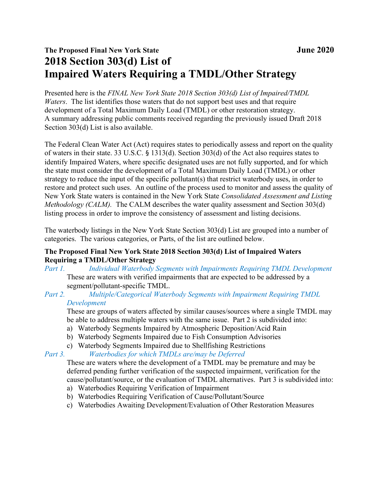# The Proposed Final New York State June 2020 2018 Section 303(d) List of Impaired Waters Requiring a TMDL/Other Strategy

Presented here is the FINAL New York State 2018 Section 303(d) List of Impaired/TMDL Waters. The list identifies those waters that do not support best uses and that require development of a Total Maximum Daily Load (TMDL) or other restoration strategy. A summary addressing public comments received regarding the previously issued Draft 2018 Section 303(d) List is also available.

The Federal Clean Water Act (Act) requires states to periodically assess and report on the quality of waters in their state. 33 U.S.C. § 1313(d). Section 303(d) of the Act also requires states to identify Impaired Waters, where specific designated uses are not fully supported, and for which the state must consider the development of a Total Maximum Daily Load (TMDL) or other strategy to reduce the input of the specific pollutant(s) that restrict waterbody uses, in order to restore and protect such uses. An outline of the process used to monitor and assess the quality of New York State waters is contained in the New York State Consolidated Assessment and Listing *Methodology (CALM)*. The CALM describes the water quality assessment and Section 303(d) listing process in order to improve the consistency of assessment and listing decisions.

The waterbody listings in the New York State Section 303(d) List are grouped into a number of categories. The various categories, or Parts, of the list are outlined below.

## The Proposed Final New York State 2018 Section 303(d) List of Impaired Waters Requiring a TMDL/Other Strategy

Part 1. Individual Waterbody Segments with Impairments Requiring TMDL Development These are waters with verified impairments that are expected to be addressed by a segment/pollutant-specific TMDL.

## Part 2. Multiple/Categorical Waterbody Segments with Impairment Requiring TMDL Development

These are groups of waters affected by similar causes/sources where a single TMDL may be able to address multiple waters with the same issue. Part 2 is subdivided into:

- a) Waterbody Segments Impaired by Atmospheric Deposition/Acid Rain
- b) Waterbody Segments Impaired due to Fish Consumption Advisories
- c) Waterbody Segments Impaired due to Shellfishing Restrictions

Part 3. Waterbodies for which TMDLs are/may be Deferred

These are waters where the development of a TMDL may be premature and may be deferred pending further verification of the suspected impairment, verification for the cause/pollutant/source, or the evaluation of TMDL alternatives. Part 3 is subdivided into:

- a) Waterbodies Requiring Verification of Impairment
- b) Waterbodies Requiring Verification of Cause/Pollutant/Source
- c) Waterbodies Awaiting Development/Evaluation of Other Restoration Measures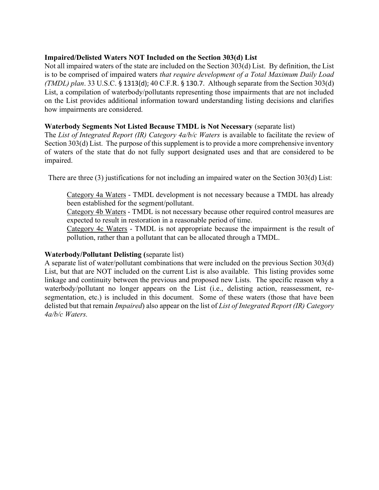#### Impaired/Delisted Waters NOT Included on the Section 303(d) List

Not all impaired waters of the state are included on the Section 303(d) List. By definition, the List is to be comprised of impaired waters that require development of a Total Maximum Daily Load (TMDL) plan. 33 U.S.C. § 1313(d); 40 C.F.R. § 130.7. Although separate from the Section 303(d) List, a compilation of waterbody/pollutants representing those impairments that are not included on the List provides additional information toward understanding listing decisions and clarifies how impairments are considered.

#### Waterbody Segments Not Listed Because TMDL is Not Necessary (separate list)

The List of Integrated Report (IR) Category 4a/b/c Waters is available to facilitate the review of Section 303(d) List. The purpose of this supplement is to provide a more comprehensive inventory of waters of the state that do not fully support designated uses and that are considered to be impaired.

There are three (3) justifications for not including an impaired water on the Section 303(d) List:

Category 4a Waters - TMDL development is not necessary because a TMDL has already been established for the segment/pollutant.

Category 4b Waters - TMDL is not necessary because other required control measures are expected to result in restoration in a reasonable period of time.

Category 4c Waters - TMDL is not appropriate because the impairment is the result of pollution, rather than a pollutant that can be allocated through a TMDL.

## Waterbody/Pollutant Delisting (separate list)

A separate list of water/pollutant combinations that were included on the previous Section 303(d) List, but that are NOT included on the current List is also available. This listing provides some linkage and continuity between the previous and proposed new Lists. The specific reason why a waterbody/pollutant no longer appears on the List (i.e., delisting action, reassessment, resegmentation, etc.) is included in this document. Some of these waters (those that have been delisted but that remain *Impaired*) also appear on the list of *List of Integrated Report (IR) Category* 4a/b/c Waters.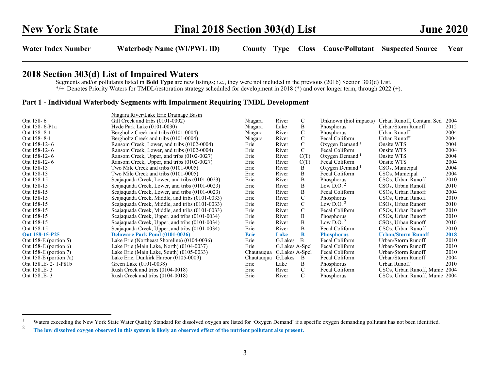## 2018 Section 303(d) List of Impaired Waters

Segments and/or pollutants listed in Bold Type are new listings; i.e., they were not included in the previous (2016) Section 303(d) List. \*/+ Denotes Priority Waters for TMDL/restoration strategy scheduled for development in 2018 (\*) and over longer term, through 2022 (+).

|                         | Niagara River/Lake Erie Drainage Basin          |                    |                 |               |                            |                                |      |
|-------------------------|-------------------------------------------------|--------------------|-----------------|---------------|----------------------------|--------------------------------|------|
| Ont 158-6               | Gill Creek and tribs (0101-0002)                | Niagara            | River           | C             | Unknown (biol impacts)     | Urban Runoff, Contam. Sed      | 2004 |
| Ont 158-6-P1a           | Hyde Park Lake (0101-0030)                      | Niagara            | Lake            | B             | Phosphorus                 | Urban/Storm Runoff             | 2012 |
| Ont 158-8-1             | Bergholtz Creek and tribs (0101-0004)           | Niagara            | River           | $\mathcal{C}$ | Phosphorus                 | Urban Runoff                   | 2004 |
| Ont 158-8-1             | Bergholtz Creek and tribs (0101-0004)           | Niagara            | River           | $\mathcal{C}$ | Fecal Coliform             | Urban Runoff                   | 2004 |
| Ont 158-12-6            | Ransom Creek, Lower, and tribs (0102-0004)      | Erie               | River           | $\mathsf{C}$  | Oxygen Demand $1$          | Onsite WTS                     | 2004 |
| Ont 158-12-6            | Ransom Creek, Lower, and tribs (0102-0004)      | Erie               | River           | $\mathcal{C}$ | Fecal Coliform             | Onsite WTS                     | 2004 |
| Ont 158-12-6            | Ransom Creek, Upper, and tribs (0102-0027)      | Erie               | River           | C(T)          | Oxygen Demand <sup>1</sup> | Onsite WTS                     | 2004 |
| Ont 158-12-6            | Ransom Creek, Upper, and tribs (0102-0027)      | Erie               | River           | C(T)          | Fecal Coliform             | Onsite WTS                     | 2004 |
| Ont 158-13              | Two Mile Creek and tribs (0101-0005)            | Erie               | River           | B             | Oxygen Demand <sup>1</sup> | CSO <sub>s</sub> , Municipal   | 2004 |
| Ont 158-13              | Two Mile Creek and tribs (0101-0005)            | Erie               | River           | B             | Fecal Coliform             | CSOs, Municipal                | 2004 |
| Ont 158-15              | Scajaquada Creek, Lower, and tribs (0101-0023)  | Erie               | River           | $\, {\bf B}$  | Phosphorus                 | CSOs, Urban Runoff             | 2010 |
| Ont 158-15              | Scajaquada Creek, Lower, and tribs (0101-0023)  | Erie               | River           | B             | Low D.O. $2$               | CSOs, Urban Runoff             | 2010 |
| Ont 158-15              | Scajaquada Creek, Lower, and tribs (0101-0023)  | Erie               | River           | $\, {\bf B}$  | Fecal Coliform             | CSOs, Urban Runoff             | 2004 |
| Ont 158-15              | Scajaquada Creek, Middle, and tribs (0101-0033) | Erie               | River           | $\mathbf C$   | Phosphorus                 | CSOs, Urban Runoff             | 2010 |
| Ont 158-15              | Scajaquada Creek, Middle, and tribs (0101-0033) | Erie               | River           | $\mathcal{C}$ | Low D.O. $2$               | CSOs, Urban Runoff             | 2010 |
| Ont 158-15              | Scajaquada Creek, Middle, and tribs (0101-0033) | Erie               | River           | C             | Fecal Coliform             | CSOs, Urban Runoff             | 2010 |
| Ont 158-15              | Scajaquada Creek, Upper, and tribs (0101-0034)  | Erie               | River           | B             | Phosphorus                 | CSOs, Urban Runoff             | 2010 |
| Ont 158-15              | Scajaquada Creek, Upper, and tribs (0101-0034)  | Erie               | River           | B             | Low D.O. $^2$              | CSOs, Urban Runoff             | 2010 |
| Ont 158-15              | Scajaquada Creek, Upper, and tribs (0101-0034)  | Erie               | River           | B             | Fecal Coliform             | CSOs, Urban Runoff             | 2010 |
| Ont 158-15-P25          | <b>Delaware Park Pond (0101-0026)</b>           | <b>Erie</b>        | Lake            | B             | <b>Phosphorus</b>          | <b>Urban/Storm Runoff</b>      | 2018 |
| Ont $158-E$ (portion 5) | Lake Erie (Northeast Shoreline) (0104-0036)     | Erie               | G.Lakes B       |               | Fecal Coliform             | Urban/Storm Runoff             | 2010 |
| Ont $158-E$ (portion 6) | Lake Erie (Main Lake, North) (0104-0037)        | Erie               | G. Lakes A-Spcl |               | Fecal Coliform             | Urban/Storm Runoff             | 2010 |
| Ont 158-E (portion 7)   | Lake Erie (Main Lake, South) (0105-0033)        | Chautauqua         | G. Lakes A-Spcl |               | Fecal Coliform             | Urban/Storm Runoff             | 2010 |
| Ont 158-E (portion 7a)  | Lake Erie, Dunkirk Harbor (0105-0009)           | Chautauqua G.Lakes |                 | – B           | Fecal Coliform             | Urban/Storm Runoff             | 2004 |
| Ont 158E-2-1-P81b       | Green Lake (0101-0038)                          | Erie               | Lake            | B             | Phosphorus                 | Urban Runoff                   | 2010 |
| Ont 158E-3              | Rush Creek and tribs (0104-0018)                | Erie               | River           | $\mathcal{C}$ | Fecal Coliform             | CSOs, Urban Runoff, Munic      | 2004 |
| Ont 158E-3              | Rush Creek and tribs (0104-0018)                | Erie               | River           | $\mathcal{C}$ | Phosphorus                 | CSOs, Urban Runoff, Munic 2004 |      |

<sup>&</sup>lt;sup>1</sup> Waters exceeding the New York State Water Quality Standard for dissolved oxygen are listed for 'Oxygen Demand' if a specific oxygen demanding pollutant has not been identified.

<sup>2</sup>The low dissolved oxygen observed in this system is likely an observed effect of the nutrient pollutant also present.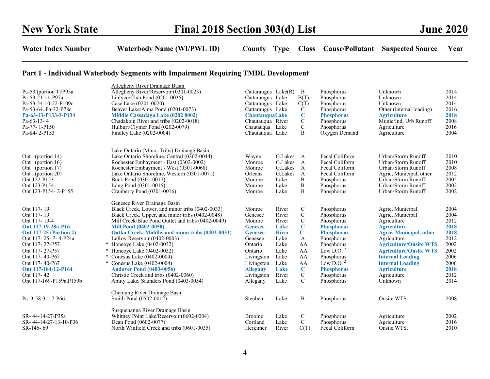| Pa-53 (portion $1$ )/P95a<br>Pa-53-21-11-P97a<br>Pa-53-54-10-22-P109c<br>Pa-53-64Pa-32-P78c<br>Pa-63-13-P133-3-P134<br>Pa-63-13-4<br>Pa-77-1-P150<br>Pa-84-2-P153                                                                                               | Allegheny River Drainage Basin<br>Allegheny River/Reservoir (0201-0023)<br>Linlyco/Club Pond $(0201-0035)$<br>Case Lake (0201-0020)<br>Beaver Lake/Alma Pond (0201-0073)<br>Middle Cassadaga Lake (0202 0002)<br>Chadakoin River and tribs (0202-0018)<br>Hulburt/Clymer Pond (0202-0079)<br>Findley Lake (0202-0004)                                                                                                                                                                                                                                  | Cattaraugus $Lake(R)$<br>Cattaraugus Lake<br>Cattaraugus Lake<br>Cattaraugus Lake<br>ChautauquaLake<br>Chautauqua River<br>Chautauqua Lake<br>Chautauqua Lake             |                                                                                                                  | B<br>B(T)<br>C(T)<br>$\mathsf{C}$<br>$\bf C$<br>$\mathbf C$<br>$\mathbf C$<br>B                                                          | Phosphorus<br>Phosphorus<br>Phosphorus<br>Phosphorus<br><b>Phosphorus</b><br>Phosphorus<br>Phosphorus<br>Oxygen Demand                                                                                      | Unknown<br>Unknown<br>Unknown<br>Other (internal loading)<br><b>Agriculture</b><br>Munic/Ind, Urb Runoff<br>Agriculture<br>Agriculture                                                                                                                                                             | 2014<br>2014<br>2014<br>2016<br>2018<br>2008<br>2016<br>2004                                         |
|-----------------------------------------------------------------------------------------------------------------------------------------------------------------------------------------------------------------------------------------------------------------|--------------------------------------------------------------------------------------------------------------------------------------------------------------------------------------------------------------------------------------------------------------------------------------------------------------------------------------------------------------------------------------------------------------------------------------------------------------------------------------------------------------------------------------------------------|---------------------------------------------------------------------------------------------------------------------------------------------------------------------------|------------------------------------------------------------------------------------------------------------------|------------------------------------------------------------------------------------------------------------------------------------------|-------------------------------------------------------------------------------------------------------------------------------------------------------------------------------------------------------------|----------------------------------------------------------------------------------------------------------------------------------------------------------------------------------------------------------------------------------------------------------------------------------------------------|------------------------------------------------------------------------------------------------------|
| Ont (portion 14)<br>Ont (portion 16)<br>Ont (portion 17)<br>Ont (portion 20)<br>Ont 122-P153<br>Ont 123-P154<br>Ont 123-P154-2-P155                                                                                                                             | Lake Ontario (Minor Tribs) Drainage Basin<br>Lake Ontario Shoreline, Central (0302-0044)<br>Rochester Embayment - East (0302-0002)<br>Rochester Embayment - West (0301-0068)<br>Lake Ontario Shoreline, Western (0301-0071)<br>Buck Pond (0301-0017)<br>Long Pond (0301-0015)<br>Cranberry Pond (0301-0016)                                                                                                                                                                                                                                            | Wayne<br>Monroe<br>Monroe<br>Orleans<br>Monroe<br>Monroe<br>Monroe                                                                                                        | G.Lakes A<br>G.Lakes<br>G.Lakes<br>G.Lakes<br>Lake<br>Lake<br>Lake                                               | $\mathbf{A}$<br>$\mathbf{A}$<br>$\mathbf{A}$<br>B<br>$\, {\bf B}$<br>B                                                                   | Fecal Coliform<br>Fecal Coliform<br>Fecal Coliform<br>Fecal Coliform<br>Phosphorus<br>Phosphorus<br>Phosphorus                                                                                              | Urban/Storm Runoff<br>Urban/Storm Runoff<br>Urban/Storm Runoff<br>Agric, Municipal, other<br>Urban/Storm Runoff<br>Urban/Storm Runoff<br>Urban/Storm Runoff                                                                                                                                        | 2010<br>2010<br>2008<br>2012<br>2002<br>2002<br>2002                                                 |
| Ont 117-19<br>Ont 117-19<br>Ont 117-19-4<br>Ont 117-19-28a-P16<br><b>Ont 117-25 (Portion 2)</b><br>Ont 117-25-7-4-P24a<br>Ont 117-27-P57<br>Ont 117-27-P57<br>Ont 117-40-P67<br>Ont 117-40-P67<br>Ont 117-184-12-P164<br>Ont 117-42<br>Ont 117-169-P159a, P159b | Genesee River Drainage Basin<br>Black Creek, Lower, and minor tribs (0402-0033)<br>Black Creek, Upper, and minor tribs (0402-0048)<br>Mill Creek/Blue Pond Outlet and tribs (0402-0049)<br><b>Mill Pond (0402-0050)</b><br>Oatka Creek, Middle, and minor tribs (0402-0031)<br>LeRoy Reservoir (0402-0003)<br>* Honeoye Lake (0402-0032)<br>* Honeoye Lake (0402-0032)<br>* Conesus Lake (0402-0004)<br>* Conesus Lake (0402-0004)<br><b>Andover Pond (0403-0056)</b><br>Christie Creek and tribs (0402-0060)<br>Amity Lake, Saunders Pond (0403-0054) | Monroe<br>Genesee<br>Monroe<br><b>Genesee</b><br><b>Genesee</b><br>Genesee<br>Ontario<br>Ontario<br>Livingston<br>Livingston<br><b>Allegany</b><br>Livingston<br>Allegany | River<br>River<br>River<br>Lake<br><b>River</b><br>Lake<br>Lake<br>Lake<br>Lake<br>Lake<br>Lake<br>River<br>Lake | C<br>$\mathsf{C}$<br>$\mathbf C$<br>$\mathbf C$<br>$\mathbf C$<br>A<br>AA<br>AA<br>AA<br>AA<br>$\mathbf C$<br>$\mathbf C$<br>$\mathbf C$ | Phosphorus<br>Phosphorus<br>Phosphorus<br><b>Phosphorus</b><br><b>Phosphorus</b><br>Phosphorus<br>Phosphorus<br>Low D.O. $2$<br>Phosphorus<br>Low D.O. $2$<br><b>Phosphorus</b><br>Phosphorus<br>Phosphorus | Agric, Municipal<br>Agric, Municipal<br>Agriculture<br><b>Agriculture</b><br><b>Agric, Municipal, other</b><br>Agriculture<br><b>Agriculture/Onsite WTS</b><br><b>Agriculture/Onsite WTS</b><br><b>Internal Loading</b><br><b>Internal Loading</b><br><b>Agriculture</b><br>Agriculture<br>Unknown | 2004<br>2004<br>2012<br>2018<br>2018<br>2012<br>2002<br>2002<br>2006<br>2006<br>2018<br>2012<br>2014 |
| Pa 3-58-31-7-P66                                                                                                                                                                                                                                                | Chemung River Drainage Basin<br>Smith Pond (0502-0012)                                                                                                                                                                                                                                                                                                                                                                                                                                                                                                 | Steuben                                                                                                                                                                   | Lake                                                                                                             | B                                                                                                                                        | Phosphorus                                                                                                                                                                                                  | Onsite WTS                                                                                                                                                                                                                                                                                         | 2008                                                                                                 |
| SR-44-14-27-P35a<br>SR-44-14-27-13-10-P36<br>SR-146-69                                                                                                                                                                                                          | Susquehanna River Drainage Basin<br>Whitney Point Lake/Reservoir (0602-0004)<br>Dean Pond (0602-0077)<br>North Winfield Creek and tribs (0601-0035)                                                                                                                                                                                                                                                                                                                                                                                                    | <b>Broome</b><br>Cortland<br>Herkimer                                                                                                                                     | Lake<br>Lake<br>River                                                                                            | C<br>$\mathcal{C}$<br>C(T)                                                                                                               | Phosphorus<br>Phosphorus<br>Fecal Coliform                                                                                                                                                                  | Agriculture<br>Agriculture<br>Onsite WTS,                                                                                                                                                                                                                                                          | 2002<br>2016<br>2010                                                                                 |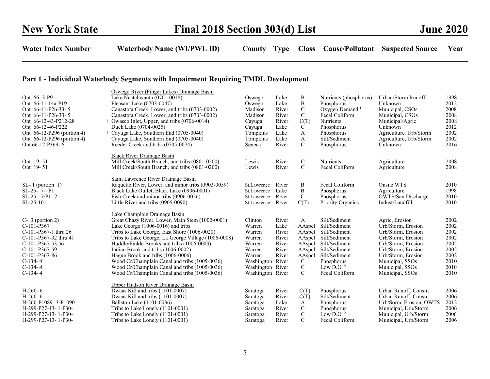| Ont 66-3-P9<br>Ont 66-11-14a-P19<br>Ont 66-11-P26-33-5<br>Ont 66-11-P26-33-5<br>Ont 66-12-43-P212-28<br>Ont 66-12-46-P222<br>Ont 66-12-P296 (portion 4)<br>Ont 66-12-P296 (portion 4)<br>Ont 66-12-P369-6 | Oswego River (Finger Lakes) Drainage Basin<br>Lake Neatahwanta (0701-0018)<br>Pleasant Lake (0703-0047)<br>Canastota Creek, Lower, and tribs (0703-0002)<br>Canastota Creek, Lower, and tribs (0703-0002)<br>$+$ Owasco Inlet, Upper, and tribs (0706-0014)<br>Duck Lake (0704-0025)<br>+ Cayuga Lake, Southern End (0705-0040)<br>Cayuga Lake, Southern End (0705-0040)<br>Reeder Creek and tribs (0705-0074)                                                                                              | Oswego<br>Oswego<br>Madison<br>Madison<br>Cayuga<br>Cayuga<br>Tompkins<br>Tompkins<br>Seneca                                    | Lake<br>Lake<br>River<br>River<br>River<br>Lake<br>Lake<br>Lake<br>River | B<br>B<br>$\mathbf C$<br>$\mathbf C$<br>C(T)<br>C<br>A<br>A<br>$\mathcal{C}$                       | Nutrients (phosphorus)<br>Phosphorus<br>Oxygen Demand <sup>1</sup><br>Fecal Coliform<br>Nutrients<br>Phosphorus<br>Phosphorus<br>Silt/Sediment<br>Phosphorus        | Urban/Storm Runoff<br>Unknown<br>Municipal, CSOs<br>Municipal, CSOs<br>Municipal/Agric<br>Unknown<br>Agriculture. Urb/Storm<br>Agriculture, Urb/Storm<br>Unknown                                            | 1998<br>2012<br>2008<br>2008<br>2008<br>2012<br>2002<br>2002<br>2016         |
|-----------------------------------------------------------------------------------------------------------------------------------------------------------------------------------------------------------|-------------------------------------------------------------------------------------------------------------------------------------------------------------------------------------------------------------------------------------------------------------------------------------------------------------------------------------------------------------------------------------------------------------------------------------------------------------------------------------------------------------|---------------------------------------------------------------------------------------------------------------------------------|--------------------------------------------------------------------------|----------------------------------------------------------------------------------------------------|---------------------------------------------------------------------------------------------------------------------------------------------------------------------|-------------------------------------------------------------------------------------------------------------------------------------------------------------------------------------------------------------|------------------------------------------------------------------------------|
| Ont 19-51<br>Ont 19-51                                                                                                                                                                                    | <b>Black River Drainage Basin</b><br>Mill Creek/South Branch, and tribs (0801-0200)<br>Mill Creek/South Branch, and tribs (0801-0200)                                                                                                                                                                                                                                                                                                                                                                       | Lewis<br>Lewis                                                                                                                  | River<br>River                                                           | C<br>$\mathcal{C}$                                                                                 | <b>Nutrients</b><br>Fecal Coliform                                                                                                                                  | Agriculture<br>Agriculture                                                                                                                                                                                  | 2008<br>2008                                                                 |
| $SL-1$ (portion 1)<br>SL-25-7-P1<br>$SL-25-7/P1-2$<br>$SL-25-101$                                                                                                                                         | Saint Lawrence River Drainage Basin<br>Raquette River, Lower, and minor tribs (0903-0059)<br>Black Lake Outlet, Black Lake (0906-0001)<br>Fish Creek and minor tribs (0906-0026)<br>Little River and tribs (0905-0090)                                                                                                                                                                                                                                                                                      | St.Lawrence<br>St.Lawrence<br>St.Lawrence<br>St.Lawrence                                                                        | River<br>Lake<br>River<br>River                                          | Β<br>B<br>$\mathcal{C}$<br>C(T)                                                                    | Fecal Coliform<br>Phosphorus<br>Phosphorus<br><b>Priority Organics</b>                                                                                              | Onsite WTS<br>Agriculture<br>OWTS/San Discharge<br>Indust/Landfill                                                                                                                                          | 2010<br>1998<br>2010<br>2010                                                 |
| $C-3$ (portion 2)<br>$C-101-P367$<br>C-101-P367-1 thru 26<br>C-101-P367-32 thru 41<br>$C-101-P367-53,56$<br>$C-101-P367-59$<br>$C-101-P367-86$<br>$C-134-4$<br>$C-134-4$<br>$C-134-4$                     | Lake Champlain Drainage Basin<br>Great Chazy River, Lower, Main Stem (1002-0001)<br>Lake George $(1006-0016)$ and tribs<br>Tribs to Lake George, East Shore (1006-0020)<br>Tribs to Lake George, Lk. George Village (1006-0008)<br>Huddle/Finkle Brooks and tribs (1006-0003)<br>Indian Brook and tribs (1006-0002)<br>Hague Brook and tribs (1006-0006)<br>Wood Cr/Champlain Canal and tribs (1005-0036)<br>Wood Cr/Champlain Canal and tribs (1005-0036)<br>Wood Cr/Champlain Canal and tribs (1005-0036) | Clinton<br>Warren<br>Warren<br>Warren<br>Warren<br>Warren<br>Warren<br>Washington River<br>Washington River<br>Washington River | River<br>Lake<br>River<br>River<br>River<br>River<br>River               | A<br>AAspel<br>AAspel<br>AAspel<br>AAspel<br>AAspel<br>AAspel<br>C<br>$\mathbf C$<br>$\mathcal{C}$ | Silt/Sediment<br>Silt/Sediment<br>Silt/Sediment<br>Silt/Sediment<br>Silt/Sediment<br>Silt/Sediment<br>Silt/Sediment<br>Phosphorus<br>Low D.O. $2$<br>Fecal Coliform | Agric, Erosion<br>Urb/Storm, Erosion<br>Urb/Storm, Erosion<br>Urb/Storm, Erosion<br>Urb/Storm, Erosion<br>Urb/Storm, Erosion<br>Urb/Storm, Erosion<br>Municipal, SSOs<br>Municipal, SSOs<br>Municipal, SSOs | 2002<br>2002<br>2002<br>2002<br>2002<br>2002<br>2002<br>2010<br>2010<br>2010 |
| $H-260-6$<br>$H-260-6$<br>H-260-P1089-3-P1090<br>H-299-P27-13-1-P30-<br>H-299-P27-13-1-P30-<br>H-299-P27-13-1-P30-                                                                                        | Upper Hudson River Drainage Basin<br>Dwaas Kill and tribs (1101-0007)<br>Dwaas Kill and tribs (1101-0007)<br>Ballston Lake (1101-0036)<br>Tribs to Lake Lonely $(1101-0001)$<br>Tribs to Lake Lonely $(1101-0001)$<br>Tribs to Lake Lonely $(1101-0001)$                                                                                                                                                                                                                                                    | Saratoga<br>Saratoga<br>Saratoga<br>Saratoga<br>Saratoga<br>Saratoga                                                            | River<br>River<br>Lake<br>River<br>River<br>River                        | C(T)<br>C(T)<br>A<br>$\mathbf C$<br>$\mathbf C$<br>$\mathcal{C}$                                   | Phosphorus<br>Silt/Sediment<br>Phosphorus<br>Phosphorus<br>Low D.O. $2$<br>Fecal Coliform                                                                           | Urban Runoff, Constr.<br>Urban Runoff, Constr.<br>Urb/Sorm, Erosion, OWTS<br>Municipal, Urb/Storm<br>Municipal, Urb/Storm<br>Municipal, Urb/Storm                                                           | 2006<br>2006<br>2012<br>2006<br>2006<br>2006                                 |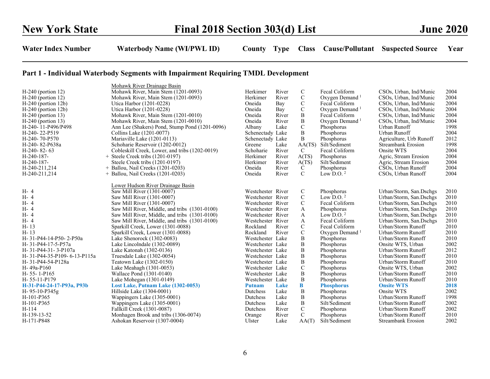|                             | Mohawk River Drainage Basin                    |                   |       |                |                            |                           |      |
|-----------------------------|------------------------------------------------|-------------------|-------|----------------|----------------------------|---------------------------|------|
| $H-240$ (portion 12)        | Mohawk River, Main Stem (1201-0093)            | Herkimer          | River | $\mathbf C$    | Fecal Coliform             | CSOs, Urban, Ind/Munic    | 2004 |
| $H-240$ (portion 12)        | Mohawk River, Main Stem (1201-0093)            | Herkimer          | River | $\mathbf C$    | Oxygen Demand <sup>1</sup> | CSOs, Urban, Ind/Munic    | 2004 |
| $H-240$ (portion 12b)       | Utica Harbor (1201-0228)                       | Oneida            | Bay   | $\mathbf C$    | Fecal Coliform             | CSOs, Urban, Ind/Munic    | 2004 |
| $H-240$ (portion 12b)       | Utica Harbor (1201-0228)                       | Oneida            | Bay   | $\mathbf C$    | Oxygen Demand <sup>1</sup> | CSOs, Urban, Ind/Munic    | 2004 |
| $H-240$ (portion 13)        | Mohawk River, Main Stem (1201-0010)            | Oneida            | River | B              | Fecal Coliform             | CSOs, Urban, Ind/Munic    | 2004 |
| $H-240$ (portion 13)        | Mohawk River, Main Stem (1201-0010)            | Oneida            | River | B              | Oxygen Demand <sup>1</sup> | CSOs, Urban, Ind/Munic    | 2004 |
| H-240-11-P496/P498          | Ann Lee (Shakers) Pond, Stump Pond (1201-0096) | Albany            | Lake  | $\mathbf C$    | Phosphorus                 | Urban Runoff              | 1998 |
| H-240-22-P519               | Collins Lake (1201-0077)                       | Schenectady Lake  |       | $\overline{B}$ | Phosphorus                 | Urban Runoff              | 2004 |
| H-240-70-P570               | Mariaville Lake (1201-0113)                    | Schenectady Lake  |       | B              | Phosphorus                 | Agriculture, Urb Runoff   | 2012 |
| H-240-82-P638a              | Schoharie Reservoir (1202-0012)                | Greene            | Lake  | AA(TS)         | Silt/Sediment              | <b>Streambank Erosion</b> | 1998 |
| $H-240-82-63$               | Cobleskill Creek, Lower, and tribs (1202-0019) | Schoharie         | River | C              | Fecal Coliform             | Onsite WTS                | 2004 |
| H-240-187-                  | $+$ Steele Creek tribs (1201-0197)             | Herkimer          | River | A(TS)          | Phosphorus                 | Agric, Stream Erosion     | 2004 |
| H-240-187-                  | Steele Creek tribs (1201-0197)                 | Herkimer          | River | A(TS)          | Silt/Sediment              | Agric, Stream Erosion     | 2004 |
| H-240-211,214               | $+$ Ballou, Nail Creeks (1201-0203)            | Oneida            | River | C              | Phosphorus                 | CSOs, Urban Runoff        | 2004 |
| H-240-211,214               | $+$ Ballou, Nail Creeks (1201-0203)            | Oneida            | River | $\mathbf C$    | Low $D.0.2$                | CSOs, Urban Runoff        | 2004 |
|                             |                                                |                   |       |                |                            |                           |      |
|                             | Lower Hudson River Drainage Basin              |                   |       |                |                            |                           |      |
| H- 4                        | Saw Mill River (1301-0007)                     | Westchester River |       | C              | Phosphorus                 | Urban/Storm, San.Dschgs   | 2010 |
| H- 4                        | Saw Mill River (1301-0007)                     | Westchester River |       | $\mathbf C$    | Low D.O. $^2$              | Urban/Storm, San.Dschgs   | 2010 |
| H- 4                        | Saw Mill River (1301-0007)                     | Westchester River |       | $\mathcal{C}$  | Fecal Coliform             | Urban/Storm, San.Dschgs   | 2010 |
| H- 4                        | Saw Mill River, Middle, and tribs (1301-0100)  | Westchester River |       | A              | Phosphorus                 | Urban/Storm, San.Dschgs   | 2010 |
| H- 4                        | Saw Mill River, Middle, and tribs (1301-0100)  | Westchester River |       | A              | Low D.O. $^2$              | Urban/Storm, San.Dschgs   | 2010 |
| H- 4                        | Saw Mill River, Middle, and tribs (1301-0100)  | Westchester River |       | A              | Fecal Coliform             | Urban/Storm, San.Dschgs   | 2010 |
| $H - 13$                    | Sparkill Creek, Lower (1301-0088)              | Rockland          | River | $\mathsf{C}$   | Fecal Coliform             | Urban/Storm Runoff        | 2010 |
| $H - 13$                    | Sparkill Creek, Lower (1301-0088)              | Rockland          | River | $\mathbf C$    | Oxygen Demand <sup>1</sup> | Urban/Storm Runoff        | 2010 |
| H-31-P44-14-P50-2-P50a      | Lake Shenorock (1302-0083)                     | Westchester Lake  |       | B              | Phosphorus                 | Urban/Storm Runoff        | 2010 |
| H-31-P44-17-5-P57a          | Lake Lincolndale (1302-0089)                   | Westchester Lake  |       | B              | Phosphorus                 | Onsite WTS, Urban         | 2002 |
| H-31-P44-31-3-P107a         | Lake Katonah (1302-0136)                       | Westchester Lake  |       | B              | Phosphorus                 | Urban/Storm Runoff        | 2012 |
| H-31-P44-35-P109-6-13-P115a | Truesdale Lake (1302-0054)                     | Westchester Lake  |       | $\, {\bf B}$   | Phosphorus                 | Urban/Storm Runoff        | 2010 |
| H-31-P44-54-P128a           | Teatown Lake (1302-0150)                       | Westchester Lake  |       | B              | Phosphorus                 | Urban/Storm Runoff        | 2010 |
| H-49a-P160                  | Lake Meahagh (1301-0053)                       | Westchester Lake  |       | $\mathcal{C}$  | Phosphorus                 | Onsite WTS, Urban         | 2002 |
| $H-55-1-P165$               | Wallace Pond (1301-0140)                       | Westchester Lake  |       | B              | Phosphorus                 | Urban/Storm Runoff        | 2010 |
| H-55-11-P179                | Lake Mohegan (1301-0149)                       | Westchester Lake  |       | B              | Phosphorus                 | Urban/Storm Runoff        | 2010 |
| H-31-P44-24-17-P93a, P93b   | Lost Lake, Putnam Lake (1302-0053)             | <b>Putnam</b>     | Lake  | $\bf{B}$       | <b>Phosphorus</b>          | <b>Onsite WTS</b>         | 2018 |
| H-95-10-P345g               | Hillside Lake (1304-0001)                      | Dutchess          | Lake  | B              | Phosphorus                 | Onsite WTS                | 2002 |
| H-101-P365                  | Wappingers Lake (1305-0001)                    | Dutchess          | Lake  | B              | Phosphorus                 | Urban/Storm Runoff        | 1998 |
| H-101-P365                  | Wappingers Lake (1305-0001)                    | Dutchess          | Lake  | B              | Silt/Sediment              | Urban/Storm Runoff        | 2002 |
| H-114                       | Fallkill Creek (1301-0087)                     | Dutchess          | River | $\mathbf C$    | Phosphorus                 | Urban/Storm Runoff        | 2002 |
| H-139-13-52                 | Monhagen Brook and tribs (1306-0074)           | Orange            | River | $\mathbf C$    | Phosphorus                 | Urban/Storm Runoff        | 2010 |
| H-171-P848                  | Ashokan Reservoir (1307-0004)                  | Ulster            | Lake  | AA(T)          | Silt/Sediment              | <b>Streambank Erosion</b> | 2002 |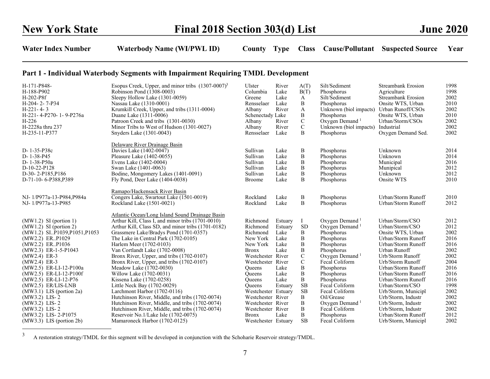| H-171-P848-                 | Esopus Creek, Upper, and minor tribs $(1307-0007)^3$ | Ulster              | River   | A(T)         | Silt/Sediment              | Streambank Erosion  | 1998 |
|-----------------------------|------------------------------------------------------|---------------------|---------|--------------|----------------------------|---------------------|------|
| H-188-P902                  | Robinson Pond (1308-0003)                            | Columbia            | Lake    | B(T)         | Phosphorus                 | Agriculture         | 1998 |
| H-202-P8f                   | Sleepy Hollow Lake (1301-0059)                       | Greene              | Lake    | A            | Silt/Sediment              | Streambank Erosion  | 2002 |
| H-204-2-7-P34               | Nassau Lake (1310-0001)                              | Rensselaer          | Lake    | B            | Phosphorus                 | Onsite WTS, Urban   | 2010 |
| $H-221-4-3$                 | Krumkill Creek, Upper, and tribs (1311-0004)         | Albany              | River   | A            | Unknown (biol impacts)     | Urban Runoff/CSOs   | 2002 |
| H-221-4-P270-1-9-P276a      | Duane Lake (1311-0006)                               | Schenectady Lake    |         | B            | Phosphorus                 | Onsite WTS, Urban   | 2010 |
| H-226                       | Patroon Creek and tribs (1301-0030)                  | Albany              | River   | $\mathbf C$  | Oxygen Demand <sup>1</sup> | Urban/Storm/CSOs    | 2002 |
| H-2228a thru 237            | Minor Tribs to West of Hudson (1301-0027)            | Albany              | River   | $\mathbf C$  | Unknown (biol impacts)     | Industrial          | 2002 |
| H-235-11-P377               | Snyders Lake (1301-0043)                             | Rensselaer          | Lake    | B            | Phosphorus                 | Oxygen Demand Sed.  | 2002 |
|                             | Delaware River Drainage Basin                        |                     |         |              |                            |                     |      |
| D-1-35-P38c                 | Davies Lake (1402-0047)                              | Sullivan            | Lake    | B            | Phosphorus                 | Unknown             | 2014 |
| D-1-38-P45                  | Pleasure Lake (1402-0055)                            | Sullivan            | Lake    | $\, {\bf B}$ | Phosphorus                 | Unknown             | 2014 |
| D-1-38-P50a                 | Evens Lake (1402-0004)                               | Sullivan            | Lake    | B            | Phosphorus                 | Municipal           | 2016 |
| D-10-22-P128                | Swan Lake (1401-0063)                                | Sullivan            | Lake    | B            | Phosphorus                 | Munipical           | 2012 |
| D-30-2-P185, P186           | Bodine, Mongomery Lakes (1401-0091)                  | Sullivan            | Lake    | $\, {\bf B}$ | Phosphorus                 | Unknown             | 2012 |
| D-71-10-6-P388,P389         | Fly Pond, Deer Lake (1404-0038)                      | <b>Broome</b>       | Lake    | B            | Phosphorus                 | Onsite WTS          | 2010 |
|                             | Ramapo/Hackensack River Basin                        |                     |         |              |                            |                     |      |
| NJ-1/P977a-13-P984, P984a   | Congers Lake, Swartout Lake (1501-0019)              | Rockland            | Lake    | B            | Phosphorus                 | Urban/Storm Runoff  | 2010 |
| NJ-1/P977a-13-P985          | Rockland Lake (1501-0021)                            | Rockland            | Lake    | B            | Phosphorus                 | Urban/Storm Runoff  | 2012 |
|                             | Atlantic Ocean/Long Island Sound Drainage Basin      |                     |         |              |                            |                     |      |
| $(MW1.2)$ SI (portion 1)    | Arthur Kill, Class I, and minor tribs (1701-0010)    | Richmond            | Estuary | Ι            | Oxygen Demand <sup>1</sup> | Urban/Storm/CSO     | 2012 |
| $(MW1.2)$ SI (portion 2)    | Arthur Kill, Class SD, and minor tribs (1701-0182)   | Richmond            | Estuary | <b>SD</b>    | Oxygen Demand <sup>1</sup> | Urban/Storm/CSO     | 2012 |
| (MW1.2) SIP1039,P1051,P1053 | Grassmere Lake/Bradys Pond (1701-0357)               | Richmond            | Lake    | B            | Phosphorus                 | Onsite WTS, Urban   | 2002 |
| (MW2.2) ERP1029             | The Lake in Central Park (1702-0105)                 | New York            | Lake    | B            | Phosphorus                 | Urban/Storm Runoff  | 2016 |
| (MW2.2) ERP1036             | Harlem Meer (1702-0103)                              | New York            | Lake    | B            | Phosphorus                 | Urban/Storm Runoff  | 2016 |
| (MW2.3) ER-1-5-P1043        | Van Cortlandt Lake (1702-0008)                       | <b>Bronx</b>        | Lake    | $\, {\bf B}$ | Phosphorus                 | Urban Runoff        | 2002 |
| (MW2.4) ER-3                | Bronx River, Upper, and tribs (1702-0107)            | Westchester River   |         | $\mathbf C$  | Oxygen Demand <sup>1</sup> | Urb/Storm Runoff    | 2002 |
| $(MW2.4)$ ER-3              | Bronx River, Upper, and tribs (1702-0107)            | Westchester River   |         | $\mathbf C$  | Fecal Coliform             | Urb/Storm Runoff    | 2004 |
| (MW2.5) ER-LI-12-P100a      | Meadow Lake (1702-0030)                              | <b>Oueens</b>       | Lake    | $\, {\bf B}$ | Phosphorus                 | Urban/Storm Runoff  | 2016 |
| $(MW2.5)$ ER-LI-12-P100f    | Willow Lake (1702-0031)                              | <b>Oueens</b>       | Lake    | $\, {\bf B}$ | Phosphorus                 | Urban/Storm Runoff  | 2016 |
| (MW2.5) ER-LI-12-P76        | Kissena Lake (1702-0258)                             | <b>Oueens</b>       | Lake    | B            | Phosphorus                 | Urban/Storm Runoff  | 2016 |
| (MW2.5) ER/LIS-LNB          | Little Neck Bay (1702-0029)                          | <b>Oueens</b>       | Estuary | SB           | Fecal Coliform             | Urban/Storm/CSO     | 1998 |
| $(MW3.1)$ LIS (portion 2a)  | Larchmont Harbor (1702-0116)                         | Westchester Estuary |         | <b>SB</b>    | Fecal Coliform             | Urb/Storm, Municipl | 2002 |
| $(MW3.2)$ LIS-2             | Hutchinson River, Middle, and tribs (1702-0074)      | Westchester River   |         | B            | Oil/Grease                 | Urb/Storm, Industr  | 2002 |
| $(MW3.2)$ LIS-2             | Hutchinson River, Middle, and tribs (1702-0074)      | Westchester River   |         | B            | Oxygen Demand <sup>1</sup> | Urb/Storm, Industr  | 2002 |
| $(MW3.2)$ LIS-2             | Hutchinson River, Middle, and tribs (1702-0074)      | Westchester River   |         | $\, {\bf B}$ | Fecal Coliform             | Urb/Storm, Industr  | 2002 |
| (MW3.2) LIS-2-P1075         | Reservoir No.1/Lake Isle (1702-0075)                 | <b>Bronx</b>        | Lake    | B            | Phosphorus                 | Urban/Storm Runoff  | 2012 |
| (MW3.3) LIS (portion 2b)    | Mamaroneck Harbor (1702-0125)                        | Westchester Estuary |         | <b>SB</b>    | Fecal Coliform             | Urb/Storm, Municipl | 2002 |

<sup>&</sup>lt;sup>3</sup> A restoration strategy/TMDL for this segment will be developed in conjunction with the Schoharie Reservoir strategy/TMDL.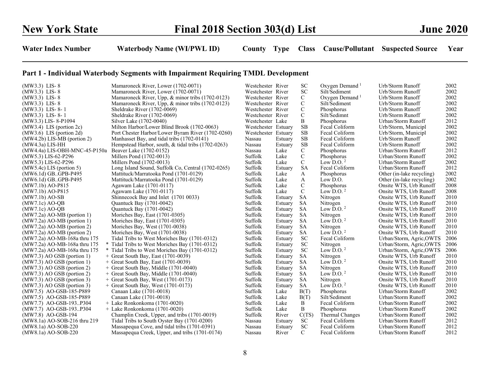| $(MW3.3)$ LIS-8               | Mamaroneck River, Lower (1702-0071)                | Westchester River   |         | <b>SC</b>   | Oxygen Demand <sup>1</sup> | Urb/Storm Runoff          | 2002 |
|-------------------------------|----------------------------------------------------|---------------------|---------|-------------|----------------------------|---------------------------|------|
| $(MW3.3)$ LIS-8               | Mamaroneck River, Lower (1702-0071)                | Westchester River   |         | SC          | Silt/Sediment              | Urb/Storm Runoff          | 2002 |
| $(MW3.3)$ LIS-8               | Mamaroneck River, Upp, & minor tribs (1702-0123)   | Westchester River   |         | $\mathbf C$ | Oxygen Demand <sup>1</sup> | Urb/Storm Runoff          | 2002 |
| $(MW3.3)$ LIS-8               | Mamaroneck River, Upp, & minor tribs (1702-0123)   | Westchester River   |         | $\mathbf C$ | Silt/Sediment              | Urb/Storm Runoff          | 2002 |
| $(MW3.3)$ LIS-8-1             | Sheldrake River (1702-0069)                        | Westchester River   |         | $\mathbf C$ | Phosphorus                 | Urb/Storm Runoff          | 2002 |
| $(MW3.3)$ LIS-8-1             | Sheldrake River (1702-0069)                        | Westchester River   |         | $\mathbf C$ | Silt/Sedimnt               | Urb/Storm Runoff          | 2002 |
| (MW3.3) LIS-8-P1094           | Silver Lake (1702-0040)                            | Westchester Lake    |         | B           | Phosphorus                 | Urban/Storm Runoff        | 2012 |
| $(MW3.4)$ LIS (portion 2c)    | Milton Harbor/Lower Blind Brook (1702-0063)        | Westchester Estuary |         | <b>SB</b>   | Fecal Coliform             | Urb/Storm, Municipl       | 2002 |
| $(MW3.6)$ LIS (portion 2d)    | Port Chester Harbor/Lower Byram River (1702-0260)  | Westchester Estuary |         | <b>SB</b>   | Fecal Coliform             | Urb/Storm, Municipl       | 2002 |
| $(MW4.2b)$ LIS-MB (portion 2) | Manhasset Bay, and tidal tribs (1702-0141)         | Nassau              | Estuary | SB          | Fecal Coliform             | Urb/Storm Runoff          | 2002 |
| $(MW4.3a)$ LIS-HH             | Hempstead Harbor, south, & tidal tribs (1702-0263) | Nassau              | Estuary | <b>SB</b>   | Fecal Coliform             | Urb/Storm Runoff          | 2002 |
| (MW4.4a) LIS-OBH-MNC-45-P150a | Beaver Lake (1702-0152)                            | Nassau              | Lake    | $\mathbf C$ | Phosphorus                 | Urban/Storm Runoff        | 2012 |
| (MW5.3) LIS-62-P296           | Millers Pond (1702-0013)                           | Suffolk             | Lake    | ${\bf C}$   | Phosphorus                 | Urban/Storm Runoff        | 2002 |
| (MW5.3) LIS-62-P296           | Millers Pond (1702-0013)                           | Suffolk             | Lake    | $\mathbf C$ | Low D.O. $2$               | Urban/Storm Runoff        | 2002 |
| $(MW5.4c)$ LIS (portion 5)    | Long Island Sound, Suffolk Co, Central (1702-0265) | Suffolk             | Estuary | <b>SA</b>   | Fecal Coliform             | Urban/Storm Runoff        | 2012 |
| (MW6.1d) GBGPB-P495           | Mattituck/Marratooka Pond (1701-0129)              | Suffolk             | Lake    | A           | Phosphorus                 | Other (in-lake recycling) | 2002 |
| (MW6.1d) GBGPB-P495           | Mattituck/Marratooka Pond (1701-0129)              | Suffolk             | Lake    | A           | Low D.O.                   | Other (in-lake recycling) | 2002 |
| $(MW7.1b)$ AO-P815            | Agawam Lake (1701-0117)                            | Suffolk             | Lake    | $\mathbf C$ | Phosphorus                 | Onsite WTS, Urb Runoff    | 2008 |
| $(MW7.1b)$ AO-P815            | Agawam Lake (1701-0117)                            | Suffolk             | Lake    | $\mathbf C$ | Low D.O. $2$               | Onsite WTS, Urb Runoff    | 2008 |
| $(MW7.1b)$ AO-SB              | Shinnecock Bay and Inlet (1701 0033)               | Suffolk             | Estuary | <b>SA</b>   | Nitrogen                   | Onsite WTS, Urb Runoff    | 2010 |
| $(MW7.1c)$ AO-OB              | Quantuck Bay (1701-0042)                           | Suffolk             | Estuary | <b>SA</b>   | Nitrogen                   | Onsite WTS, Urb Runoff    | 2010 |
| $(MW7.1c)$ AO-QB              | Quantuck Bay (1701-0042)                           | Suffolk             | Estuary | SA          | Low D.O. $2$               | Onsite WTS, Urb Runoff    | 2010 |
| $(MW7.2a)$ AO-MB (portion 1)  | Moriches Bay, East (1701-0305)                     | Suffolk             | Estuary | <b>SA</b>   | Nitrogen                   | Onsite WTS, Urb Runoff    | 2010 |
| $(MW7.2a)$ AO-MB (portion 1)  | Moriches Bay, East (1701-0305)                     | Suffolk             | Estuary | <b>SA</b>   | Low $D.0.2$                | Onsite WTS, Urb Runoff    | 2010 |
| (MW7.2a) AO-MB (portion 2)    | Moriches Bay, West (1701-0038)                     | Suffolk             | Estuary | <b>SA</b>   | Nitrogen                   | Onsite WTS, Urb Runoff    | 2010 |
| $(MW7.2a)$ AO-MB (portion 2)  | Moriches Bay, West (1701-0038)                     | Suffolk             | Estuary | <b>SA</b>   | Low D.O. $2$               | Onsite WTS, Urb Runoff    | 2010 |
| (MW7.2a) AO-MB-168a thru 175  | Tidal Tribs to West Moriches Bay (1701-0312)       | Suffolk             | Estuary | <b>SC</b>   | Fecal Coliform             | Urban/Storm, Agric, OWTS  | 2006 |
| (MW7.2a) AO-MB-168a thru 175  | * Tidal Tribs to West Moriches Bay (1701-0312)     | Suffolk             | Estuary | <b>SC</b>   | Nitrogen                   | Urban/Storm, Agric, OWTS  | 2006 |
| (MW7.2a) AO-MB-168a thru 175  | * Tidal Tribs to West Moriches Bay (1701-0312)     | Suffolk             | Estuary | <b>SC</b>   | Low D.O. $2$               | Urban/Storm, Agric, OWTS  | 2006 |
| $(MW7.3)$ AO GSB (portion 1)  | $+$ Great South Bay, East (1701-0039)              | Suffolk             | Estuary | SA          | Nitrogen                   | Onsite WTS, Urb Runoff    | 2010 |
| $(MW7.3)$ AO GSB (portion 1)  | + Great South Bay, East (1701-0039)                | Suffolk             | Estuary | <b>SA</b>   | Low $D.0.2$                | Onsite WTS, Urb Runoff    | 2010 |
| $(MW7.3)$ AO GSB (portion 2)  | $+$ Great South Bay, Middle (1701-0040)            | Suffolk             | Estuary | <b>SA</b>   | Nitrogen                   | Onsite WTS, Urb Runoff    | 2010 |
| $(MW7.3)$ AO GSB (portion 2)  | $+$ Great South Bay, Middle (1701-0040)            | Suffolk             | Estuary | <b>SA</b>   | Low D.O. $2$               | Onsite WTS, Urb Runoff    | 2010 |
| $(MW7.3)$ AO GSB (portion 3)  | $+$ Great South Bay, West (1701-0173)              | Suffolk             | Estuary | SA          | Nitrogen                   | Onsite WTS, Urb Runoff    | 2010 |
| $(MW7.3)$ AO GSB (portion 3)  | $+$ Great South Bay, West (1701-0173)              | Suffolk             | Estuary | SA          | Low D.O. $^2$              | Onsite WTS, Urb Runoff    | 2010 |
| (MW7.5) AO-GSB-185-P889       | Canaan Lake (1701-0018)                            | Suffolk             | Lake    | B(T)        | Phosphorus                 | Urban/Storm Runoff        | 2002 |
| (MW7.5) AO-GSB-185-P889       | Canaan Lake (1701-0018)                            | Suffolk             | Lake    | B(T)        | Silt/Sediment              | Urban/Storm Runoff        | 2002 |
| (MW7.7) AO-GSB-193P304        | $+$ Lake Ronkonkoma (1701-0020)                    | Suffolk             | Lake    | B           | Fecal Coliform             | Urban/Storm Runoff        | 2002 |
| (MW7.7) AO-GSB-193P304        | $+$ Lake Ronkonkoma (1701-0020)                    | Suffolk             | Lake    | B           | Phosphorus                 | Urban/Storm Runoff        | 2002 |
| (MW7.8) AO-GSB-194            | Champlin Creek, Upper, and tribs (1701-0019)       | Suffolk             | River   | C(TS)       | Thermal Changes            | Urban/Storm Runoff        | 2002 |
| (MW8.1a) AO-SOB-216 thru 219  | Tidal Tribs to South Oyster Bay (1701-0200)        | Nassau              | Estuary | <b>SC</b>   | Fecal Coliform             | Urban/Storm Runoff        | 2012 |
| $(MW8.1a)$ AO-SOB-220         | Massapequa Cove, and tidal tribs (1701-0391)       | Nassau              | Estuary | <b>SC</b>   | Fecal Coliform             | Urban/Storm Runoff        | 2012 |
| $(MW8.1a)$ AO-SOB-220         | Massapequa Creek, Upper, and tribs (1701-0174)     | Nassau              | River   | C           | Fecal Coliform             | Urban/Storm Runoff        | 2012 |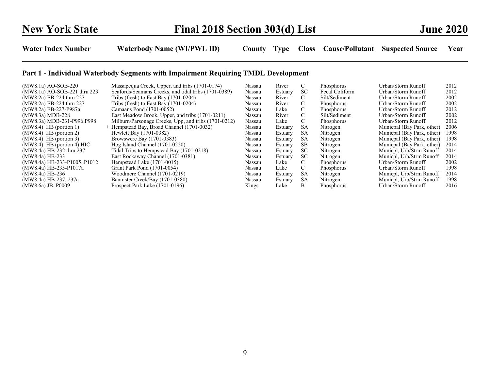| $(MW8.1a)$ AO-SOB-220        | Massapequa Creek, Upper, and tribs (1701-0174)       | Nassau | River   |           | Phosphorus        | Urban/Storm Runoff         | 2012 |
|------------------------------|------------------------------------------------------|--------|---------|-----------|-------------------|----------------------------|------|
| (MW8.1a) AO-SOB-221 thru 223 | Seafords/Seamans Creeks, and tidal tribs (1701-0389) | Nassau | Estuary | SC.       | Fecal Coliform    | Urban/Storm Runoff         | 2012 |
| (MW8.2a) EB-224 thru 227     | Tribs (fresh) to East Bay $(1701-0204)$              | Nassau | River   | C.        | Silt/Sediment     | Urban/Storm Runoff         | 2002 |
| (MW8.2a) EB-224 thru 227     | Tribs (fresh) to East Bay $(1701-0204)$              | Nassau | River   | C         | Phosphorus        | Urban/Storm Runoff         | 2002 |
| (MW8.2a) EB-227-P987a        | Camaans Pond (1701-0052)                             | Nassau | Lake    | C.        | Phosphorus        | Urban/Storm Runoff         | 2012 |
| (MW8.3a) MDB-228             | East Meadow Brook, Upper, and tribs (1701-0211)      | Nassau | River   | C         | Silt/Sediment     | Urban/Storm Runoff         | 2002 |
| (MW8.3a) MDB-231-P996, P998  | Milburn/Parsonage Creeks, Upp, and tribs (1701-0212) | Nassau | Lake    |           | Phosphorus        | Urban/Storm Runoff         | 2012 |
| $(MW8.4)$ HB (portion 1)     | + Hempstead Bay, Broad Channel (1701-0032)           | Nassau | Estuary | <b>SA</b> | Nitrogen          | Municpal (Bay Park, other) | 2006 |
| $(MW8.4)$ HB (portion 2)     | Hewlett Bay (1701-0382)                              | Nassau | Estuary | SA        | Nitrogen          | Municpal (Bay Park, other) | 1998 |
| $(MW8.4)$ HB (portion 3)     | Browswere Bay (1701-0383)                            | Nassau | Estuary | <b>SA</b> | Nitrogen          | Municpal (Bay Park, other) | 1998 |
| $(MW8.4)$ HB (portion 4) HIC | Hog Island Channel (1701-0220)                       | Nassau | Estuary | SВ        | Nitrogen          | Municpal (Bay Park, other) | 2014 |
| (MW8.4a) HB-232 thru 237     | Tidal Tribs to Hempstead Bay (1701-0218)             | Nassau | Estuary | SC        | Nitrogen          | Municpl, Urb/Strm Runoff   | 2014 |
| (MW8.4a) HB-233              | East Rockaway Channel (1701-0381)                    | Nassau | Estuary | SC.       | Nitrogen          | Municpl, Urb/Strm Runoff   | 2014 |
| (MW8.4a) HB-233-P1005P1012   | Hempstead Lake (1701-0015)                           | Nassau | Lake    | C.        | Phosphorus        | Urban/Storm Runoff         | 2002 |
| (MW8.4a) HB-235-P1017a       | Grant Park Pond (1701-0054)                          | Nassau | Lake    | C         | <b>Phosphorus</b> | Urban/Storm Runoff         | 1998 |
| $(MW8.4a)$ HB-236            | Woodmere Channel (1701-0219)                         | Nassau | Estuary | <b>SA</b> | Nitrogen          | Municpl, Urb/Strm Runoff   | 2014 |
| (MW8.4a) HB-237, 237a        | Bannister Creek/Bay (1701-0380)                      | Nassau | Estuary | <b>SA</b> | Nitrogen          | Municpl, Urb/Strm Runoff   | 1998 |
| (MW8.6a) JB. P0009           | Prospect Park Lake (1701-0196)                       | Kings  | Lake    | B         | <b>Phosphorus</b> | Urban/Storm Runoff         | 2016 |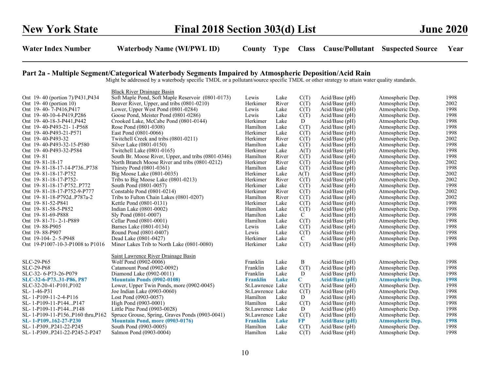#### Part 2a - Multiple Segment/Categorical Waterbody Segments Impaired by Atmospheric Deposition/Acid Rain

Might be addressed by a waterbody specific TMDL or a pollutant/source specific TMDL or other strategy to attain water quality standards.

|                                  | <b>Black River Drainage Basin</b>                   |                  |       |             |                       |                         |      |
|----------------------------------|-----------------------------------------------------|------------------|-------|-------------|-----------------------|-------------------------|------|
| Ont 19-40 (portion 7)/P431,P434  | Soft Maple Pond, Soft Maple Reservoir (0801-0173)   | Lewis            | Lake  | C(T)        | $Acid/Base$ (pH)      | Atmospheric Dep.        | 1998 |
| Ont 19-40 (portion 10)           | Beaver River, Upper, and tribs (0801-0210)          | Herkimer         | River | C(T)        | $Acid/Base$ (pH)      | Atmospheric Dep.        | 2002 |
| Ont 19-40-7-P416, P417           | Lower, Upper West Pond (0801-0284)                  | Lewis            | Lake  | C(T)        | Acid/Base (pH)        | Atmospheric Dep.        | 1998 |
| Ont 19-40-10-4-P419, P286        | Goose Pond, Meister Pond (0801-0286)                | Lewis            | Lake  | C(T)        | $Acid/Base$ (pH)      | Atmospheric Dep.        | 1998 |
| Ont 19-40-18-3-P441, P442        | Crooked Lake, McCabe Pond (0801-0144)               | Herkimer         | Lake  | D           | $Acid/Base$ (pH)      | Atmospheric Dep.        | 1998 |
| Ont 19-40-P493-21-1-P568         | Rose Pond (0801-0308)                               | Hamilton         | Lake  | C(T)        | $Acid/Base$ (pH)      | Atmospheric Dep.        | 1998 |
| Ont 19-40-P493-21-P571           | East Pond (0801-0066)                               | Herkimer         | Lake  | C(T)        | Acid/Base (pH)        | Atmospheric Dep.        | 1998 |
| Ont 19-40-P493-32                | Twitchell Creek and tribs (0801-0211)               | Herkimer         | River | C(T)        | Acid/Base (pH)        | Atmospheric Dep.        | 2002 |
| Ont 19-40-P493-32-15-P580        | Silver Lake (0801-0150)                             | Hamilton         | Lake  | C(T)        | $Acid/Base$ (pH)      | Atmospheric Dep.        | 1998 |
| Ont 19-40-P493-32-P584           | Twitchell Lake (0801-0165)                          | Herkimer         | Lake  | A(T)        | Acid/Base (pH)        | Atmospheric Dep.        | 1998 |
| Ont 19-81                        | South Br. Moose River, Upper, and tribs (0801-0346) | Hamilton         | River | C(T)        | Acid/Base (pH)        | Atmospheric Dep.        | 1998 |
| Ont 19-81-18-17                  | North Branch Moose River and tribs (0801-0212)      | Herkimer         | River | C(T)        | Acid/Base (pH)        | Atmospheric Dep.        | 2002 |
| Ont 19-81-18-17-14-P736P738      | Thirsty Pond (0801-0361)                            | Hamilton         | Lake  | C(T)        | $Acid/Base$ (pH)      | Atmospheric Dep.        | 1998 |
| Ont 19-81-18-17-P752             | Big Moose Lake (0801-0035)                          | Herkimer         | Lake  | A(T)        | $Acid/Base$ (pH)      | Atmospheric Dep.        | 2002 |
| Ont 19-81-18-17-P752-            | Tribs to Big Moose Lake (0801-0213)                 | Herkimer         | River | C(T)        | Acid/Base (pH)        | Atmospheric Dep.        | 2002 |
| Ont 19-81-18-17-P752P772         | South Pond (0801-0057)                              | Herkimer         | Lake  | C(T)        | $Acid/Base$ (pH)      | Atmospheric Dep.        | 1998 |
| Ont 19-81-18-17-P752-9-P777      | Constable Pond (0801-0214)                          | Herkimer         | River | C(T)        | $Acid/Base$ (pH)      | Atmospheric Dep.        | 2002 |
| Ont 19-81-18-P792dP787a-2        | Tribs to Fulton Chain Lakes (0801-0207)             | Hamilton         | River | C(T)        | Acid/Base (pH)        | Atmospheric Dep.        | 2002 |
| Ont 19-81-52-P841                | Kettle Pond (0801-0131)                             | Herkimer         | Lake  | C(T)        | Acid/Base (pH)        | Atmospheric Dep.        | 1998 |
| Ont 19-81-58-5-P852              | Indian Lake (0801-0002)                             | Hamilton         | Lake  | C(T)        | $Acid/Base$ (pH)      | Atmospheric Dep.        | 1998 |
| Ont 19-81-69-P888                | Sly Pond (0801-0007)                                | Hamilton         | Lake  | C           | Acid/Base (pH)        | Atmospheric Dep.        | 1998 |
| Ont 19-81-71-2-1-P889            | Cellar Pond (0801-0001)                             | Hamilton         | Lake  | C(T)        | Acid/Base (pH)        | Atmospheric Dep.        | 1998 |
| Ont 19-88-P905                   | Barnes Lake (0801-0134)                             | Lewis            | Lake  | C(T)        | Acid/Base (pH)        | Atmospheric Dep.        | 1998 |
| Ont 19-88-P907                   | Round Pond (0801-0407)                              | Lewis            | Lake  | C(T)        | Acid/Base (pH)        | Atmospheric Dep.        | 1998 |
| Ont 19-104-2-5-P948              | Dead Lake (0801-0427)                               | Herkimer         | Lake  | C           | $Acid/Base$ (pH)      | Atmospheric Dep.        | 1998 |
| Ont 19-P1007-10-3-P1008 to P1016 | Minor Lakes Trib to North Lake (0801-0080)          | Herkimer         | Lake  | C(T)        | Acid/Base (pH)        | Atmospheric Dep.        | 1998 |
|                                  |                                                     |                  |       |             |                       |                         |      |
|                                  | Saint Lawrence River Drainage Basin                 |                  |       |             |                       |                         |      |
| SLC-29-P65                       | Wolf Pond (0902-0006)                               | Franklin         | Lake  | B           | Acid/Base (pH)        | Atmospheric Dep.        | 1998 |
| SLC-29-P68                       | Catamount Pond (0902-0092)                          | Franklin         | Lake  | C(T)        | Acid/Base (pH)        | Atmospheric Dep.        | 1998 |
| SLC-32-6-P73-26-P079             | Diamond Lake (0902-0011)                            | Franklin         | Lake  | D           | Acid/Base (pH)        | Atmospheric Dep.        | 1998 |
| SLC-32-6-P7331-P86, P87          | <b>Mountain Ponds (0902-0108)</b>                   | <b>Franklin</b>  | Lake  | $\mathbf C$ | <b>Acid/Base (pH)</b> | <b>Atmospheric Dep.</b> | 1998 |
| SLC-32-20-41-P101, P102          | Lower, Upper Twin Ponds, more (0902-0045)           | St.Lawrence Lake |       | C(T)        | $Acid/Base$ (pH)      | Atmospheric Dep.        | 1998 |
| SL-1-46-P31                      | Joe Indian Lake (0903-0060)                         | St.Lawrence Lake |       | C(T)        | $Acid/Base$ (pH)      | Atmospheric Dep.        | 1998 |
| SL-1-P109-11-2-4-P116            | Lost Pond (0903-0057)                               | Hamilton         | Lake  | D           | Acid/Base (pH)        | Atmospheric Dep.        | 1998 |
| SL-1-P109-11-P144P147            | High Pond (0903-0001)                               | Hamilton         | Lake  | C(T)        | $Acid/Base$ (pH)      | Atmospheric Dep.        | 1998 |
| SL-1-P109-11-P144P148            | Little Pine Pond (0903-0028)                        | St.Lawrence Lake |       | D           | Acid/Base (pH)        | Atmospheric Dep.        | 1998 |
| SL-1-P109-11-P156P160 thru, P162 | Spruce Grouse, Spring, Graves Ponds (0903-0041)     | St.Lawrence Lake |       | C(T)        | Acid/Base (pH)        | Atmospheric Dep.        | 1998 |
| SL-1-P109162-27-P230             | <b>Mountain Pond, more (0903-0176)</b>              | <b>Franklin</b>  | Lake  | $\bf FP$    | <b>Acid/Base (pH)</b> | <b>Atmospheric Dep.</b> | 1998 |
| SL-1-P309P241-22-P245            | South Pond (0903-0005)                              | Hamilton         | Lake  | C(T)        | $Acid/Base$ (pH)      | Atmospheric Dep.        | 1998 |
| SL-1-P309P241-22-P245-2-P247     | Salmon Pond (0903-0004)                             | Hamilton         | Lake  | C(T)        | Acid/Base (pH)        | Atmospheric Dep.        | 1998 |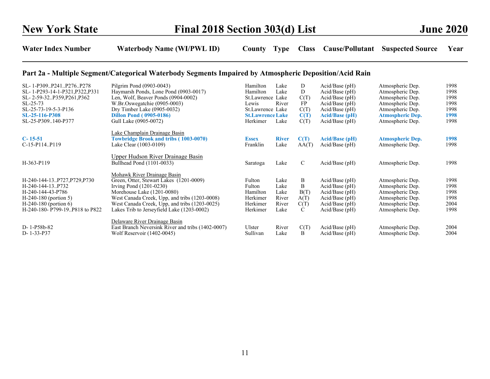## Part 2a - Multiple Segment/Categorical Waterbody Segments Impaired by Atmospheric Deposition/Acid Rain

| SL-1-P309P241P276P278<br>SL-1-P293-14-1-P321, P322, P331<br>SL-2-59-32P359,P261,P362<br>$SL-25-73$<br>SL-25-73-19-5-3-P136                                  | Pilgrim Pond (0903-0043)<br>Haymarsh Ponds, Lone Pond (0903-0017)<br>Len, Wolf, Beaver Ponds (0904-0002)<br>W.Br.Oswegatchie (0905-0003)<br>Dry Timber Lake $(0905-0032)$                                                                                                         | Hamilton<br>Hamilton<br>St.Lawrence Lake<br>Lewis<br>St.Lawrence Lake | Lake<br>Lake<br>River                          | D<br>D<br>C(T)<br>FP<br>C(T)        | $Acid/Base$ (pH)<br>$Acid/Base$ (pH)<br>$Acid/Base$ (pH)<br>Acid/Base (pH)<br>$Acid/Base$ (pH)                     | Atmospheric Dep.<br>Atmospheric Dep.<br>Atmospheric Dep.<br>Atmospheric Dep.<br>Atmospheric Dep.                     | 1998<br>1998<br>1998<br>1998<br>1998         |
|-------------------------------------------------------------------------------------------------------------------------------------------------------------|-----------------------------------------------------------------------------------------------------------------------------------------------------------------------------------------------------------------------------------------------------------------------------------|-----------------------------------------------------------------------|------------------------------------------------|-------------------------------------|--------------------------------------------------------------------------------------------------------------------|----------------------------------------------------------------------------------------------------------------------|----------------------------------------------|
| SL-25-116-P308<br>SL-25-P309140-P377                                                                                                                        | <b>Dillon Pond (0905-0186)</b><br>Gull Lake (0905-0072)                                                                                                                                                                                                                           | <b>St.Lawrence Lake</b><br>Herkimer                                   | Lake                                           | C(T)<br>C(T)                        | <b>Acid/Base (pH)</b><br>$Acid/Base$ (pH)                                                                          | <b>Atmospheric Dep.</b><br>Atmospheric Dep.                                                                          | 1998<br>1998                                 |
| $C-15-51$<br>C-15-P114P119                                                                                                                                  | Lake Champlain Drainage Basin<br><b>Towbridge Brook and tribs (1003-0070)</b><br>Lake Clear (1003-0109)                                                                                                                                                                           | <b>Essex</b><br>Franklin                                              | <b>River</b><br>Lake                           | C(T)<br>AA(T)                       | <b>Acid/Base (pH)</b><br>$Acid/Base$ (pH)                                                                          | <b>Atmospheric Dep.</b><br>Atmospheric Dep.                                                                          | 1998<br>1998                                 |
| H-363-P119                                                                                                                                                  | <u>Upper Hudson River Drainage Basin</u><br>Bullhead Pond (1101-0033)                                                                                                                                                                                                             | Saratoga                                                              | Lake                                           | $\mathcal{C}$                       | $Acid/Base$ (pH)                                                                                                   | Atmospheric Dep.                                                                                                     | 1998                                         |
| H-240-144-13P727,P729,P730<br>H-240-144-13P732<br>H-240-144-43-P786<br>$H-240-180$ (portion 5)<br>$H-240-180$ (portion 6)<br>H-240-180- P799-19P818 to P822 | Mohawk River Drainage Basin<br>Green, Otter, Stewart Lakes (1201-0009)<br>Irving Pond $(1201-0230)$<br>Morehouse Lake (1201-0080)<br>West Canada Creek, Upp, and tribs (1203-0008)<br>West Canada Creek, Upp, and tribs (1203-0025)<br>Lakes Trib to Jerseyfield Lake (1203-0002) | Fulton<br>Fulton<br>Hamilton<br>Herkimer<br>Herkimer<br>Herkimer      | Lake<br>Lake<br>Lake<br>River<br>River<br>Lake | B<br>B<br>B(T)<br>A(T)<br>C(T)<br>C | $Acid/Base$ (pH)<br>$Acid/Base$ (pH)<br>$Acid/Base$ (pH)<br>Acid/Base (pH)<br>$Acid/Base$ (pH)<br>$Acid/Base$ (pH) | Atmospheric Dep.<br>Atmospheric Dep.<br>Atmospheric Dep.<br>Atmospheric Dep.<br>Atmospheric Dep.<br>Atmospheric Dep. | 1998<br>1998<br>1998<br>1998<br>2004<br>1998 |
| D-1-P58b-82<br>D-1-33-P37                                                                                                                                   | Delaware River Drainage Basin<br>East Branch Neversink River and tribs (1402-0007)<br>Wolf Reservoir (1402-0045)                                                                                                                                                                  | Ulster<br>Sullivan                                                    | River<br>Lake                                  | C(T)<br>B                           | $Acid/Base$ (pH)<br>Acid/Base (pH)                                                                                 | Atmospheric Dep.<br>Atmospheric Dep.                                                                                 | 2004<br>2004                                 |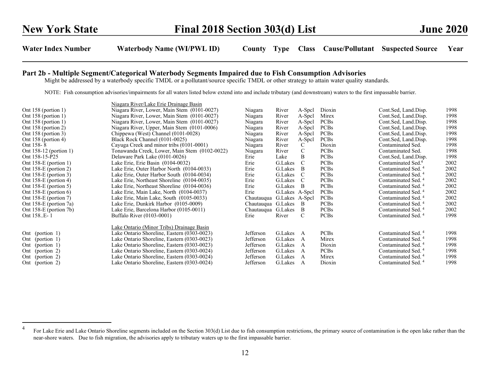#### Part 2b - Multiple Segment/Categorical Waterbody Segments Impaired due to Fish Consumption Advisories

Might be addressed by a waterbody specific TMDL or a pollutant/source specific TMDL or other strategy to attain water quality standards.

NOTE: Fish consumption advisories/impairments for all waters listed below extend into and include tributary (and downstream) waters to the first impassable barrier.

|                          | Niagara River/Lake Erie Drainage Basin        |                    |                |             |             |                                |      |
|--------------------------|-----------------------------------------------|--------------------|----------------|-------------|-------------|--------------------------------|------|
| Ont $158$ (portion 1)    | Niagara River, Lower, Main Stem (0101-0027)   | Niagara            | River          | A-Spcl      | Dioxin      | Cont.Sed, Land.Disp.           | 1998 |
| Ont 158 (portion 1)      | Niagara River, Lower, Main Stem (0101-0027)   | Niagara            | River          | A-Spcl      | Mirex       | Cont.Sed, Land.Disp.           | 1998 |
| Ont $158$ (portion 1)    | Niagara River, Lower, Main Stem (0101-0027)   | Niagara            | River          | A-Spcl      | <b>PCBs</b> | Cont.Sed, Land.Disp.           | 1998 |
| Ont 158 (portion 2)      | Niagara River, Upper, Main Stem (0101-0006)   | Niagara            | River          | A-Spcl      | <b>PCBs</b> | Cont.Sed, Land.Disp.           | 1998 |
| Ont 158 (portion 3)      | Chippewa (West) Channel (0101-0028)           | Niagara            | River          | A-Spcl      | <b>PCBs</b> | Cont.Sed, Land.Disp.           | 1998 |
| Ont 158 (portion 4)      | Black Rock Channel (0101-0025)                | Niagara            | River          | A-Spcl      | <b>PCBs</b> | Cont.Sed, Land.Disp.           | 1998 |
| Ont 158-8                | Cayuga Creek and minor tribs (0101-0001)      | Niagara            | River          | C           | Dioxin      | Contaminated Sed.              | 1998 |
| Ont $158-12$ (portion 1) | Tonawanda Creek, Lower, Main Stem (0102-0022) | Niagara            | River          | C           | <b>PCBs</b> | Contaminated Sed.              | 1998 |
| Ont 158-15-P25           | Delaware Park Lake (0101-0026)                | Erie               | Lake           | B.          | <b>PCBs</b> | Cont.Sed, Land.Disp.           | 1998 |
| Ont 158-E (portion 1)    | Lake Erie, Erie Basin (0104-0032)             | Erie               | G.Lakes        | $\mathbf C$ | <b>PCBs</b> | Contaminated Sed. <sup>4</sup> | 2002 |
| Ont $158-E$ (portion 2)  | Lake Erie, Outer Harbor North (0104-0033)     | Erie               | G.Lakes        | B           | <b>PCBs</b> | Contaminated Sed. <sup>4</sup> | 2002 |
| Ont 158-E (portion 3)    | Lake Erie, Outer Harbor South (0104-0034)     | Erie               | G.Lakes        | C           | <b>PCBs</b> | Contaminated Sed. <sup>4</sup> | 2002 |
| Ont $158-E$ (portion 4)  | Lake Erie, Northeast Shoreline (0104-0035)    | Erie               | G.Lakes        | C           | <b>PCBs</b> | Contaminated Sed. <sup>4</sup> | 2002 |
| Ont $158-E$ (portion 5)  | Lake Erie, Northeast Shoreline (0104-0036)    | Erie               | G.Lakes        | B           | <b>PCBs</b> | Contaminated Sed. <sup>4</sup> | 2002 |
| Ont $158-E$ (portion 6)  | Lake Erie, Main Lake, North (0104-0037)       | Erie               | G.Lakes A-Spcl |             | <b>PCBs</b> | Contaminated Sed. <sup>4</sup> | 2002 |
| Ont 158-E (portion 7)    | Lake Erie, Main Lake, South (0105-0033)       | Chautauqua         | G.Lakes A-Spcl |             | <b>PCBs</b> | Contaminated Sed. <sup>4</sup> | 2002 |
| Ont 158-E (portion 7a)   | Lake Erie, Dunkirk Harbor (0105-0009)         | Chautauqua G.Lakes |                | - B         | <b>PCBs</b> | Contaminated Sed. <sup>4</sup> | 2002 |
| Ont 158-E (portion 7b)   | Lake Erie, Barcelona Harbor (0105-0011)       | Chautauqua G.Lakes |                | B           | <b>PCBs</b> | Contaminated Sed. <sup>4</sup> | 2002 |
| Ont 158E-1               | Buffalo River (0103-0001)                     | Erie               | River          | C           | <b>PCBs</b> | Contaminated Sed. <sup>4</sup> | 1998 |
|                          | Lake Ontario (Minor Tribs) Drainage Basin     |                    |                |             |             |                                |      |
| Ont (portion 1)          | Lake Ontario Shoreline, Eastern (0303-0023)   | Jefferson          | G.Lakes        | A           | <b>PCBs</b> | Contaminated Sed. <sup>4</sup> | 1998 |
| (portion 1)<br>Ont       | Lake Ontario Shoreline, Eastern (0303-0023)   | Jefferson          | G.Lakes        | A           | Mirex       | Contaminated Sed. <sup>4</sup> | 1998 |
| Ont (portion 1)          | Lake Ontario Shoreline, Eastern (0303-0023)   | Jefferson          | G.Lakes        | A           | Dioxin      | Contaminated Sed. <sup>4</sup> | 1998 |
| Ont (portion 2)          | Lake Ontario Shoreline, Eastern (0303-0024)   | Jefferson          | G.Lakes        | A           | <b>PCBs</b> | Contaminated Sed. <sup>4</sup> | 1998 |
| Ont (portion 2)          | Lake Ontario Shoreline, Eastern (0303-0024)   | Jefferson          | G.Lakes        | A           | Mirex       | Contaminated Sed. <sup>4</sup> | 1998 |
| Ont (portion 2)          | Lake Ontario Shoreline, Eastern (0303-0024)   | Jefferson          | G.Lakes        | A           | Dioxin      | Contaminated Sed. <sup>4</sup> | 1998 |
|                          |                                               |                    |                |             |             |                                |      |

<sup>&</sup>lt;sup>4</sup> For Lake Erie and Lake Ontario Shoreline segments included on the Section 303(d) List due to fish consumption restrictions, the primary source of contamination is the open lake rather than the near-shore waters. Due to fish migration, the advisories apply to tributary waters up to the first impassable barrier.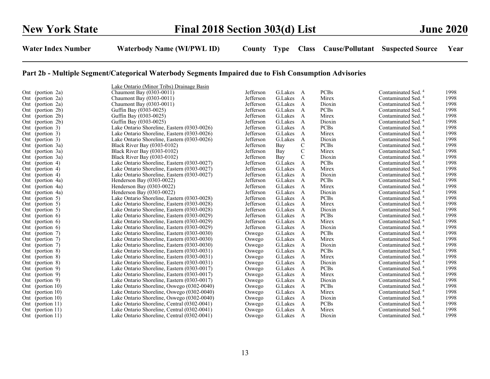|     |                    | Lake Ontario (Minor Tribs) Drainage Basin   |           |         |                |             |                                |      |
|-----|--------------------|---------------------------------------------|-----------|---------|----------------|-------------|--------------------------------|------|
|     | Ont (portion 2a)   | Chaumont Bay (0303-0011)                    | Jefferson | G.Lakes | A              | <b>PCBs</b> | Contaminated Sed. <sup>4</sup> | 1998 |
|     | Ont (portion 2a)   | Chaumont Bay (0303-0011)                    | Jefferson | G.Lakes | A              | Mirex       | Contaminated Sed. <sup>4</sup> | 1998 |
|     | Ont (portion 2a)   | Chaumont Bay (0303-0011)                    | Jefferson | G.Lakes | A              | Dioxin      | Contaminated Sed. <sup>4</sup> | 1998 |
|     | Ont (portion 2b)   | Guffin Bay (0303-0025)                      | Jefferson | G.Lakes | A              | <b>PCBs</b> | Contaminated Sed. <sup>4</sup> | 1998 |
|     | Ont (portion 2b)   | Guffin Bay (0303-0025)                      | Jefferson | G.Lakes | $\mathbf{A}$   | Mirex       | Contaminated Sed. <sup>4</sup> | 1998 |
| Ont | (portion 2b)       | Guffin Bay (0303-0025)                      | Jefferson | G.Lakes | A              | Dioxin      | Contaminated Sed. <sup>4</sup> | 1998 |
|     | Ont (portion 3)    | Lake Ontario Shoreline, Eastern (0303-0026) | Jefferson | G.Lakes | A              | <b>PCBs</b> | Contaminated Sed. <sup>4</sup> | 1998 |
|     | Ont (portion 3)    | Lake Ontario Shoreline, Eastern (0303-0026) | Jefferson | G.Lakes | A              | Mirex       | Contaminated Sed. <sup>4</sup> | 1998 |
|     | Ont (portion 3)    | Lake Ontario Shoreline, Eastern (0303-0026) | Jefferson | G.Lakes | A              | Dioxin      | Contaminated Sed. <sup>4</sup> | 1998 |
| Ont | (portion 3a)       | Black River Bay (0303-0102)                 | Jefferson | Bay     | C              | <b>PCBs</b> | Contaminated Sed. <sup>4</sup> | 1998 |
| Ont | (portion 3a)       | Black River Bay (0303-0102)                 | Jefferson | Bay     | C              | Mirex       | Contaminated Sed. <sup>4</sup> | 1998 |
| Ont | (portion 3a)       | Black River Bay (0303-0102)                 | Jefferson | Bay     | C              | Dioxin      | Contaminated Sed. <sup>4</sup> | 1998 |
|     | Ont (portion 4)    | Lake Ontario Shoreline, Eastern (0303-0027) | Jefferson | G.Lakes | A              | <b>PCBs</b> | Contaminated Sed. <sup>4</sup> | 1998 |
|     | Ont (portion 4)    | Lake Ontario Shoreline, Eastern (0303-0027) | Jefferson | G.Lakes | $\mathbf{A}$   | Mirex       | Contaminated Sed. <sup>4</sup> | 1998 |
|     | Ont (portion 4)    | Lake Ontario Shoreline, Eastern (0303-0027) | Jefferson | G.Lakes | A              | Dioxin      | Contaminated Sed. <sup>4</sup> | 1998 |
| Ont | (portion 4a)       | Henderson Bay (0303-0022)                   | Jefferson | G.Lakes | $\overline{A}$ | <b>PCBs</b> | Contaminated Sed. <sup>4</sup> | 1998 |
|     | Ont (portion 4a)   | Henderson Bay (0303-0022)                   | Jefferson | G.Lakes | A              | Mirex       | Contaminated Sed. <sup>4</sup> | 1998 |
| Ont | (portion 4a)       | Henderson Bay (0303-0022)                   | Jefferson | G.Lakes | A              | Dioxin      | Contaminated Sed. <sup>4</sup> | 1998 |
|     | Ont (portion 5)    | Lake Ontario Shoreline, Eastern (0303-0028) | Jefferson | G.Lakes | A              | <b>PCBs</b> | Contaminated Sed. <sup>4</sup> | 1998 |
|     | Ont (portion 5)    | Lake Ontario Shoreline, Eastern (0303-0028) | Jefferson | G.Lakes | A              | Mirex       | Contaminated Sed. <sup>4</sup> | 1998 |
|     | Ont (portion 5)    | Lake Ontario Shoreline, Eastern (0303-0028) | Jefferson | G.Lakes | A              | Dioxin      | Contaminated Sed. <sup>4</sup> | 1998 |
|     | Ont (portion $6$ ) | Lake Ontario Shoreline, Eastern (0303-0029) | Jefferson | G.Lakes | A              | <b>PCBs</b> | Contaminated Sed. <sup>4</sup> | 1998 |
|     | Ont (portion 6)    | Lake Ontario Shoreline, Eastern (0303-0029) | Jefferson | G.Lakes | A              | Mirex       | Contaminated Sed. <sup>4</sup> | 1998 |
|     | Ont (portion $6$ ) | Lake Ontario Shoreline, Eastern (0303-0029) | Jefferson | G.Lakes | A              | Dioxin      | Contaminated Sed. <sup>4</sup> | 1998 |
|     | Ont (portion 7)    | Lake Ontario Shoreline, Eastern (0303-0030) | Oswego    | G.Lakes | A              | <b>PCBs</b> | Contaminated Sed. <sup>4</sup> | 1998 |
|     | Ont (portion 7)    | Lake Ontario Shoreline, Eastern (0303-0030) | Oswego    | G.Lakes | A              | Mirex       | Contaminated Sed. <sup>4</sup> | 1998 |
|     | Ont (portion 7)    | Lake Ontario Shoreline, Eastern (0303-0030) | Oswego    | G.Lakes | $\mathbf{A}$   | Dioxin      | Contaminated Sed. <sup>4</sup> | 1998 |
|     | Ont (portion 8)    | Lake Ontario Shoreline, Eastern (0303-0031) | Oswego    | G.Lakes | A              | <b>PCBs</b> | Contaminated Sed. <sup>4</sup> | 1998 |
|     | Ont (portion 8)    | Lake Ontario Shoreline, Eastern (0303-0031) | Oswego    | G.Lakes | A              | Mirex       | Contaminated Sed. <sup>4</sup> | 1998 |
|     | Ont (portion 8)    | Lake Ontario Shoreline, Eastern (0303-0031) | Oswego    | G.Lakes | A              | Dioxin      | Contaminated Sed. <sup>4</sup> | 1998 |
| Ont | (portion 9)        | Lake Ontario Shoreline, Eastern (0303-0017) | Oswego    | G.Lakes | A              | <b>PCBs</b> | Contaminated Sed. <sup>4</sup> | 1998 |
| Ont | (portion 9)        | Lake Ontario Shoreline, Eastern (0303-0017) | Oswego    | G.Lakes | A              | Mirex       | Contaminated Sed. <sup>4</sup> | 1998 |
|     | Ont (portion 9)    | Lake Ontario Shoreline, Eastern (0303-0017) | Oswego    | G.Lakes | A              | Dioxin      | Contaminated Sed. <sup>4</sup> | 1998 |
|     | Ont (portion 10)   | Lake Ontario Shoreline, Oswego (0302-0040)  | Oswego    | G.Lakes | A              | <b>PCBs</b> | Contaminated Sed. <sup>4</sup> | 1998 |
|     | Ont (portion 10)   | Lake Ontario Shoreline, Oswego (0302-0040)  | Oswego    | G.Lakes | A              | Mirex       | Contaminated Sed. <sup>4</sup> | 1998 |
|     | Ont (portion 10)   | Lake Ontario Shoreline, Oswego (0302-0040)  | Oswego    | G.Lakes | A              | Dioxin      | Contaminated Sed. <sup>4</sup> | 1998 |
|     | Ont (portion 11)   | Lake Ontario Shoreline, Central (0302-0041) | Oswego    | G.Lakes | A              | <b>PCBs</b> | Contaminated Sed. <sup>4</sup> | 1998 |
|     | Ont (portion 11)   | Lake Ontario Shoreline, Central (0302-0041) | Oswego    | G.Lakes | A              | Mirex       | Contaminated Sed. <sup>4</sup> | 1998 |
|     | Ont (portion 11)   | Lake Ontario Shoreline, Central (0302-0041) | Oswego    | G.Lakes | $\mathbf{A}$   | Dioxin      | Contaminated Sed. <sup>4</sup> | 1998 |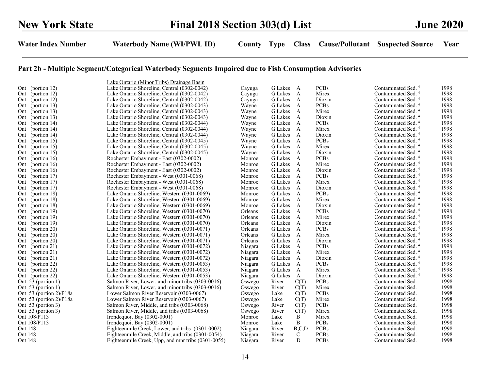|         |                            | Lake Ontario (Minor Tribs) Drainage Basin          |         |         |              |             |                                |      |
|---------|----------------------------|----------------------------------------------------|---------|---------|--------------|-------------|--------------------------------|------|
|         | Ont (portion 12)           | Lake Ontario Shoreline, Central (0302-0042)        | Cayuga  | G.Lakes | A            | <b>PCBs</b> | Contaminated Sed. <sup>4</sup> | 1998 |
|         | Ont (portion 12)           | Lake Ontario Shoreline, Central (0302-0042)        | Cayuga  | G.Lakes | $\mathbf{A}$ | Mirex       | Contaminated Sed. <sup>4</sup> | 1998 |
|         | Ont (portion 12)           | Lake Ontario Shoreline, Central (0302-0042)        | Cayuga  | G.Lakes | A            | Dioxin      | Contaminated Sed. <sup>4</sup> | 1998 |
|         | Ont (portion 13)           | Lake Ontario Shoreline, Central (0302-0043)        | Wayne   | G.Lakes | A            | <b>PCBs</b> | Contaminated Sed. <sup>4</sup> | 1998 |
|         | Ont (portion 13)           | Lake Ontario Shoreline, Central (0302-0043)        | Wayne   | G.Lakes | A            | Mirex       | Contaminated Sed. <sup>4</sup> | 1998 |
| Ont     | (portion $13$ )            | Lake Ontario Shoreline, Central (0302-0043)        | Wayne   | G.Lakes | A            | Dioxin      | Contaminated Sed. <sup>4</sup> | 1998 |
|         | Ont (portion 14)           | Lake Ontario Shoreline, Central (0302-0044)        | Wayne   | G.Lakes | A            | <b>PCBs</b> | Contaminated Sed. <sup>4</sup> | 1998 |
| Ont     | (portion $14$ )            | Lake Ontario Shoreline, Central (0302-0044)        | Wayne   | G.Lakes | A            | Mirex       | Contaminated Sed. <sup>4</sup> | 1998 |
|         | Ont (portion 14)           | Lake Ontario Shoreline, Central (0302-0044)        | Wayne   | G.Lakes | A            | Dioxin      | Contaminated Sed. <sup>4</sup> | 1998 |
|         | Ont (portion 15)           | Lake Ontario Shoreline, Central (0302-0045)        | Wayne   | G.Lakes | A            | <b>PCBs</b> | Contaminated Sed. <sup>4</sup> | 1998 |
| Ont     | (portion 15)               | Lake Ontario Shoreline, Central (0302-0045)        | Wayne   | G.Lakes | A            | Mirex       | Contaminated Sed. <sup>4</sup> | 1998 |
| Ont     | (portion 15)               | Lake Ontario Shoreline, Central (0302-0045)        | Wayne   | G.Lakes | A            | Dioxin      | Contaminated Sed. <sup>4</sup> | 1998 |
| Ont     | (portion 16)               | Rochester Embayment - East (0302-0002)             | Monroe  | G.Lakes | $\mathbf{A}$ | <b>PCBs</b> | Contaminated Sed. <sup>4</sup> | 1998 |
|         | Ont (portion 16)           | Rochester Embayment - East (0302-0002)             | Monroe  | G.Lakes | A            | Mirex       | Contaminated Sed. <sup>4</sup> | 1998 |
| Ont     | (portion $16$ )            | Rochester Embayment - East (0302-0002)             | Monroe  | G.Lakes | A            | Dioxin      | Contaminated Sed. <sup>4</sup> | 1998 |
|         | Ont (portion 17)           | Rochester Embayment - West (0301-0068)             | Monroe  | G.Lakes | A            | <b>PCBs</b> | Contaminated Sed. <sup>4</sup> | 1998 |
|         | Ont (portion 17)           | Rochester Embayment - West (0301-0068)             | Monroe  | G.Lakes | $\mathbf{A}$ | Mirex       | Contaminated Sed. <sup>4</sup> | 1998 |
| Ont     | (portion $17$ )            | Rochester Embayment - West (0301-0068)             | Monroe  | G.Lakes | $\mathbf{A}$ | Dioxin      | Contaminated Sed. <sup>4</sup> | 1998 |
| Ont     | (portion 18)               | Lake Ontario Shoreline, Western (0301-0069)        | Monroe  | G.Lakes | A            | <b>PCBs</b> | Contaminated Sed. <sup>4</sup> | 1998 |
|         | Ont (portion 18)           | Lake Ontario Shoreline, Western (0301-0069)        | Monroe  | G.Lakes | $\mathbf{A}$ | Mirex       | Contaminated Sed. <sup>4</sup> | 1998 |
| Ont     | (portion $18$ )            | Lake Ontario Shoreline, Western (0301-0069)        | Monroe  | G.Lakes | A            | Dioxin      | Contaminated Sed. <sup>4</sup> | 1998 |
|         | Ont (portion 19)           | Lake Ontario Shoreline, Western (0301-0070)        | Orleans | G.Lakes | $\mathbf{A}$ | <b>PCBs</b> | Contaminated Sed. <sup>4</sup> | 1998 |
|         | Ont (portion 19)           | Lake Ontario Shoreline, Western (0301-0070)        | Orleans | G.Lakes | $\mathbf{A}$ | Mirex       | Contaminated Sed. <sup>4</sup> | 1998 |
| Ont     | (portion 19)               | Lake Ontario Shoreline, Western (0301-0070)        | Orleans | G.Lakes | A            | Dioxin      | Contaminated Sed. <sup>4</sup> | 1998 |
|         | Ont (portion 20)           | Lake Ontario Shoreline, Western (0301-0071)        | Orleans | G.Lakes | A            | <b>PCBs</b> | Contaminated Sed. <sup>4</sup> | 1998 |
| Ont     | (portion 20)               | Lake Ontario Shoreline, Western (0301-0071)        | Orleans | G.Lakes | $\mathbf{A}$ | Mirex       | Contaminated Sed. <sup>4</sup> | 1998 |
|         | Ont (portion 20)           | Lake Ontario Shoreline, Western (0301-0071)        | Orleans | G.Lakes | A            | Dioxin      | Contaminated Sed. <sup>4</sup> | 1998 |
|         | Ont (portion 21)           | Lake Ontario Shoreline, Western (0301-0072)        | Niagara | G.Lakes | A            | <b>PCBs</b> | Contaminated Sed. <sup>4</sup> | 1998 |
| Ont     | (portion 21)               | Lake Ontario Shoreline, Western (0301-0072)        | Niagara | G.Lakes | A            | Mirex       | Contaminated Sed. <sup>4</sup> | 1998 |
|         | Ont (portion 21)           | Lake Ontario Shoreline, Western (0301-0072)        | Niagara | G.Lakes | $\mathbf{A}$ | Dioxin      | Contaminated Sed. <sup>4</sup> | 1998 |
| Ont     | (portion 22)               | Lake Ontario Shoreline, Western (0301-0053)        | Niagara | G.Lakes | A            | <b>PCBs</b> | Contaminated Sed. <sup>4</sup> | 1998 |
|         | Ont (portion 22)           | Lake Ontario Shoreline, Western (0301-0053)        | Niagara | G.Lakes | A            | Mirex       | Contaminated Sed. <sup>4</sup> | 1998 |
|         | Ont (portion 22)           | Lake Ontario Shoreline, Western (0301-0053)        | Niagara | G.Lakes | $\mathbf{A}$ | Dioxin      | Contaminated Sed. <sup>4</sup> | 1998 |
|         | Ont $53$ (portion 1)       | Salmon River, Lower, and minor tribs (0303-0016)   | Oswego  | River   | C(T)         | <b>PCBs</b> | Contaminated Sed.              | 1998 |
|         | Ont $53$ (portion 1)       | Salmon River, Lower, and minor tribs (0303-0016)   | Oswego  | River   | C(T)         | Mirex       | Contaminated Sed.              | 1998 |
|         | Ont 53 (portion 2)/P18a    | Lower Salmon River Reservoir (0303-0067)           | Oswego  | Lake    | C(T)         | <b>PCBs</b> | Contaminated Sed.              | 1998 |
|         | Ont 53 (portion $2$ )/P18a | Lower Salmon River Reservoir (0303-0067)           | Oswego  | Lake    | C(T)         | Mirex       | Contaminated Sed.              | 1998 |
|         | Ont 53 (portion 3)         | Salmon River, Middle, and tribs (0303-0068)        | Oswego  | River   | C(T)         | <b>PCBs</b> | Contaminated Sed.              | 1998 |
|         | Ont 53 (portion 3)         | Salmon River, Middle, and tribs (0303-0068)        | Oswego  | River   | C(T)         | Mirex       | Contaminated Sed.              | 1998 |
|         | Ont 108/P113               | Irondequoit Bay (0302-0001)                        | Monroe  | Lake    | B            | Mirex       | Contaminated Sed.              | 1998 |
|         | Ont 108/P113               | Irondequoit Bay (0302-0001)                        | Monroe  | Lake    | B            | <b>PCBs</b> | Contaminated Sed.              | 1998 |
| Ont 148 |                            | Eighteenmile Creek, Lower, and tribs (0301-0002)   | Niagara | River   | B.C.D        | PCBs        | Contaminated Sed.              | 1998 |
| Ont 148 |                            | Eighteenmile Creek, Middle, and tribs (0301-0054)  | Niagara | River   | C            | PCBs        | Contaminated Sed.              | 1998 |
| Ont 148 |                            | Eighteenmile Creek, Upp, and mnr tribs (0301-0055) | Niagara | River   | D            | <b>PCBs</b> | Contaminated Sed.              | 1998 |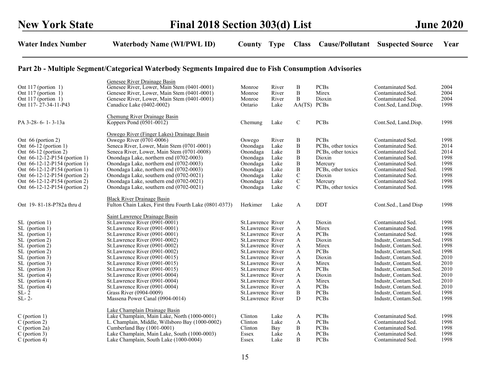| Ont $117$ (portion 1)<br>Ont $117$ (portion 1)<br>Ont $117$ (portion 1)<br>Ont 117-27-34-11-P43                                                                                                                                                                                | Genesee River Drainage Basin<br>Genesee River, Lower, Main Stem (0401-0001)<br>Genesee River, Lower, Main Stem (0401-0001)<br>Genesee River, Lower, Main Stem (0401-0001)<br>Canadice Lake (0402-0002)                                                                                                                                                                                                                                                                                                     | Monroe<br>Monroe<br>Monroe<br>Ontario                                                                                                                                                                                                                                                              | River<br>River<br>River<br>Lake                                       | B<br>B<br>B<br>AA(TS) PCBs                                                                                                       | <b>PCBs</b><br>Mirex<br>Dioxin                                                                                                                                     | Contaminated Sed.<br>Contaminated.Sed.<br>Contaminated Sed.<br>Cont.Sed, Land.Disp.                                                                                                                                                                                                                                                 | 2004<br>2004<br>2004<br>1998                                                                                 |
|--------------------------------------------------------------------------------------------------------------------------------------------------------------------------------------------------------------------------------------------------------------------------------|------------------------------------------------------------------------------------------------------------------------------------------------------------------------------------------------------------------------------------------------------------------------------------------------------------------------------------------------------------------------------------------------------------------------------------------------------------------------------------------------------------|----------------------------------------------------------------------------------------------------------------------------------------------------------------------------------------------------------------------------------------------------------------------------------------------------|-----------------------------------------------------------------------|----------------------------------------------------------------------------------------------------------------------------------|--------------------------------------------------------------------------------------------------------------------------------------------------------------------|-------------------------------------------------------------------------------------------------------------------------------------------------------------------------------------------------------------------------------------------------------------------------------------------------------------------------------------|--------------------------------------------------------------------------------------------------------------|
| PA 3-28-6-1-3-13a                                                                                                                                                                                                                                                              | Chemung River Drainage Basin<br>Koppers Pond (0501-0012)                                                                                                                                                                                                                                                                                                                                                                                                                                                   | Chemung                                                                                                                                                                                                                                                                                            | Lake                                                                  | $\mathcal{C}$                                                                                                                    | <b>PCBs</b>                                                                                                                                                        | Cont.Sed, Land.Disp.                                                                                                                                                                                                                                                                                                                | 1998                                                                                                         |
| Ont 66 (portion 2)<br>Ont $66-12$ (portion 1)<br>Ont $66-12$ (portion 2)<br>Ont 66-12-12-P154 (portion 1)<br>Ont 66-12-12-P154 (portion 1)<br>Ont 66-12-12-P154 (portion 1)<br>Ont 66-12-12-P154 (portion 2)<br>Ont 66-12-12-P154 (portion 2)<br>Ont 66-12-12-P154 (portion 2) | Oswego River (Finger Lakes) Drainage Basin<br>Oswego River (0701-0006)<br>Seneca River, Lower, Main Stem (0701-0001)<br>Seneca River, Lower, Main Stem (0701-0008)<br>Onondaga Lake, northern end (0702-0003)<br>Onondaga Lake, northern end (0702-0003)<br>Onondaga Lake, northern end (0702-0003)<br>Onondaga Lake, southern end (0702-0021)<br>Onondaga Lake, southern end (0702-0021)<br>Onondaga Lake, southern end (0702-0021)                                                                       | Oswego<br>Onondaga<br>Onondaga<br>Onondaga<br>Onondaga<br>Onondaga<br>Onondaga<br>Onondaga<br>Onondaga                                                                                                                                                                                             | River<br>Lake<br>Lake<br>Lake<br>Lake<br>Lake<br>Lake<br>Lake<br>Lake | B<br>$\overline{B}$<br>$\boldsymbol{B}$<br>$\overline{B}$<br>$\boldsymbol{B}$<br>B<br>$\mathbf C$<br>$\mathbf C$<br>$\mathsf{C}$ | <b>PCBs</b><br>PCBs, other toxics<br>PCBs, other toxics<br>Dioxin<br>Mercury<br>PCBs, other toxics<br>Dioxin<br>Mercury<br>PCBs, other toxics                      | Contaminated Sed.<br>Contaminated Sed.<br>Contaminated Sed.<br>Contaminated Sed.<br>Contaminated Sed.<br>Contaminated Sed.<br>Contaminated Sed.<br>Contaminated Sed.<br>Contaminated Sed.                                                                                                                                           | 1998<br>2014<br>2014<br>1998<br>1998<br>1998<br>1998<br>1998<br>1998                                         |
| Ont 19-81-18-P782a thru d                                                                                                                                                                                                                                                      | <b>Black River Drainage Basin</b><br>Fulton Chain Lakes, First thru Fourth Lake (0801-0373)                                                                                                                                                                                                                                                                                                                                                                                                                | Herkimer                                                                                                                                                                                                                                                                                           | Lake                                                                  | A                                                                                                                                | <b>DDT</b>                                                                                                                                                         | Cont.Sed., Land Disp                                                                                                                                                                                                                                                                                                                | 1998                                                                                                         |
| SL (portion 1)<br>SL (portion 1)<br>SL (portion 1)<br>SL (portion 2)<br>SL (portion 2)<br>SL (portion 2)<br>SL (portion 3)<br>SL (portion 3)<br>SL (portion 3)<br>SL (portion 4)<br>SL (portion 4)<br>SL (portion 4)<br>$SL-2$<br>$SL-2-$                                      | Saint Lawrence Drainage Basin<br>St.Lawrence River (0901-0001)<br>St.Lawrence River (0901-0001)<br>St.Lawrence River (0901-0001)<br>St.Lawrence River (0901-0002)<br>St.Lawrence River (0901-0002)<br>St.Lawrence River (0901-0002)<br>St. Lawrence River (0901-0015)<br>St. Lawrence River (0901-0015)<br>St. Lawrence River (0901-0015)<br>St.Lawrence River (0901-0004)<br>St.Lawrence River (0901-0004)<br>St.Lawrence River (0901-0004)<br>Grass River (0904-0009)<br>Massena Power Canal (0904-0014) | St.Lawrence River<br>St.Lawrence River<br>St.Lawrence River<br>St.Lawrence River<br>St.Lawrence River<br>St.Lawrence River<br>St.Lawrence River<br>St.Lawrence River<br>St.Lawrence River<br>St.Lawrence River<br>St.Lawrence River<br>St.Lawrence River<br>St.Lawrence River<br>St.Lawrence River |                                                                       | A<br>A<br>A<br>A<br>A<br>A<br>A<br>A<br>A<br>A<br>A<br>A<br>B<br>D                                                               | Dioxin<br>Mirex<br><b>PCBs</b><br>Dioxin<br>Mirex<br><b>PCBs</b><br>Dioxin<br>Mirex<br><b>PCBs</b><br>Dioxin<br>Mirex<br><b>PCBs</b><br><b>PCBs</b><br><b>PCBs</b> | Contaminated Sed.<br>Contaminated Sed.<br>Contaminated Sed.<br>Industr, Contam.Sed.<br>Industr, Contam.Sed.<br>Industr, Contam.Sed.<br>Industr, Contam.Sed.<br>Industr, Contam.Sed.<br>Industr, Contam.Sed.<br>Industr, Contam.Sed.<br>Industr, Contam.Sed.<br>Industr, Contam.Sed.<br>Industr, Contam.Sed.<br>Industr, Contam.Sed. | 1998<br>1998<br>1998<br>1998<br>1998<br>1998<br>2010<br>2010<br>2010<br>2010<br>2010<br>2010<br>1998<br>1998 |
| $C$ (portion 1)<br>$C$ (portion 2)<br>$C$ (portion 2a)<br>$C$ (portion 3)<br>$C$ (portion 4)                                                                                                                                                                                   | Lake Champlain Drainage Basin<br>Lake Champlain, Main Lake, North (1000-0001)<br>L. Champlain, Middle, Willsboro Bay (1000-0002)<br>Cumberland Bay (1001-0001)<br>Lake Champlain, Main Lake, South (1000-0003)<br>Lake Champlain, South Lake (1000-0004)                                                                                                                                                                                                                                                   | Clinton<br>Clinton<br>Clinton<br>Essex<br>Essex                                                                                                                                                                                                                                                    | Lake<br>Lake<br>Bay<br>Lake<br>Lake                                   | A<br>A<br>B<br>A<br>B                                                                                                            | <b>PCBs</b><br><b>PCBs</b><br><b>PCBs</b><br><b>PCBs</b><br><b>PCBs</b>                                                                                            | Contaminated Sed.<br>Contaminated Sed.<br>Contaminated Sed.<br>Contaminated Sed.<br>Contaminated Sed.                                                                                                                                                                                                                               | 1998<br>1998<br>1998<br>1998<br>1998                                                                         |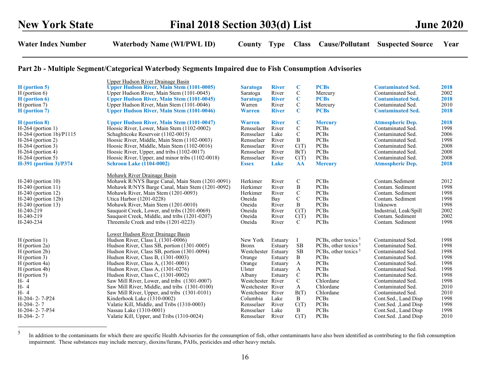| H (portion 5)<br>$H$ (portion 6)<br>$H$ (portion 6) | Upper Hudson River Drainage Basin<br><b>Upper Hudson River, Main Stem (1101-0005)</b><br>Upper Hudson River, Main Stem (1101-0045)<br><b>Upper Hudson River, Main Stem (1101-0045)</b> | <b>Saratoga</b><br>Saratoga<br><b>Saratoga</b> | <b>River</b><br>River<br><b>River</b> | C<br>$\mathsf{C}$<br>$\mathbf C$ | <b>PCBs</b><br>Mercury<br><b>PCBs</b> | <b>Contaminated Sed.</b><br>Contaminated Sed.<br><b>Contaminated Sed.</b> | 2018<br>2002<br>2018 |
|-----------------------------------------------------|----------------------------------------------------------------------------------------------------------------------------------------------------------------------------------------|------------------------------------------------|---------------------------------------|----------------------------------|---------------------------------------|---------------------------------------------------------------------------|----------------------|
| $H$ (portion 7)                                     | Upper Hudson River, Main Stem (1101-0046)                                                                                                                                              | Warren                                         | River                                 | $\mathcal{C}$                    | Mercury                               | Contaminated Sed.                                                         | 2010                 |
| H (portion 7)                                       | <b>Upper Hudson River, Main Stem (1101-0046)</b>                                                                                                                                       | <b>Warren</b>                                  | <b>River</b>                          | $\mathbf C$                      | <b>PCBs</b>                           | <b>Contaminated Sed.</b>                                                  | 2018                 |
| H (portion 8)                                       | <b>Upper Hudson River, Main Stem (1101-0047)</b>                                                                                                                                       | Warren                                         | <b>River</b>                          | $\mathbf C$                      | <b>Mercury</b>                        | <b>Atmospheric Dep.</b>                                                   | 2018                 |
| $H-264$ (portion 1)                                 | Hoosic River, Lower, Main Stem (1102-0002)                                                                                                                                             | Rensselaer                                     | River                                 | $\mathsf{C}$                     | <b>PCBs</b>                           | Contaminated Sed.                                                         | 1998                 |
| $H-264$ (portion 1b)/P1115                          | Schaghticoke Reservoir (1102-0015)                                                                                                                                                     | Rensselaer                                     | Lake                                  | $\mathsf{C}$                     | <b>PCBs</b>                           | Contaminated Sed.                                                         | 2006                 |
| $H-264$ (portion 2)                                 | Hoosic River, Middle, Main Stem (1102-0003)                                                                                                                                            | Rensselaer                                     | River                                 | B                                | <b>PCBs</b>                           | Contaminated Sed.                                                         | 1998                 |
| $H-264$ (portion 3)                                 | Hoosic River, Middle, Main Stem (1102-0016)                                                                                                                                            | Rensselaer                                     | River                                 | C(T)                             | <b>PCBs</b>                           | Contaminated Sed.                                                         | 2008                 |
| $H-264$ (portion 4)                                 | Hoosic River, Upper, and tribs (1102-0017)                                                                                                                                             | Rensselaer                                     | River                                 | B(T)                             | <b>PCBs</b>                           | Contaminated Sed.                                                         | 2008                 |
| $H-264$ (portion 5)                                 | Hoosic River, Upper, and minor tribs (1102-0018)                                                                                                                                       | Rensselaer                                     | River                                 | C(T)                             | <b>PCBs</b>                           | Contaminated Sed.                                                         | 2008                 |
| <b>H-391</b> (portion 3)/P374                       | <b>Schroon Lake (1104-0002)</b>                                                                                                                                                        | <b>Essex</b>                                   | Lake                                  | <b>AA</b>                        | <b>Mercury</b>                        | <b>Atmospheric Dep.</b>                                                   | 2018                 |
|                                                     | Mohawk River Drainage Basin                                                                                                                                                            |                                                |                                       |                                  |                                       |                                                                           |                      |
| $H-240$ (portion 10)                                | Mohawk R/NYS Barge Canal, Main Stem (1201-0091)                                                                                                                                        | Herkimer                                       | River                                 | C                                | <b>PCBs</b>                           | Contam.Sediment                                                           | 2012                 |
| $H-240$ (portion 11)                                | Mohawk R/NYS Barge Canal, Main Stem (1201-0092)                                                                                                                                        | Herkimer                                       | River                                 | B                                | <b>PCBs</b>                           | Contam. Sediment                                                          | 1998                 |
| $H-240$ (portion 12)                                | Mohawk River, Main Stem (1201-0093)                                                                                                                                                    | Herkimer                                       | River                                 | $\mathsf{C}$                     | <b>PCBs</b>                           | Contam. Sediment                                                          | 1998                 |
| $H-240$ (portion 12b)                               | Utica Harbor (1201-0228)                                                                                                                                                               | Oneida                                         | Bay                                   | $\mathbf C$                      | <b>PCBs</b>                           | Contam. Sediment                                                          | 1998                 |
| $H-240$ (portion 13)                                | Mohawk River, Main Stem (1201-0010)                                                                                                                                                    | Oneida                                         | River                                 | B                                | <b>PCBs</b>                           | Unknown                                                                   | 1998                 |
| $H-240-219$                                         | Sauquoit Creek, Lower, and tribs (1201-0069)                                                                                                                                           | Oneida                                         | River                                 | C(T)                             | <b>PCBs</b>                           | Industrial, Leak/Spill                                                    | 2002                 |
| H-240-219                                           | Sauquoit Creek, Middle, and tribs (1201-0207)                                                                                                                                          | Oneida                                         | River                                 | C(T)                             | <b>PCBs</b>                           | Contam. Sediment                                                          | 2002                 |
| H-240-234                                           | Threemile Creek and tribs (1201-0223)                                                                                                                                                  | Oneida                                         | River                                 | $\mathbf{C}$                     | <b>PCBs</b>                           | Contam. Sediment                                                          | 1998                 |
|                                                     | Lower Hudson River Drainage Basin                                                                                                                                                      |                                                |                                       |                                  |                                       |                                                                           |                      |
| $H$ (portion 1)                                     | Hudson River, Class I, (1301-0006)                                                                                                                                                     | New York                                       | Estuary                               |                                  | PCBs, other toxics <sup>5</sup>       | Contaminated Sed.                                                         | 1998                 |
| H (portion 2a)                                      | Hudson River, Class SB, portion (1301-0005)                                                                                                                                            | <b>Bronx</b>                                   | Estuary                               | <b>SB</b>                        | PCBs, other toxics $5$                | Contaminated Sed.                                                         | 1998                 |
| H (portion 2b)                                      | Hudson River, Class SB, portion (1301-0094)                                                                                                                                            | Westchester Estuary                            |                                       | <b>SB</b>                        | PCBs, other toxics $5$                | Contaminated Sed.                                                         | 1998                 |
| $H$ (portion 3)                                     | Hudson River, Class B, (1301-0003)                                                                                                                                                     | Orange                                         | Estuary                               | B                                | <b>PCBs</b>                           | Contaminated Sed.                                                         | 1998                 |
| H (portion 4a)                                      | Hudson River, Class A, (1301-0001)                                                                                                                                                     | Orange                                         | Estuary                               | A                                | <b>PCBs</b>                           | Contaminated Sed.                                                         | 1998                 |
| H (portion 4b)                                      | Hudson River, Class A, (1301-0276)                                                                                                                                                     | Ulster                                         | Estuary                               | A                                | <b>PCBs</b>                           | Contaminated Sed.                                                         | 1998                 |
| $H$ (portion 5)                                     | Hudson River, Class C, (1301-0002)                                                                                                                                                     | Albany                                         | Estuary                               | $\mathcal{C}$                    | <b>PCBs</b>                           | Contaminated Sed.                                                         | 1998                 |
| H- 4                                                | Saw Mill River, Lower, and tribs (1301-0007)                                                                                                                                           | Westchester River                              |                                       | $\mathcal{C}$                    | Chlordane                             | Contaminated Sed.                                                         | 1998                 |
| H- 4                                                | Saw Mill River, Middle, and tribs (1301-0100)                                                                                                                                          | Westchester River                              |                                       | $\mathbf{A}$                     | Chlordane                             | Contaminated Sed.                                                         | 2010                 |
| H- 4                                                | Saw Mill River, Upper, and tribs (1301-0101)                                                                                                                                           | Westchester River                              |                                       | B(T)                             | Chlordane                             | Contaminated Sed.                                                         | 2010                 |
| H-204-2-7-P24                                       | Kinderhook Lake (1310-0002)                                                                                                                                                            | Columbia                                       | Lake                                  | B                                | <b>PCBs</b>                           | Cont.Sed., Land Disp                                                      | 1998                 |
| $H-204-2-7$                                         | Valatie Kill, Middle, and Tribs (1310-0003)                                                                                                                                            | Rensselaer                                     | River                                 | C(T)                             | <b>PCBs</b>                           | Cont.Sed., Land Disp                                                      | 1998                 |
| H-204-2-7-P34                                       | Nassau Lake (1310-0001)                                                                                                                                                                | Rensselaer                                     | Lake                                  | B                                | <b>PCBs</b>                           | Cont.Sed., Land Disp                                                      | 1998                 |
| $H-204-2-7$                                         | Valatie Kill, Upper, and Tribs (1310-0024)                                                                                                                                             | Rensselaer                                     | River                                 | C(T)                             | <b>PCBs</b>                           | Cont.Sed., Land Disp                                                      | 2010                 |

<sup>&</sup>lt;sup>5</sup> In addition to the contaminants for which there are specific Health Advisories for the consumption of fish, other contaminants have also been identified as contributing to the fish consumption impairment. These substances may include mercury, dioxins/furans, PAHs, pesticides and other heavy metals.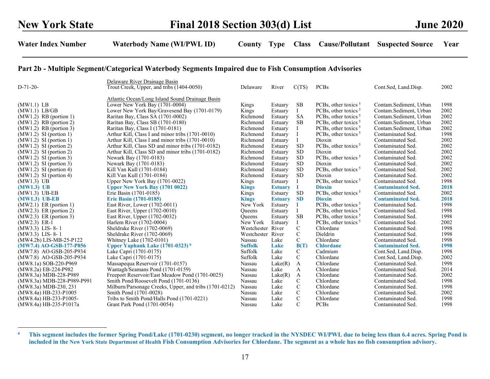|                            | Delaware River Drainage Basin                          |                   |                |               |                                 |                          |      |
|----------------------------|--------------------------------------------------------|-------------------|----------------|---------------|---------------------------------|--------------------------|------|
| $D-71-20-$                 | Trout Creek, Upper, and tribs (1404-0050)              | Delaware          | River          | C(TS)         | <b>PCBs</b>                     | Cont.Sed, Land.Disp.     | 2002 |
|                            | Atlantic Ocean/Long Island Sound Drainage Basin        |                   |                |               |                                 |                          |      |
| (MW1.1) LB                 | Lower New York Bay (1701-0004)                         | Kings             | Estuary        | SВ            | PCBs, other toxics $5$          | Contam.Sediment, Urban   | 1998 |
| (MW1.1) LB/GB              | Lower New York Bay/Gravesend Bay (1701-0179)           | Kings             | Estuary        |               | PCBs, other toxics $5$          | Contam.Sediment, Urban   | 2002 |
| $(MW1.2)$ RB (portion 1)   | Raritan Bay, Class SA (1701-0002)                      | Richmond          | Estuary        | <b>SA</b>     | PCBs, other toxics $5$          | Contam.Sediment, Urban   | 2002 |
| $(MW1.2)$ RB (portion 2)   | Raritan Bay, Class SB (1701-0180)                      | Richmond          | Estuary        | <b>SB</b>     | PCBs, other toxics <sup>5</sup> | Contam.Sediment, Urban   | 2002 |
| $(MW1.2)$ RB (portion 3)   | Raritan Bay, Class I (1701-0181)                       | Richmond          | Estuary        |               | PCBs, other toxics <sup>5</sup> | Contam.Sediment, Urban   | 2002 |
| $(MW1.2)$ SI (portion 1)   | Arthur Kill, Class I and minor tribs (1701-0010)       | Richmond          | Estuary        |               | PCBs, other toxics <sup>5</sup> | Contaminated Sed.        | 1998 |
| $(MW1.2)$ SI (portion 1)   | Arthur Kill, Class I and minor tribs (1701-0010)       | Richmond          | Estuary        |               | Dioxin                          | Contaminated Sed.        | 2002 |
| $(MW1.2)$ SI (portion 2)   | Arthur Kill, Class SD and minor tribs (1701-0182)      | Richmond          | Estuary        | <b>SD</b>     | PCBs, other toxics <sup>5</sup> | Contaminated Sed.        | 2002 |
| $(MW1.2)$ SI (portion 2)   | Arthur Kill, Class SD and minor tribs (1701-0182)      | Richmond          | Estuary        | <b>SD</b>     | Dioxin                          | Contaminated Sed.        | 2002 |
| $(MW1.2)$ SI (portion 3)   | Newark Bay (1701-0183)                                 | Richmond          | Estuary        | <b>SD</b>     | PCBs, other toxics <sup>5</sup> | Contaminated Sed.        | 2002 |
| $(MW1.2)$ SI (portion 3)   | Newark Bay (1701-0183)                                 | Richmond          | Estuary        | <b>SD</b>     | Dioxin                          | Contaminated Sed.        | 2002 |
| $(MW1.2)$ SI (portion 4)   | Kill Van Kull (1701-0184)                              | Richmond          | Estuary        | <b>SD</b>     | PCBs, other toxics <sup>5</sup> | Contaminated Sed.        | 2002 |
| $(MW1.2)$ SI (portion 4)   | Kill Van Kull (1701-0184)                              | Richmond          | Estuary        | <b>SD</b>     | Dioxin                          | Contaminated Sed.        | 2002 |
| (MW1.3) UB                 | Upper New York Bay (1701-0022)                         | Kings             | Estuary        |               | PCBs, other toxics <sup>5</sup> | Contaminated Sed.        | 1998 |
| $(MW1.3)$ UB               | <b>Upper New York Bay (1701 0022)</b>                  | <b>Kings</b>      | <b>Estuary</b> |               | <b>Dioxin</b>                   | <b>Contaminated Sed.</b> | 2018 |
| (MW1.3) UB-EB              | Erie Basin (1701-0185)                                 | Kings             | Estuary        | SD            | PCBs, other toxics <sup>5</sup> | Contaminated Sed.        | 2002 |
| $(MW1.3)$ UB-EB            | <b>Erie Basin (1701-0185)</b>                          | <b>Kings</b>      | <b>Estuary</b> | <b>SD</b>     | <b>Dioxin</b>                   | <b>Contaminated Sed.</b> | 2018 |
| $(MW2.1)$ ER (portion 1)   | East River, Lower (1702-0011)                          | New York          | Estuary        |               | PCBs, other toxics $5$          | Contaminated Sed.        | 1998 |
| $(MW2.3)$ ER (portion 2)   | East River, Upper (1702-0010)                          | <b>Oueens</b>     | Estuary        |               | PCBs, other toxics <sup>5</sup> | Contaminated Sed.        | 1998 |
| $(MW2.3)$ ER (portion 3)   | East River, Upper (1702-0032)                          | Queens            | Estuary        | <b>SB</b>     | PCBs, other toxics $5$          | Contaminated Sed.        | 1998 |
| (MW2.3) ER-1               | Harlem River (1702-0004)                               | New York          | Estuary        |               | PCBs, other toxics $5$          | Contaminated Sed.        | 2002 |
| (MW3.3) LIS- 8- 1          | Sheldrake River (1702-0069)                            | Westchester River |                | $\mathbf C$   | Chlordane                       | Contaminated Sed.        | 1998 |
| (MW3.3) LIS- 8-1           | Sheldrake River (1702-0069)                            | Westchester River |                | $\mathbf C$   | Dieldrin                        | Contaminated Sed.        | 1998 |
| (MW4.2b) LIS-MB-25-P122    | Whitney Lake (1702-0101)                               | Nassau            | Lake           | C             | Chlordane                       | Contaminated Sed.        | 1998 |
| (MW7.4) AO-GSB-177-P856    | Upper Yaphank Lake (1701-0323) <sup>6</sup>            | <b>Suffolk</b>    | Lake           | B(T)          | <b>Chlordane</b>                | <b>Contaminated Sed.</b> | 1998 |
| (MW7.8) AO-GSB-205-P934    | Lake Capri (1701-0175)                                 | Suffolk           | Lake           | C             | Cadmium                         | Cont.Sed, Land.Disp.     | 1998 |
| (MW7.8) AO-GSB-205-P934    | Lake Capri (1701-0175)                                 | Suffolk           | Lake           | C             | Chlordane                       | Cont.Sed, Land.Disp.     | 2002 |
| (MW8.1a) SOB-220-P969      | Massapequa Reservoir (1701-0157)                       | Nassau            | Lake(R)        | A             | Chlordane                       | Contaminated Sed.        | 1998 |
| (MW8.2a) EB-224-P982       | Wantagh/Seamans Pond (1701-0159)                       | Nassau            | Lake           | A             | Chlordane                       | Contaminated Sed.        | 2014 |
| (MW8.3a) MDB-228-P989      | Freeport Reservoir/East Meadow Pond (1701-0025)        | Nassau            | Lake(R)        | A             | Chlordane                       | Contaminated Sed.        | 2002 |
| (MW8.3a) MDB-228-P989-P991 | Smith Pond/Roosevelt Pond (1701-0136)                  | Nassau            | Lake           | C             | Chlordane                       | Contaminated Sed.        | 1998 |
| (MW8.3a) MDB-230, 231      | Milburn/Parsonage Creeks, Upper, and tribs (1701-0212) | Nassau            | Lake           | $\mathbf C$   | Chlordane                       | Contaminated Sed.        | 1998 |
| (MW8.4a) HB-233-P1005      | Smith Pond (1701-0028)                                 | Nassau            | Lake           | $\mathcal{C}$ | Chlordane                       | Contaminated Sed.        | 2002 |
| (MW8.4a) HB-233-P1005-     | Tribs to Smith Pond/Halls Pond (1701-0221)             | Nassau            | Lake           | $\mathbf C$   | Chlordane                       | Contaminated Sed.        | 1998 |
| (MW8.4a) HB-235-P1017a     | Grant Park Pond (1701-0054)                            | Nassau            | Lake           | $\mathbf C$   | <b>PCBs</b>                     | Contaminated Sed.        | 1998 |

<sup>&</sup>lt;sup>6</sup> This segment includes the former Spring Pond/Lake (1701-0230) segment, no longer tracked in the NYSDEC WI/PWL due to being less than 6.4 acres. Spring Pond is included in the New York State Department of Health Fish Consumption Advisories for Chlordane. The segment as a whole has no fish consumption advisory.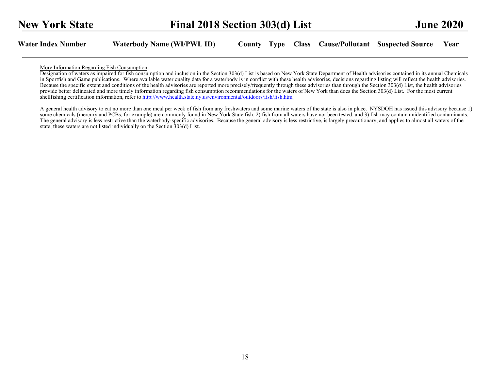#### More Information Regarding Fish Consumption

Designation of waters as impaired for fish consumption and inclusion in the Section 303(d) List is based on New York State Department of Health advisories contained in its annual Chemicals in Sportfish and Game publications. Where available water quality data for a waterbody is in conflict with these health advisories, decisions regarding listing will reflect the health advisories. Because the specific extent and conditions of the health advisories are reported more precisely/frequently through these advisories than through the Section 303(d) List, the health advisories provide better delineated and more timely information regarding fish consumption recommendations for the waters of New York than does the Section 303(d) List. For the most current shellfishing certification information, refer to http://www.health.state.ny.us/environmental/outdoors/fish/fish.htm

A general health advisory to eat no more than one meal per week of fish from any freshwaters and some marine waters of the state is also in place. NYSDOH has issued this advisory because 1) some chemicals (mercury and PCBs, for example) are commonly found in New York State fish, 2) fish from all waters have not been tested, and 3) fish may contain unidentified contaminants. The general advisory is less restrictive than the waterbody-specific advisories. Because the general advisory is less restrictive, is largely precautionary, and applies to almost all waters of the state, these waters are not listed individually on the Section 303(d) List.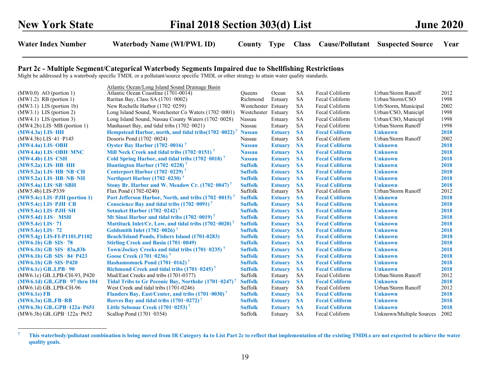# Part 2c - Multiple Segment/Categorical Waterbody Segments Impaired due to Shellfishing Restrictions

Might be addressed by a waterbody specific TMDL or a pollutant/source specific TMDL or other strategy to attain water quality standards.

|                                | Atlantic Ocean/Long Island Sound Drainage Basin                   |                     |                |           |                       |                          |      |
|--------------------------------|-------------------------------------------------------------------|---------------------|----------------|-----------|-----------------------|--------------------------|------|
| $(MW0.0)$ AO (portion 1)       | Atlantic Ocean Coastline (1701-0014)                              | <b>Oueens</b>       | Ocean          | <b>SA</b> | Fecal Coliform        | Urban/Storm Runoff       | 2012 |
| $(MW1.2)$ RB (portion 1)       | Raritan Bay, Class SA (1701-0002)                                 | Richmond            | Estuary        | <b>SA</b> | Fecal Coliform        | Urban/Storm/CSO          | 1998 |
| $(MW3.1)$ LIS (portion 1b)     | New Rochelle Harbor (1702-0259)                                   | Westchester Estuary |                | <b>SA</b> | Fecal Coliform        | Urb/Storm, Municipal     | 2002 |
| $(MW3.1)$ LIS (portion 2)      | Long Island Sound, Westchester Co Waters (1702-0001)              | Westchester Estuary |                | <b>SA</b> | Fecal Coliform        | Urban/CSO, Municipl      | 1998 |
| $(MW4.1)$ LIS (portion 3)      | Long Island Sound, Nassau County Waters (1702-0028)               | Nassau              | Estuary        | <b>SA</b> | Fecal Coliform        | Urban/CSO, Municipl      | 1998 |
| $(MW4.2b)$ LIS-MB (portion 1)  | Manhasset Bay, and tidal tribs (1702-0021)                        | Nassau              | Estuary        | <b>SA</b> | Fecal Coliform        | Urban/Storm Runoff       | 1998 |
| $(MW4.3a)$ LIS-HH              | Hempstead Harbor, north, and tidal tribs(1702-0022) <sup>7</sup>  | <b>Nassau</b>       | <b>Estuary</b> | <b>SA</b> | <b>Fecal Coliform</b> | <b>Unknown</b>           | 2018 |
| (MW4.3b) LIS-41-P145           | Dosoris Pond (1702-0024)                                          | Nassau              | Estuary        | <b>SA</b> | Fecal Coliform        | Urban/Storm Runoff       | 2002 |
| $(MW4.4a)$ LIS-OBH             | Oyster Bay Harbor $(1702-0016)^7$                                 | <b>Nassau</b>       | <b>Estuary</b> | <b>SA</b> | <b>Fecal Coliform</b> | <b>Unknown</b>           | 2018 |
| $(MW4.4a)$ LIS-OBH-MNC         | Mill Neck Creek and tidal tribs $(1702-0151)^7$                   | <b>Nassau</b>       | <b>Estuary</b> | <b>SA</b> | <b>Fecal Coliform</b> | <b>Unknown</b>           | 2018 |
| (MW4.4b) LIS-CSH               | Cold Spring Harbor, and tidal tribs (1702-0018) <sup>7</sup>      | <b>Nassau</b>       | <b>Estuary</b> | <b>SA</b> | <b>Fecal Coliform</b> | <b>Unknown</b>           | 2018 |
| $(MW5.2a)$ LIS-HB-HH           | Huntington Harbor $(1702 - 0228)^7$                               | <b>Suffolk</b>      | <b>Estuary</b> | <b>SA</b> | <b>Fecal Coliform</b> | <b>Unknown</b>           | 2018 |
| $(MW5.2a)$ LIS-HB-NB-CH        | Centerport Harbor $(1702-0229)^7$                                 | <b>Suffolk</b>      | <b>Estuary</b> | <b>SA</b> | <b>Fecal Coliform</b> | <b>Unknown</b>           | 2018 |
| $(MW5.2a)$ LIS-HB-NB-NH        | Northport Harbor $(1702-0230)^7$                                  | <b>Suffolk</b>      | <b>Estuary</b> | <b>SA</b> | <b>Fecal Coliform</b> | <b>Unknown</b>           | 2018 |
| (MW5.4a) LIS-SB-SBH            | Stony Br. Harbor and W. Meadow Cr. (1702-0047) <sup>7</sup>       | <b>Suffolk</b>      | <b>Estuary</b> | <b>SA</b> | <b>Fecal Coliform</b> | <b>Unknown</b>           | 2018 |
| (MW5.4b) LIS-P339              | Flax Pond (1702-0240)                                             | Suffolk             | Estuary        | <b>SA</b> | Fecal Coliform        | Urban/Storm Runoff       | 2012 |
| $(MW5.4c)$ LIS-PJH (portion 1) | Port Jefferson Harbor, North, and tribs (1702-0015) <sup>7</sup>  | <b>Suffolk</b>      | <b>Estuary</b> | <b>SA</b> | <b>Fecal Coliform</b> | <b>Unknown</b>           | 2018 |
| $(MW5.4c)$ LIS-PJH-CB          | Conscience Bay and tidal tribs $(1702-0091)^7$                    | <b>Suffolk</b>      | <b>Estuary</b> | <b>SA</b> | <b>Fecal Coliform</b> | <b>Unknown</b>           | 2018 |
| $(MW5.4c)$ LIS-PJH-SH          | <b>Setauket Harbor (1702-0242)</b> <sup>7</sup>                   | <b>Suffolk</b>      | <b>Estuary</b> | <b>SA</b> | <b>Fecal Coliform</b> | <b>Unknown</b>           | 2018 |
| $(MW5.4d)$ LIS- MSH            | Mt Sinai Harbor and tidal tribs $(1702 - 0019)^7$                 | <b>Suffolk</b>      | <b>Estuary</b> | <b>SA</b> | <b>Fecal Coliform</b> | <b>Unknown</b>           | 2018 |
| (MW5.4e) LIS-71                | Mattituck Inlet/Cr, Low, and tidal tribs (1702-0020) <sup>7</sup> | <b>Suffolk</b>      | <b>Estuary</b> | <b>SA</b> | <b>Fecal Coliform</b> | <b>Unknown</b>           | 2018 |
| (MW5.4e) LIS-72                | Goldsmith Inlet $(1702 - 0026)^7$                                 | <b>Suffolk</b>      | <b>Estuary</b> | <b>SA</b> | <b>Fecal Coliform</b> | <b>Unknown</b>           | 2018 |
| $(MW5.4g)$ LIS-FI-P1101, P1102 | <b>Beach/Island Ponds, Fishers Island (1701-0283)</b>             | <b>Suffolk</b>      | <b>Estuary</b> | <b>SA</b> | <b>Fecal Coliform</b> | <b>Unknown</b>           | 2018 |
| $(MW6.1b)$ GB-SIS-78           | <b>Stirling Creek and Basin (1701-0049)</b>                       | <b>Suffolk</b>      | <b>Estuary</b> | <b>SA</b> | <b>Fecal Coliform</b> | <b>Unknown</b>           | 2018 |
| $(MW6.1b)$ GB-SIS-83a,83b      | Town/Jockey Creeks and tidal tribs $(1701-0235)^7$                | <b>Suffolk</b>      | <b>Estuary</b> | <b>SA</b> | <b>Fecal Coliform</b> | <b>Unknown</b>           | 2018 |
| (MW6.1b) GB-SIS-84-P423        | Goose Creek (1701-0236) <sup>7</sup>                              | <b>Suffolk</b>      | <b>Estuary</b> | <b>SA</b> | <b>Fecal Coliform</b> | <b>Unknown</b>           | 2018 |
| $(MW6.1b)$ GB-SIS-P420         | Hashamomuck Pond $(1701-0162)^7$                                  | <b>Suffolk</b>      | <b>Estuary</b> | <b>SA</b> | <b>Fecal Coliform</b> | <b>Unknown</b>           | 2018 |
| (MW6.1c) GBLPB-90              | Richmond Creek and tidal tribs $(1701 - 0245)^7$                  | <b>Suffolk</b>      | <b>Estuary</b> | <b>SA</b> | <b>Fecal Coliform</b> | <b>Unknown</b>           | 2018 |
| (MW6.1c) GBLPB-CH-93, P420     | Mud/East Creeks and tribs (1701-0377)                             | Suffolk             | Estuary        | <b>SA</b> | Fecal Coliform        | Urban/Storm Runoff       | 2012 |
| (MW6.1d) GB., GPB-97 thru 104  | <b>Tidal Tribs to Gr Peconic Bay, Northshr (1701-0247)</b>        | <b>Suffolk</b>      | <b>Estuary</b> | <b>SA</b> | <b>Fecal Coliform</b> | <b>Unknown</b>           | 2018 |
| (MW6.1d) GBLPB-CH-96           | West Creek and tidal tribs (1701-0246)                            | Suffolk             | Estuary        | <b>SA</b> | Fecal Coliform        | Urban/Storm Runoff       | 2012 |
| $(MW6.1e)$ FB                  | Flanders Bay, East/Center, and tribs (1701-0030) <sup>7</sup>     | <b>Suffolk</b>      | <b>Estuary</b> | <b>SA</b> | <b>Fecal Coliform</b> | <b>Unknown</b>           | 2018 |
| $(MW6.3a)$ GBFB-RB             | Reeves Bay and tidal tribs $(1701 - 0272)^7$                      | <b>Suffolk</b>      | <b>Estuary</b> | <b>SA</b> | <b>Fecal Coliform</b> | <b>Unknown</b>           | 2018 |
| $(MW6.3b)$ GBGPB-122a-P651     | Little Sebonac Creek $(1701 - 0253)^7$                            | <b>Suffolk</b>      | <b>Estuary</b> | <b>SA</b> | <b>Fecal Coliform</b> | <b>Unknown</b>           | 2018 |
| (MW6.3b) GB. GPB-122a-P652     | Scallop Pond (1701-0354)                                          | Suffolk             | Estuary        | <b>SA</b> | Fecal Coliform        | Unknown/Multiple Sources | 2002 |

<sup>&</sup>lt;sup>7</sup> This waterbody/pollutant combination is being moved from IR Category 4a to List Part 2c to reflect that implementation of the existing TMDLs are not expected to achieve the water quality goals.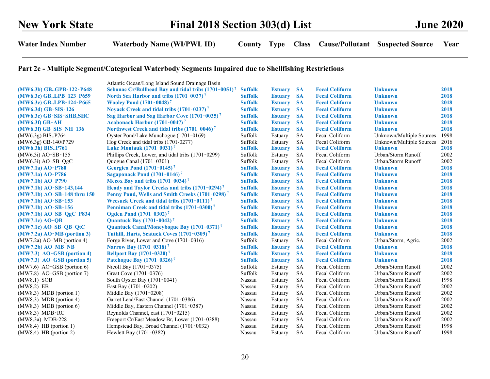## Part 2c - Multiple Segment/Categorical Waterbody Segments Impaired due to Shellfishing Restrictions

|                              | Atlantic Ocean/Long Island Sound Drainage Basin                  |                |                |            |                       |                          |      |
|------------------------------|------------------------------------------------------------------|----------------|----------------|------------|-----------------------|--------------------------|------|
| (MW6.3b) GBGPB-122-P648      | Sebonac Cr/Bullhead Bay and tidal tribs (1701-0051) <sup>7</sup> | <b>Suffolk</b> | <b>Estuary</b> | <b>SA</b>  | <b>Fecal Coliform</b> | <b>Unknown</b>           | 2018 |
| (MW6.3c) GBLPB-123-P659      | North Sea Harbor and tribs $(1701 - 0037)^7$                     | <b>Suffolk</b> | <b>Estuary</b> | <b>SA</b>  | <b>Fecal Coliform</b> | <b>Unknown</b>           | 2018 |
| (MW6.3c) GBLPB-124-P665      | <b>Wooley Pond (1701-0048)<sup>7</sup></b>                       | <b>Suffolk</b> | <b>Estuary</b> | <b>SA</b>  | <b>Fecal Coliform</b> | <b>Unknown</b>           | 2018 |
| (MW6.3d) GB-SIS-126          | Noyack Creek and tidal tribs (1701-0237) <sup>7</sup>            | <b>Suffolk</b> | <b>Estuary</b> | <b>SA</b>  | <b>Fecal Coliform</b> | <b>Unknown</b>           | 2018 |
| (MW6.3e) GB-SIS-SHB,SHC      | Sag Harbor and Sag Harbor Cove (1701-0035) <sup>7</sup>          | <b>Suffolk</b> | <b>Estuary</b> | <b>SA</b>  | <b>Fecal Coliform</b> | <b>Unknown</b>           | 2018 |
| (MW6.3f) GB-AH               | Acabonack Harbor (1701-0047) <sup>7</sup>                        | <b>Suffolk</b> | <b>Estuary</b> | <b>SA</b>  | <b>Fecal Coliform</b> | <b>Unknown</b>           | 2018 |
| (MW6.3f) GB-SIS-NH-136       | Northwest Creek and tidal tribs $(1701 - 0046)^7$                | <b>Suffolk</b> | <b>Estuary</b> | <b>SA</b>  | <b>Fecal Coliform</b> | <b>Unknown</b>           | 2018 |
| (MW6.3g) BISP764             | Oyster Pond/Lake Munchogue (1701-0169)                           | Suffolk        | Estuary        | <b>SA</b>  | Fecal Coliform        | Unknown/Multiple Sources | 1998 |
| (MW6.3g) GB-140/P729         | Hog Creek and tidal tribs (1701-0277)                            | Suffolk        | Estuary        | <b>SA</b>  | Fecal Coliform        | Unknown/Multiple Sources | 2016 |
| (MW6.3h) BISP761             | <b>Lake Montauk <math>(1701 - 0031)^7</math></b>                 | <b>Suffolk</b> | <b>Estuary</b> | <b>SA</b>  | <b>Fecal Coliform</b> | <b>Unknown</b>           | 2018 |
| (MW6.3i) AO-SB-155           | Phillips Creek, Lower, and tidal tribs (1701-0299)               | Suffolk        | Estuary        | <b>SA</b>  | Fecal Coliform        | Urban/Storm Runoff       | 2002 |
| (MW6.3i) AO-SB-QgC           | Quogue Canal (1701-0301)                                         | Suffolk        | Estuary        | <b>SA</b>  | Fecal Coliform        | Urban/Storm Runoff       | 2002 |
| (MW7.1a) AO-P780             | Georgica Pond $(1701 - 0145)^7$                                  | <b>Suffolk</b> | <b>Estuary</b> | <b>SA</b>  | <b>Fecal Coliform</b> | <b>Unknown</b>           | 2018 |
| (MW7.1a) AO-P786             | Sagaponack Pond $(1701 - 0146)^7$                                | <b>Suffolk</b> | <b>Estuary</b> | <b>SA</b>  | <b>Fecal Coliform</b> | <b>Unknown</b>           | 2018 |
| (MW7.1b) AO-P790             | Mecox Bay and tribs $(1701 - 0034)^7$                            | <b>Suffolk</b> | <b>Estuary</b> | <b>SA</b>  | <b>Fecal Coliform</b> | <b>Unknown</b>           | 2018 |
| (MW7.1b) AO-SB-143,144       | Heady and Taylor Creeks and tribs $(1701 - 0294)^7$              | <b>Suffolk</b> | <b>Estuary</b> | <b>SA</b>  | <b>Fecal Coliform</b> | <b>Unknown</b>           | 2018 |
| (MW7.1b) AO-SB-148 thru 150  | Penny Pond, Wells and Smith Creeks (1701-0298) <sup>7</sup>      | <b>Suffolk</b> | <b>Estuary</b> | <b>SA</b>  | <b>Fecal Coliform</b> | <b>Unknown</b>           | 2018 |
| (MW7.1b) AO-SB-153           | Weesuck Creek and tidal tribs $(1701 - 0111)^7$                  | <b>Suffolk</b> | <b>Estuary</b> | <b>SA</b>  | <b>Fecal Coliform</b> | <b>Unknown</b>           | 2018 |
| $(MW7.1b)$ AO-SB-156         | Penniman Creek and tidal tribs (1701-0300) <sup>7</sup>          | <b>Suffolk</b> | <b>Estuary</b> | <b>SA</b>  | <b>Fecal Coliform</b> | <b>Unknown</b>           | 2018 |
| (MW7.1b) AO-SB-QgC-P834      | Ogden Pond $(1701 - 0302)^7$                                     | <b>Suffolk</b> | <b>Estuary</b> | <b>SA</b>  | <b>Fecal Coliform</b> | <b>Unknown</b>           | 2018 |
| $(MW7.1c)$ AO-QB             | <b>Quantuck Bay (1701-0042)</b> 7                                | <b>Suffolk</b> | <b>Estuary</b> | <b>SA</b>  | <b>Fecal Coliform</b> | <b>Unknown</b>           | 2018 |
| (MW7.1c) AO-SB-QB-QtC        | Quantuck Canal/Moneybogue Bay (1701-0371) <sup>7</sup>           | <b>Suffolk</b> | <b>Estuary</b> | <b>SA</b>  | <b>Fecal Coliform</b> | <b>Unknown</b>           | 2018 |
| $(MW7.2a)$ AO-MB (portion 3) | Tuthill, Harts, Seatuck Coves (1701-0309) <sup>7</sup>           | <b>Suffolk</b> | <b>Estuary</b> | <b>SA</b>  | <b>Fecal Coliform</b> | <b>Unknown</b>           | 2018 |
| $(MW7.2a)$ AO-MB (portion 4) | Forge River, Lower and Cove (1701-0316)                          | Suffolk        | Estuary        | <b>SA</b>  | Fecal Coliform        | Urban/Storm, Agric.      | 2002 |
| (MW7.2b) AO-MB-NB            | <b>Narrow Bay (1701-0318)</b> <sup>7</sup>                       | <b>Suffolk</b> | <b>Estuary</b> | <b>SA</b>  | <b>Fecal Coliform</b> | <b>Unknown</b>           | 2018 |
| $(MW7.3)$ AO-GSB (portion 4) | <b>Bellport Bay (1701-0320)</b> <sup>7</sup>                     | <b>Suffolk</b> | <b>Estuary</b> | <b>SA</b>  | <b>Fecal Coliform</b> | <b>Unknown</b>           | 2018 |
| $(MW7.3)$ AO-GSB (portion 5) | Patchogue Bay (1701-0326) <sup>7</sup>                           | <b>Suffolk</b> | <b>Estuary</b> | <b>SA</b>  | <b>Fecal Coliform</b> | <b>Unknown</b>           | 2018 |
| $(MW7.6)$ AO-GSB (portion 6) | Nicoll Bay (1701-0375)                                           | Suffolk        | Estuary        | <b>SA</b>  | Fecal Coliform        | Urban/Storm Runoff       | 2002 |
| $(MW7.8)$ AO-GSB (portion 7) | Great Cove (1701-0376)                                           | Suffolk        | Estuary        | <b>SA</b>  | Fecal Coliform        | Urban/Storm Runoff       | 2002 |
| (MW8.1) SOB                  | South Oyster Bay $(1701 - 0041)$                                 | Nassau         | Estuary        | <b>SA</b>  | Fecal Coliform        | Urban/Storm Runoff       | 1998 |
| (MW8.2) EB                   | East Bay (1701-0202)                                             | Nassau         | Estuary        | <b>SA</b>  | Fecal Coliform        | Urban/Storm Runoff       | 2002 |
| $(MW8.3) MDB$ (portion 1)    | Middle Bay (1701-0208)                                           | Nassau         | Estuary        | <b>SA</b>  | Fecal Coliform        | Urban/Storm Runoff       | 2002 |
| $(MW8.3) MDB$ (portion 4)    | Garret Lead/East Channel (1701-0386)                             | Nassau         | Estuary        | ${\rm SA}$ | Fecal Coliform        | Urban/Storm Runoff       | 2002 |
| $(MW8.3) MDB$ (portion 6)    | Middle Bay, Eastern Channel (1701-0387)                          | Nassau         | Estuary        | <b>SA</b>  | Fecal Coliform        | Urban/Storm Runoff       | 2002 |
| (MW8.3) MDB-RC               | Reynolds Channel, east (1701-0215)                               | Nassau         | Estuary        | <b>SA</b>  | Fecal Coliform        | Urban/Storm Runoff       | 2002 |
| (MW8.3a) MDB-228             | Freeport Cr/East Meadow Br, Lower (1701-0388)                    | Nassau         | Estuary        | <b>SA</b>  | Fecal Coliform        | Urban/Storm Runoff       | 2002 |
| (MW8.4) HB (portion 1)       | Hempstead Bay, Broad Channel (1701-0032)                         | Nassau         | Estuary        | <b>SA</b>  | Fecal Coliform        | Urban/Storm Runoff       | 1998 |
| (MW8.4) HB (portion 2)       | Hewlett Bay (1701-0382)                                          | Nassau         | Estuary        | <b>SA</b>  | Fecal Coliform        | Urban/Storm Runoff       | 1998 |
|                              |                                                                  |                |                |            |                       |                          |      |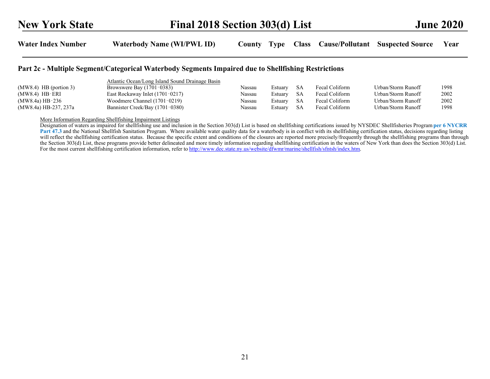#### Part 2c - Multiple Segment/Categorical Waterbody Segments Impaired due to Shellfishing Restrictions

|                          | Atlantic Ocean/Long Island Sound Drainage Basin |        |         |      |                |                    |      |
|--------------------------|-------------------------------------------------|--------|---------|------|----------------|--------------------|------|
| $(MW8.4)$ HB (portion 3) | Browswere Bay $(1701-0383)$                     | Nassau | Estuarv | - SA | Fecal Coliform | Urban/Storm Runoff | 1998 |
| $(MW8.4)$ HB-ERI         | East Rockaway Inlet (1701-0217)                 | Nassau | Estuarv | -SA  | Fecal Coliform | Urban/Storm Runoff | 2002 |
| $(MW8.4a)$ HB-236        | Woodmere Channel (1701-0219)                    | Nassau | Estuary | SA   | Fecal Coliform | Urban/Storm Runoff | 2002 |
| (MW8.4a) HB-237, 237a    | Bannister Creek/Bay (1701-0380)                 | Nassau | Estuary | -SA  | Fecal Coliform | Urban/Storm Runoff | 1998 |

More Information Regarding Shellfishing Impairment Listings

Designation of waters as impaired for shellfishing use and inclusion in the Section 303(d) List is based on shellfishing certifications issued by NYSDEC Shellfisheries Program per 6 NYCRR Part 47.3 and the National Shellfish Sanitation Program. Where available water quality data for a waterbody is in conflict with its shellfishing certification status, decisions regarding listing will reflect the shellfishing certification status. Because the specific extent and conditions of the closures are reported more precisely/frequently through the shellfishing programs than through the Section 303(d) List, these programs provide better delineated and more timely information regarding shellfishing certification in the waters of New York than does the Section 303(d) List. For the most current shellfishing certification information, refer to http://www.dec.state.ny.us/website/dfwmr/marine/shellfish/sfntsh/index.htm.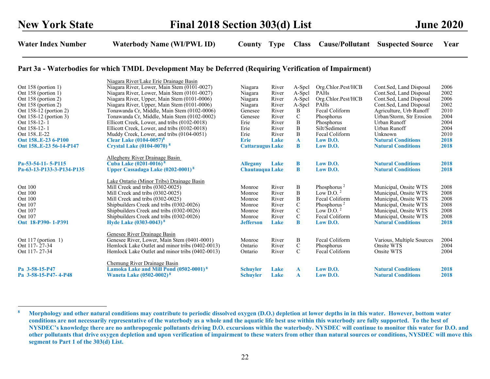#### Part 3a - Waterbodies for which TMDL Development May be Deferred (Requiring Verification of Impairment)

| Ont 158 (portion 1)<br>Ont 158 (portion 1)<br>Ont 158 (portion 2)<br>Ont 158 (portion 2)<br>Ont 158-12 (portion 2)<br>Ont 158-12 (portion 3)<br>Ont 158-12-1<br>Ont 158-12-1<br>Ont 158E-22<br>Ont 158E-23 6-P100<br>Ont 158E-23 56-14-P147 | Niagara River/Lake Erie Drainage Basin<br>Niagara River, Lower, Main Stem (0101-0027)<br>Niagara River, Lower, Main Stem (0101-0027)<br>Niagara River, Upper, Main Stem (0101-0006)<br>Niagara River, Upper, Main Stem (0101-0006)<br>Tonawanda Cr, Middle, Main Stem (0102-0006)<br>Tonawanda Cr, Middle, Main Stem (0102-0002)<br>Ellicott Creek, Lower, and tribs (0102-0018)<br>Ellicott Creek, Lower, and tribs (0102-0018)<br>Muddy Creek, Lower, and tribs (0104-0051)<br>Clear Lake $(0104 - 0057)^8$<br><b>Crystal Lake (0104-0070)</b> <sup>8</sup> | Niagara<br>Niagara<br>Niagara<br>Niagara<br>Genesee<br>Genesee<br>Erie<br>Erie<br>Erie<br><b>Erie</b><br><b>Cattaraugus Lake</b> | River<br>River<br>River<br>River<br>River<br>River<br>River<br>River<br>River<br>Lake | A-Spcl<br>A-Spcl<br>A-Spcl<br>A-Spcl<br>B<br>$\mathcal{C}$<br>B<br>$\, {\bf B}$<br>$\, {\bf B}$<br>$\mathbf{A}$<br>B | Org.Chlor.Pest/HCB<br>PAHs<br>Org.Chlor.Pest/HCB<br>PAHs<br>Fecal Coliform<br>Phosphorus<br>Phosphorus<br>Silt/Sediment<br>Fecal Coliform<br>Low $D.O.$<br>Low D.O. | Cont.Sed, Land Disposal<br>Cont.Sed, Land Disposal<br>Cont.Sed, Land Disposal<br>Cont.Sed, Land Disposal<br>Agriculture, Urb Runoff<br>Urban/Storm, Str Erosion<br>Urban Runoff<br>Urban Runoff<br>Unknown<br><b>Natural Conditions</b><br><b>Natural Conditions</b> | 2006<br>2002<br>2006<br>2002<br>2010<br>2004<br>2004<br>2004<br>2010<br>2018<br>2018 |
|---------------------------------------------------------------------------------------------------------------------------------------------------------------------------------------------------------------------------------------------|---------------------------------------------------------------------------------------------------------------------------------------------------------------------------------------------------------------------------------------------------------------------------------------------------------------------------------------------------------------------------------------------------------------------------------------------------------------------------------------------------------------------------------------------------------------|----------------------------------------------------------------------------------------------------------------------------------|---------------------------------------------------------------------------------------|----------------------------------------------------------------------------------------------------------------------|---------------------------------------------------------------------------------------------------------------------------------------------------------------------|----------------------------------------------------------------------------------------------------------------------------------------------------------------------------------------------------------------------------------------------------------------------|--------------------------------------------------------------------------------------|
| Pa-53-54-11-5-P115<br>Pa-63-13-P133-3-P134-P135                                                                                                                                                                                             | Allegheny River Drainage Basin<br>Cuba Lake (0201-0016) <sup>8</sup><br>Upper Cassadaga Lake (0202-0001) <sup>8</sup>                                                                                                                                                                                                                                                                                                                                                                                                                                         | <b>Allegany</b><br><b>Chautauqua Lake</b>                                                                                        | Lake                                                                                  | В<br>B                                                                                                               | $Low$ $D.O.$<br>Low D.O.                                                                                                                                            | <b>Natural Conditions</b><br><b>Natural Conditions</b>                                                                                                                                                                                                               | 2018<br>2018                                                                         |
| Ont 100<br>Ont 100<br>Ont 100<br>Ont 107<br>Ont 107<br>Ont 107<br>Ont 18-P390-1-P391                                                                                                                                                        | Lake Ontario (Minor Tribs) Drainage Basin<br>Mill Creek and tribs (0302-0025)<br>Mill Creek and tribs (0302-0025)<br>Mill Creek and tribs (0302-0025)<br>Shipbuilders Creek and tribs (0302-0026)<br>Shipbuilders Creek and tribs (0302-0026)<br>Shipbuilders Creek and tribs (0302-0026)<br>Hyde Lake (0303-0043) <sup>8</sup>                                                                                                                                                                                                                               | Monroe<br>Monroe<br>Monroe<br>Monroe<br>Monroe<br>Monroe<br><b>Jefferson</b>                                                     | River<br>River<br>River<br>River<br>River<br>River<br>Lake                            | B<br>B<br>B<br>$\mathbf C$<br>$\mathbf C$<br>$\mathcal{C}$<br>B                                                      | Phosphorus <sup>2</sup><br>Low D.O. $2$<br>Fecal Coliform<br>Phosphorus <sup>2</sup><br>Low D.O. $^2$<br>Fecal Coliform<br>$Low$ $D.O.$                             | Municipal, Onsite WTS<br>Municipal, Onsite WTS<br>Municipal, Onsite WTS<br>Municipal, Onsite WTS<br>Municipal, Onsite WTS<br>Municipal, Onsite WTS<br><b>Natural Conditions</b>                                                                                      | 2008<br>2008<br>2008<br>2008<br>2008<br>2008<br>2018                                 |
| Ont $117$ (portion 1)<br>Ont 117-27-34<br>Ont 117-27-34                                                                                                                                                                                     | Genesee River Drainage Basin<br>Genesee River, Lower, Main Stem (0401-0001)<br>Hemlock Lake Outlet and minor tribs (0402-0013)<br>Hemlock Lake Outlet and minor tribs (0402-0013)                                                                                                                                                                                                                                                                                                                                                                             | Monroe<br>Ontario<br>Ontario                                                                                                     | River<br>River<br>River                                                               | B<br>$\mathbf C$<br>$\mathcal{C}$                                                                                    | Fecal Coliform<br>Phosphorus<br>Fecal Coliform                                                                                                                      | Various, Multiple Sources<br>Onsite WTS<br>Onsite WTS                                                                                                                                                                                                                | 2004<br>2004<br>2004                                                                 |
| Pa 3-58-15-P47<br>Pa 3-58-15-P47-4-P48                                                                                                                                                                                                      | Chemung River Drainage Basin<br>Lamoka Lake and Mill Pond (0502-0001) <sup>8</sup><br><b>Waneta Lake (0502-0002)</b> <sup>8</sup>                                                                                                                                                                                                                                                                                                                                                                                                                             | <b>Schuvler</b><br><b>Schuyler</b>                                                                                               | Lake<br>Lake                                                                          | $\mathbf{A}$<br>$\mathbf{A}$                                                                                         | Low $D.O.$<br>$Low$ $D.O.$                                                                                                                                          | <b>Natural Conditions</b><br><b>Natural Conditions</b>                                                                                                                                                                                                               | 2018<br>2018                                                                         |

<sup>&</sup>lt;sup>8</sup> Morphology and other natural conditions may contribute to periodic dissolved oxygen (D.O.) depletion at lower depths in in this water. However, bottom water conditions are not necessarily representative of the waterbody as a whole and the aquatic life best use within this waterbody are fully supported. To the best of NYSDEC's knowledge there are no anthropogenic pollutants driving D.O. excursions within the waterbody. NYSDEC will continue to monitor this water for D.O. and other pollutants that drive oxygen depletion and upon verification of impairment to these waters from other than natural sources or conditions, NYSDEC will move this segment to Part 1 of the 303(d) List.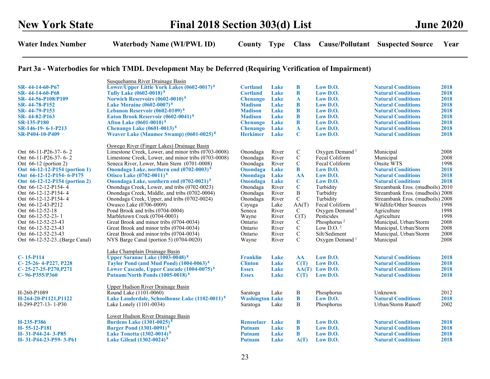# Part 3a - Waterbodies for which TMDL Development May be Deferred (Requiring Verification of Impairment)

|                               | Susquehanna River Drainage Basin                           |                        |       |               |                            |                                  |      |
|-------------------------------|------------------------------------------------------------|------------------------|-------|---------------|----------------------------|----------------------------------|------|
| SR-44-14-60-P67               | Lower/Upper Little York Lakes (0602-0017) <sup>8</sup>     | <b>Cortland</b>        | Lake  | B             | Low D.O.                   | <b>Natural Conditions</b>        | 2018 |
| SR- 44-14-60-P68              | Tully Lake (0602-0018) <sup>8</sup>                        | <b>Cortland</b>        | Lake  | B             | Low D.O.                   | <b>Natural Conditions</b>        | 2018 |
| SR-44-56-P108/P109            | <b>Norwich Reservoirs (0602-0010)</b> <sup>8</sup>         | <b>Chenango</b>        | Lake  | $\mathbf{A}$  | Low D.O.                   | <b>Natural Conditions</b>        | 2018 |
| SR-44-78-P152                 | Lake Moraine $(0602 - 0007)^8$                             | <b>Madison</b>         | Lake  | B             | Low D.O.                   | <b>Natural Conditions</b>        | 2018 |
| SR-44-79-P153                 | Lebanon Reservoir (0602-0109) <sup>8</sup>                 | <b>Madison</b>         | Lake  | $\bf{B}$      | Low D.O.                   | <b>Natural Conditions</b>        | 2018 |
| SR-44-82-P163                 | Eaton Brook Reservoir (0602-0041) <sup>8</sup>             | <b>Madison</b>         | Lake  | B             | $Low$ $D.O.$               | <b>Natural Conditions</b>        | 2018 |
| <b>SR-135-P180</b>            | <b>Afton Lake (0601-0010)</b> <sup>8</sup>                 | <b>Chenango</b>        | Lake  | B             | $Low$ $D.O.$               | <b>Natural Conditions</b>        | 2018 |
| SR-146-19- 6-1-P213           | Chenango Lake $(0601-0013)^8$                              | <b>Chenango</b>        | Lake  | $\mathbf{A}$  | $Low$ $D.O.$               | <b>Natural Conditions</b>        | 2018 |
| SR-P404-10-P409               | Weaver Lake (Maumee Swamp) (0601-0025) <sup>8</sup>        | <b>Herkimer</b>        | Lake  | C             | Low D.O.                   | <b>Natural Conditions</b>        | 2018 |
|                               | Oswego River (Finger Lakes) Drainage Basin                 |                        |       |               |                            |                                  |      |
| Ont 66-11-P26-37-6-2          | Limestone Creek, Lower, and minor tribs (0703-0008)        | Onondaga               | River | $\mathbf C$   | Oxygen Demand <sup>1</sup> | Municipal                        | 2008 |
| Ont 66-11-P26-37-6-2          | Limestone Creek, Lower, and minor tribs (0703-0008)        | Onondaga               | River | $\mathbf C$   | Fecal Coliform             | Municipal                        | 2008 |
| Ont $66-12$ (portion 2)       | Seneca River, Lower, Main Stem (0701-0008)                 | Onondaga               | River | $\mathbf C$   | Fecal Coliform             | Onsite WTS                       | 1998 |
| Ont 66-12-12-P154 (portion 1) | Onondaga Lake, northern end (0702-0003) <sup>8</sup>       | Onondaga               | Lake  | $\bf{B}$      | Low D.O.                   | <b>Natural Conditions</b>        | 2018 |
| Ont 66-12-12-P154-6-P175      | Otisco Lake (0702-0011) <sup>8</sup>                       | Onondaga               | Lake  | AA            | $Low$ $D.O.$               | <b>Natural Conditions</b>        | 2018 |
|                               |                                                            | Onondaga               | Lake  | $\mathbf C$   | Low D.O.                   | <b>Natural Conditions</b>        | 2018 |
| Ont 66-12-12-P154 (portion 2) | Onondaga Lake, southern end (0702-0021) <sup>8</sup>       |                        |       |               |                            |                                  |      |
| Ont 66-12-12-P154-4           | Onondaga Creek, Lower, and tribs (0702-0023)               | Onondaga               | River | $\mathcal{C}$ | Turbidity                  | Streambank Eros. (mudboils) 2010 |      |
| Ont 66-12-12-P154-4           | Onondaga Creek, Middle, and tribs (0702-0004)              | Onondaga               | River | B             | Turbidity                  | Streambank Eros. (mudboils) 2008 |      |
| Ont 66-12-12-P154-4           | Onondaga Creek, Upper, and tribs (0702-0024)               | Onondaga               | River | $\mathbf C$   | Turbidity                  | Streambank Eros. (mudboils) 2008 |      |
| Ont 66-12-43-P212             | Owasco Lake (0706-0009)                                    | Cayuga                 | Lake  | AA(T)         | Fecal Coliform             | Wildlife/Other Sources           | 1998 |
| Ont 66-12-52-18               | Pond Brook and tribs (0704-0004)                           | Seneca                 | River | $\mathbf C$   | Oxygen Demand <sup>1</sup> | Agriculture                      | 1998 |
| Ont 66-12-52-23- 1            | Marbletown Creek (0704-0003)                               | Wayne                  | River | C(T)          | Pesticides                 | Agriculture                      | 1998 |
| Ont 66-12-52-23-43            | Great Brook and minor tribs (0704-0034)                    | Ontario                | River | $\mathcal{C}$ | Phosphorus <sup>2</sup>    | Municipal, Urban/Storm           | 2008 |
| Ont 66-12-52-23-43            | Great Brook and minor tribs (0704-0034)                    | Ontario                | River | $\mathsf{C}$  | Low D.O. $^2$              | Municipal, Urban/Storm           | 2008 |
| Ont 66-12-52-23-43            | Great Brook and minor tribs (0704-0034)                    | Ontario                | River | $\mathbf C$   | Silt/Sediment              | Municipal, Urban/Storm           | 2008 |
| Ont 66-12-52-23(Barge Canal)  | NYS Barge Canal (portion 5) (0704-0020)                    | Wayne                  | River | $\mathcal{C}$ | Oxygen Demand <sup>1</sup> | Municipal                        | 2008 |
|                               | Lake Champlain Drainage Basin                              |                        |       |               |                            |                                  |      |
| $C-15-P114$                   | <b>Upper Saranac Lake (1003-0048)</b> <sup>8</sup>         | <b>Franklin</b>        | Lake  | AA            | Low D.O.                   | <b>Natural Conditions</b>        | 2018 |
| C-25-26-4-P227, P228          | Taylor Pond (and Mud Pond) (1004-0063) <sup>8</sup>        | <b>Clinton</b>         | Lake  | C(T)          | Low D.O.                   | <b>Natural Conditions</b>        | 2018 |
| $C-25-27-25-P270,P271$        | Lower Cascade, Upper Cascade (1004-0075) <sup>8</sup>      | <b>Essex</b>           | Lake  |               | $AA(T)$ Low D.O.           | <b>Natural Conditions</b>        | 2018 |
| $C-96-P355/P360$              | Putnam/North Ponds (1005-0018) <sup>8</sup>                | <b>Essex</b>           | Lake  | C(T)          | Low D.O.                   | <b>Natural Conditions</b>        | 2018 |
|                               | Upper Hudson River Drainage Basin                          |                        |       |               |                            |                                  |      |
| H-260-P1089                   | Round Lake (1101-0060)                                     | Saratoga               | Lake  | B             | Phosphorus                 | Unknown                          | 2012 |
| H-264-20-P1121,P1122          | Lake Lauderdale, Schoolhouse Lake (1102-0011) <sup>8</sup> | <b>Washington Lake</b> |       | B             | Low D.O.                   | <b>Natural Conditions</b>        | 2018 |
| H-299-P27-13-1-P30            | Lake Lonely (1101-0034)                                    | Saratoga               | Lake  | B             | Phosphorus                 | Urban/Storm Runoff               | 2002 |
|                               | Lower Hudson River Drainage Basin                          |                        |       |               |                            |                                  |      |
| H-235-P386                    | <b>Burdens Lake (1301-0025)<sup>8</sup></b>                | <b>Rensselaer</b>      | Lake  | B             | Low D.O.                   | <b>Natural Conditions</b>        | 2018 |
| H-55-12-P181                  | <b>Barger Pond (1301-0091)</b> <sup>8</sup>                | <b>Putnam</b>          | Lake  | $\bf{B}$      | Low D.O.                   | <b>Natural Conditions</b>        | 2018 |
| H- 31-P44-24- 3-P85           | Lake Tonetta $(1302-0014)^8$                               | <b>Putnam</b>          | Lake  | B             | Low $D.O.$                 | <b>Natural Conditions</b>        | 2018 |
| H- 31-P44-23-P59- 3-P61       | Lake Gilead (1302-0024) <sup>8</sup>                       | <b>Putnam</b>          | Lake  | A(T)          | Low D.O.                   | <b>Natural Conditions</b>        | 2018 |
|                               |                                                            |                        |       |               |                            |                                  |      |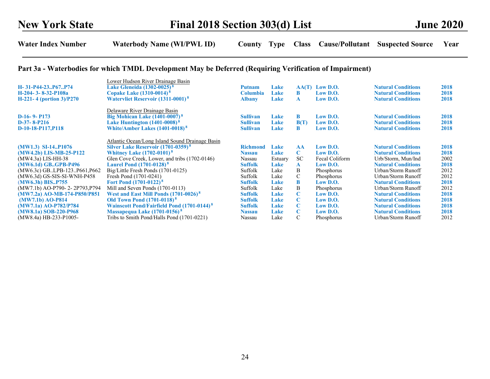#### Part 3a - Waterbodies for which TMDL Development May be Deferred (Requiring Verification of Impairment)

| H-31-P44-23P67P74<br>H-204-3-8-32-P108a<br>$H-221-4$ (portion 3)/P270                                                                                                                         | Lower Hudson River Drainage Basin<br>Lake Gleneida (1302-0025) <sup>8</sup><br>Copake Lake (1310-0014) <sup>8</sup><br><b>Watervliet Reservoir (1311-0001)</b> <sup>8</sup>                                                                                                                                                                    | <b>Putnam</b><br><b>Columbia</b><br><b>Albany</b>                                                          | Lake<br><b>Lake</b><br>Lake                                   | AA(T)<br>B<br>A                                                           | Low $\mathbf{D}.\mathbf{O}$ .<br>$Low$ $D.O.$<br>$Low$ $D.O.$                                        | <b>Natural Conditions</b><br><b>Natural Conditions</b><br><b>Natural Conditions</b>                                                                                                       | 2018<br>2018<br>2018                                 |
|-----------------------------------------------------------------------------------------------------------------------------------------------------------------------------------------------|------------------------------------------------------------------------------------------------------------------------------------------------------------------------------------------------------------------------------------------------------------------------------------------------------------------------------------------------|------------------------------------------------------------------------------------------------------------|---------------------------------------------------------------|---------------------------------------------------------------------------|------------------------------------------------------------------------------------------------------|-------------------------------------------------------------------------------------------------------------------------------------------------------------------------------------------|------------------------------------------------------|
| $D-16-9-$ P173<br>$D-37-8-P216$<br>D-10-18-P117, P118                                                                                                                                         | Delaware River Drainage Basin<br>Big Mohican Lake $(1401-0007)^8$<br>Lake Huntington $(1401-0008)^8$<br>White/Amber Lakes $(1401-0018)^8$                                                                                                                                                                                                      | <b>Sullivan</b><br><b>Sullivan</b><br><b>Sullivan</b>                                                      | <b>Lake</b><br><b>Lake</b><br>Lake                            | B<br>B(T)<br>B                                                            | $Low$ $D.O.$<br>$Low$ $D.O.$<br>$Low$ $D.O.$                                                         | <b>Natural Conditions</b><br><b>Natural Conditions</b><br><b>Natural Conditions</b>                                                                                                       | 2018<br>2018<br>2018                                 |
| $(MW1.3)$ SI-14P1076<br>$(MW4.2b)$ LIS-MB-25-P122<br>(MW4.3a) LIS-HH-38<br>(MW6.1d) GB., GPB-P496<br>$(MW6.3c)$ GBLPB-123P661,P662<br>(MW6.3d) GS-SIS-SI-WNH-P458                             | Atlantic Ocean/Long Island Sound Drainage Basin<br>Silver Lake Reservoir (1701-0359) <sup>8</sup><br><b>Whitney Lake (1702-0101)</b> <sup>8</sup><br>Glen Cove Creek, Lower, and tribs (1702-0146)<br><b>Laurel Pond (1701-0128)</b> <sup>8</sup><br>Big/Little Fresh Ponds (1701-0125)<br>Fresh Pond (1701-0241)                              | <b>Richmond</b><br><b>Nassau</b><br>Nassau<br><b>Suffolk</b><br>Suffolk<br>Suffolk                         | <b>Lake</b><br><b>Lake</b><br>Estuary<br>Lake<br>Lake<br>Lake | AA<br>C.<br>SC.<br>${\bf A}$<br>B<br>$\mathbf C$                          | $Low$ $D.O.$<br>$Low$ $D.O.$<br>Fecal Coliform<br>$Low$ $D.O.$<br>Phosphorus<br>Phosphorus           | <b>Natural Conditions</b><br><b>Natural Conditions</b><br>Urb/Storm, Mun/Ind<br><b>Natural Conditions</b><br>Urban/Storm Runoff<br>Urban/Storm Runoff                                     | 2018<br>2018<br>2002<br>2018<br>2012<br>2012         |
| (MW6.3h) BIS., P755<br>(MW7.1b) AO-P790-2-2P793, P794<br>(MW7.2a) AO-MB-174-P850/P851<br>$(MW7.1b)$ AO-P814<br>$(MW7.1a)$ AO-P782/P784<br>$(MW8.1a)$ SOB-220-P968<br>$(MW8.4a)$ HB-233-P1005- | <b>Fort Pond (1701-0122)</b> <sup>8</sup><br>Mill and Seven Ponds (1701-0113)<br>West and East Mill Ponds (1701-0026) <sup>8</sup><br><b>Old Town Pond (1701-0118)</b> <sup>8</sup><br><b>Wainscott Pond/Fairfield Pond (1701-0144)</b> <sup>8</sup><br>Massapequa Lake (1701-0156) <sup>8</sup><br>Tribs to Smith Pond/Halls Pond (1701-0221) | <b>Suffolk</b><br>Suffolk<br><b>Suffolk</b><br><b>Suffolk</b><br><b>Suffolk</b><br><b>Nassau</b><br>Nassau | Lake<br>Lake<br>Lake<br>Lake<br><b>Lake</b><br>Lake<br>Lake   | B<br>B<br>$\mathbf C$<br>$\mathbf C$<br>C<br>$\mathbf C$<br>$\mathcal{C}$ | $Low$ $D.O.$<br>Phosphorus<br>$Low$ $D.O.$<br>Low D.O.<br>$Low$ $D.O.$<br>$Low$ $D.O.$<br>Phosphorus | <b>Natural Conditions</b><br>Urban/Storm Runoff<br><b>Natural Conditions</b><br><b>Natural Conditions</b><br><b>Natural Conditions</b><br><b>Natural Conditions</b><br>Urban/Storm Runoff | 2018<br>2012<br>2018<br>2018<br>2018<br>2018<br>2012 |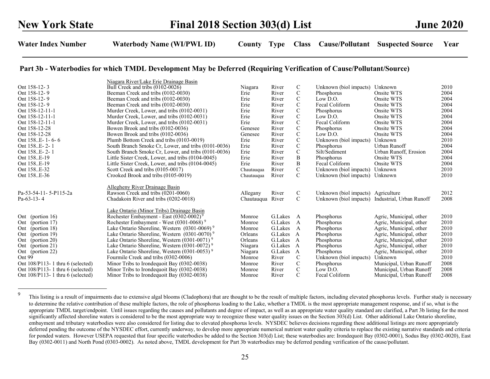|                                                                          | Niagara River/Lake Erie Drainage Basin                                                                                   |                    |                    |                                |                                    |                                                 |              |
|--------------------------------------------------------------------------|--------------------------------------------------------------------------------------------------------------------------|--------------------|--------------------|--------------------------------|------------------------------------|-------------------------------------------------|--------------|
| Ont 158-12-3                                                             | Bull Creek and tribs (0102-0026)                                                                                         | Niagara            | River              | C                              | Unknown (biol impacts)             | Unknown                                         | 2010         |
| Ont 158-12-9                                                             | Beeman Creek and tribs (0102-0030)                                                                                       | Erie               | River              | $\mathbf C$                    | Phosphorus                         | Onsite WTS                                      | 2004         |
| Ont 158-12-9                                                             | Beeman Creek and tribs (0102-0030)                                                                                       | Erie               | River              | $\mathbf C$                    | Low D.O.                           | Onsite WTS                                      | 2004         |
| Ont 158-12-9                                                             | Beeman Creek and tribs (0102-0030)                                                                                       | Erie               | River              | $\mathbf C$                    | Fecal Coliform                     | Onsite WTS                                      | 2004         |
| Ont 158-12-11-1                                                          | Murder Creek, Lower, and tribs (0102-0031)                                                                               | Erie               | River              | $\mathbf C$                    | Phosphorus                         | Onsite WTS                                      | 2004         |
| Ont 158-12-11-1                                                          | Murder Creek, Lower, and tribs (0102-0031)                                                                               | Erie               | River              | $\mathsf{C}$                   | Low D.O.                           | Onsite WTS                                      | 2004         |
| Ont 158-12-11-1                                                          | Murder Creek, Lower, and tribs (0102-0031)                                                                               | Erie               | River              | $\mathbf C$                    | Fecal Coliform                     | Onsite WTS                                      | 2004         |
| Ont 158-12-28                                                            | Bowen Brook and tribs (0102-0036)                                                                                        | Genesee            | River              | $\mathbf C$                    | Phosphorus                         | Onsite WTS                                      | 2004         |
| Ont 158-12-28                                                            | Bowen Brook and tribs (0102-0036)                                                                                        | Genesee            | River              | $\mathsf{C}$                   | Low D.O.                           | Onsite WTS                                      | 2004         |
| Ont 158E-1-6-6                                                           | Plumb Bottom Creek and tribs (0103-0019)                                                                                 | Erie               | River              | $\mathbf C$                    | Unknown (biol impacts)             | Unknown                                         | 2010         |
| Ont 158E-2-1                                                             | South Branch Smoke Cr, Lower, and tribs (0101-0036)                                                                      | Erie               | River              | $\mathbf C$                    | Phosphorus                         | Urban Runoff                                    | 2004         |
| Ont 158E-2-1                                                             | South Branch Smoke Cr, Lower, and tribs (0101-0036)                                                                      | Erie               | River              | $\mathbf C$                    | Silt/Sediment                      | Urban Runoff, Erosion                           | 2004         |
| Ont 158E-19                                                              | Little Sister Creek, Lower, and tribs (0104-0045)                                                                        | Erie               | River              | $\, {\bf B}$                   | Phosphorus                         | Onsite WTS                                      | 2004         |
| Ont 158E-19                                                              | Little Sister Creek, Lower, and tribs (0104-0045)                                                                        | Erie               | River              | $\, {\bf B}$                   | Fecal Coliform                     | Onsite WTS                                      | 2004         |
| Ont 158E-32                                                              | Scott Creek and tribs (0105-0017)                                                                                        | Chautauqua         | River              | $\mathbf C$                    | Unknown (biol impacts)             | Unknown                                         | 2010         |
| Ont 158E-36                                                              | Crooked Brook and tribs (0105-0019)                                                                                      | Chautauqua         | River              | $\mathcal{C}$                  | Unknown (biol impacts)             | Unknown                                         | 2010         |
|                                                                          |                                                                                                                          |                    |                    |                                |                                    |                                                 |              |
|                                                                          | Allegheny River Drainage Basin                                                                                           |                    |                    |                                |                                    |                                                 |              |
| Pa-53-54-11-5-P115-2a                                                    | Rawson Creek and tribs (0201-0060)                                                                                       | Allegany           | River              | C                              | Unknown (biol impacts) Agriculture |                                                 | 2012         |
| $Pa-63-13-4$                                                             | Chadakoin River and tribs (0202-0018)                                                                                    | Chautauqua River   |                    | $\mathcal{C}$                  |                                    | Unknown (biol impacts) Industrial, Urban Runoff | 2008         |
|                                                                          |                                                                                                                          |                    |                    |                                |                                    |                                                 |              |
|                                                                          | Lake Ontario (Minor Tribs) Drainage Basin                                                                                |                    |                    |                                |                                    |                                                 |              |
| Ont (portion 16)                                                         | Rochester Embayment - East (0302-0002) <sup>9</sup>                                                                      | Monroe             | G.Lakes A          |                                | Phosphorus                         | Agric, Municipal, other                         | 2010         |
| Ont (portion 17)                                                         | Rochester Embayment - West (0301-0068) <sup>9</sup>                                                                      | Monroe             | G.Lakes<br>G.Lakes | $\overline{A}$<br>$\mathbf{A}$ | Phosphorus                         | Agric, Municipal, other                         | 2010<br>2010 |
| Ont (portion 18)                                                         | Lake Ontario Shoreline, Western $(0301-0069)$ <sup>9</sup>                                                               | Monroe             |                    |                                | Phosphorus                         | Agric, Municipal, other                         |              |
| Ont (portion 19)                                                         | Lake Ontario Shoreline, Western $(0301-0070)^9$                                                                          | Orleans<br>Orleans | G.Lakes<br>G.Lakes | $\mathbf{A}$<br>$\overline{A}$ | Phosphorus                         | Agric, Municipal, other                         | 2010<br>2010 |
| Ont (portion 20)                                                         | Lake Ontario Shoreline, Western $(0301-0071)$ <sup>9</sup><br>Lake Ontario Shoreline, Western $(0301-0072)$ <sup>9</sup> |                    | G.Lakes            | $\mathbf{A}$                   | Phosphorus<br>Phosphorus           | Agric, Municipal, other                         | 2010         |
| Ont (portion 21)                                                         | Lake Ontario Shoreline, Western $(0301-0053)$ <sup>9</sup>                                                               | Niagara            | G.Lakes            | A                              | Phosphorus                         | Agric, Municipal, other                         | 2010         |
| Ont (portion 22)<br>Ont 99                                               |                                                                                                                          | Niagara            | River              | $\mathcal{C}$                  |                                    | Agric, Municipal, other<br>Unknown              | 2010         |
| Ont 108/P113-1 thru 6 (selected)                                         | Fourmile Creek and tribs (0302-0006)                                                                                     | Monroe<br>Monroe   | River              | $\mathbf C$                    | Unknown (biol impacts)             | Municipal, Urban Runoff                         | 2008         |
|                                                                          | Minor Tribs to Irondequoit Bay (0302-0038)                                                                               | Monroe             | River              | $\mathbf C$                    | Phosphorus<br>Low D.O.             | Municipal, Urban Runoff                         | 2008         |
| Ont 108/P113-1 thru 6 (selected)<br>Ont $108/P113 - 1$ thru 6 (selected) | Minor Tribs to Irondequoit Bay (0302-0038)                                                                               | Monroe             | River              | $\mathcal{C}$                  | Fecal Coliform                     |                                                 | 2008         |
|                                                                          | Minor Tribs to Irondequoit Bay (0302-0038)                                                                               |                    |                    |                                |                                    | Municipal, Urban Runoff                         |              |

<sup>&</sup>lt;sup>9</sup> This listing is a result of impairments due to extensive algal blooms (Cladophora) that are thought to be the result of multiple factors, including elevated phosphorus levels. Further study is necessary to determine the relative contribution of these multiple factors, the role of phosphorus loading to the Lake, whether a TMDL is the most appropriate management response, and if so, what is the appropriate TMDL target/endpoint. Until issues regarding the causes and pollutants and degree of impact, as well as an appropriate water quality standard are clarified, a Part 3b listing for the most significantly affected shoreline waters is considered to be the most appropriate way to recognize these water quality issues on the Section 303(d) List. Other additional Lake Ontario shoreline, embayment and tributary waterbodies were also considered for listing due to elevated phosphorus levels. NYSDEC believes decisions regarding these additional listings are more appropriately deferred pending the outcome of the NYSDEC effort, currently underway, to develop more appropriate numerical nutrient water quality criteria to replace the existing narrative standards and criteria for ponded waters. However USEPA requested that four specific waterbodies be added to the Section 303(d) List; these waterbodies are: Irondequoit Bay (0302-0001), Sodus Bay (0302-0020), East Bay (0302-0011) and North Pond (0303-0002). As noted above, TMDL development for Part 3b waterbodies may be deferred pending verification of the cause/pollutant.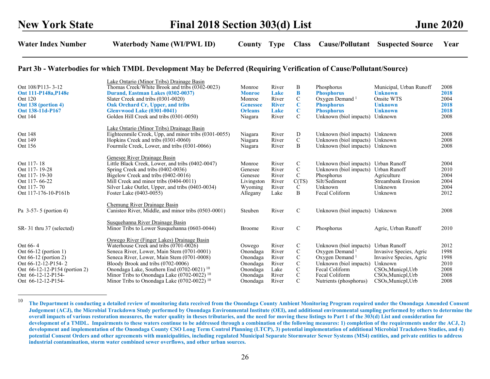| Ont 108/P113-3-12<br>Ont 111-P148a, P148e<br>Ont 120<br>Ont 138 (portion 4)<br>Ont 138-11d-P167<br>Ont 144                                                         | Lake Ontario (Minor Tribs) Drainage Basin<br>Thomas Creek/White Brook and tribs (0302-0023)<br>Durand, Eastman Lakes (0302-0037)<br>Slater Creek and tribs (0301-0020)<br>Oak Orchard Cr, Upper, and tribs<br><b>Glenvwood Lake (0301-0041)</b><br>Golden Hill Creek and tribs (0301-0050)                                                                                            | Monroe<br><b>Monroe</b><br>Monroe<br><b>Genessee</b><br><b>Orleans</b><br>Niagara | River<br>Lake<br>River<br><b>River</b><br>Lake<br>River    | Β<br>B<br>$\mathbf C$<br>$\bf C$<br>$\mathbf C$<br>$\mathsf{C}$                              | Phosphorus<br><b>Phosphorus</b><br>Oxygen Demand <sup>1</sup><br><b>Phosphorus</b><br><b>Phosphorus</b><br>Unknown (biol impacts)                                          | Municipal, Urban Runoff<br><b>Unknown</b><br>Onsite WTS<br><b>Unknown</b><br><b>Unknown</b><br>Unknown                                          | 2008<br>2018<br>2004<br>2018<br>2018<br>2008         |
|--------------------------------------------------------------------------------------------------------------------------------------------------------------------|---------------------------------------------------------------------------------------------------------------------------------------------------------------------------------------------------------------------------------------------------------------------------------------------------------------------------------------------------------------------------------------|-----------------------------------------------------------------------------------|------------------------------------------------------------|----------------------------------------------------------------------------------------------|----------------------------------------------------------------------------------------------------------------------------------------------------------------------------|-------------------------------------------------------------------------------------------------------------------------------------------------|------------------------------------------------------|
| <b>Ont 148</b><br>Ont 149<br>Ont 156                                                                                                                               | Lake Ontario (Minor Tribs) Drainage Basin<br>Eighteenmile Creek, Upp, and minor tribs (0301-0055)<br>Hopkins Creek and tribs (0301-0060)<br>Fourmile Creek, Lower, and tribs (0301-0066)                                                                                                                                                                                              | Niagara<br>Niagara<br>Niagara                                                     | River<br>River<br>River                                    | D<br>$\mathbf C$<br>B                                                                        | Unknown (biol impacts)<br>Unknown (biol impacts)<br>Unknown (biol impacts)                                                                                                 | Unknown<br>Unknown<br>Unknown                                                                                                                   | 2008<br>2008<br>2008                                 |
| Ont 117-18<br>Ont 117-19-28<br>Ont 117-19-30<br>Ont 117-66-22<br>Ont 117-70<br>Ont 117-176-10-P161b                                                                | Genesee River Drainage Basin<br>Little Black Creek, Lower, and tribs (0402-0047)<br>Spring Creek and tribs (0402-0036)<br>Bigelow Creek and tribs (0402-0016)<br>Mill Creek and minor tribs (0404-0011)<br>Silver Lake Outlet, Upper, and tribs (0403-0034)<br>Foster Lake (0403-0055)                                                                                                | Monroe<br>Genesee<br>Genesee<br>Livingston<br>Wyoming<br>Allegany                 | River<br>River<br>River<br>River<br>River<br>Lake          | $\mathcal{C}$<br>$\mathsf{C}$<br>$\mathcal{C}$<br>C(TS)<br>C<br>B                            | Unknown (biol impacts)<br>Unknown (biol impacts)<br>Phosphorus<br>Silt/Sediment<br>Unknown<br>Fecal Coliform                                                               | Urban Runoff<br>Urban Runoff<br>Agriculture<br><b>Streambank Erosion</b><br>Unknown<br>Unknown                                                  | 2004<br>2010<br>2004<br>2004<br>2004<br>2012         |
| Pa $3-57-5$ (portion 4)                                                                                                                                            | Chemung River Drainage Basin<br>Canisteo River, Middle, and minor tribs (0503-0001)                                                                                                                                                                                                                                                                                                   | Steuben                                                                           | River                                                      | $\mathcal{C}$                                                                                | Unknown (biol impacts) Unknown                                                                                                                                             |                                                                                                                                                 | 2008                                                 |
| SR-31 thru 37 (selected)                                                                                                                                           | Susquehanna River Drainage Basin<br>Minor Tribs to Lower Susquehanna (0603-0044)                                                                                                                                                                                                                                                                                                      | <b>Broome</b>                                                                     | River                                                      | $\mathcal{C}$                                                                                | Phosphorus                                                                                                                                                                 | Agric, Urban Runoff                                                                                                                             | 2010                                                 |
| Ont 66-4<br>Ont $66-12$ (portion 1)<br>Ont $66-12$ (portion 2)<br>Ont 66-12-12-P154-2<br>Ont 66-12-12-P154 (portion 2)<br>Ont 66-12-12-P154-<br>Ont 66-12-12-P154- | Oswego River (Finger Lakes) Drainage Basin<br>Waterhouse Creek and tribs (0701-0026)<br>Seneca River, Lower, Main Stem (0701-0001)<br>Seneca River, Lower, Main Stem (0701-0008)<br>Bloody Brook and tribs (0702-0006)<br>Onondaga Lake, Southern End (0702-0021) <sup>10</sup><br>Minor Tribs to Onondaga Lake $(0702-0022)^{10}$<br>Minor Tribs to Onondaga Lake $(0702-0022)^{10}$ | Oswego<br>Onondaga<br>Onondaga<br>Onondaga<br>Onondaga<br>Onondaga<br>Onondaga    | River<br>River<br>River<br>River<br>Lake<br>River<br>River | C<br>$\mathsf{C}$<br>$\mathbf C$<br>$\mathsf C$<br>$\mathbf C$<br>$\mathbf C$<br>$\mathbf C$ | Unknown (biol impacts)<br>Oxygen Demand <sup>1</sup><br>Oxygen Demand <sup>1</sup><br>Unknown (biol impacts)<br>Fecal Coliform<br>Fecal Coliform<br>Nutrients (phosphorus) | Urban Runoff<br>Invasive Species, Agric<br>Invasive Species, Agric<br>Unknown<br>CSOs, Municpl, Urb<br>CSOs, Municpl, Urb<br>CSOs, Municpl, Urb | 2012<br>1998<br>1998<br>2010<br>2008<br>2008<br>2008 |

<sup>&</sup>lt;sup>10</sup> The Department is conducting a detailed review of monitoring data received from the Onondaga County Ambient Monitoring Program required under the Onondaga Amended Consent Judgement (ACJ), the Microbial Trackdown Study performed by Onondaga Environmental Institute (OEI), and additional environmental sampling performed by others to determine the overall impacts of various restoration measures, the water quality in theses tributaries, and the need for moving these listings to Part 1 of the 303(d) List and consideration for development of a TMDL. Impairments to these waters continue to be addressed through a combination of the following measures: 1) completion of the requirements under the ACJ, 2) development and implementation of the Onondaga County CSO Long Term Control Planning (LTCP), 3) potential implementation of additional Microbial Trackdown Studies, and 4) potential Consent Orders and other agreements with municipalities, including regulated Municipal Separate Stormwater Sewer Systems (MS4) entities, and private entities to address industrial contamination, storm water combined sewer overflows, and other urban sources.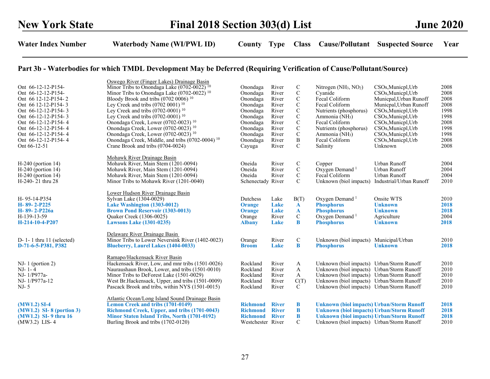| Ont 66-12-12-P154-<br>Ont 66-12-12-P154-<br>Ont 66 12-12-P154-2<br>Ont 66 12-12-P154-3<br>Ont 66-12-12-P154-3<br>Ont 66-12-12-P154-3<br>Ont 66-12-12-P154-4<br>Ont 66-12-12-P154-4<br>Ont 66-12-12-P154-4 | Oswego River (Finger Lakes) Drainage Basin<br>Minor Tribs to Onondaga Lake (0702-0022) <sup>10</sup><br>Minor Tribs to Onondaga Lake (0702-0022) <sup>10</sup><br>Bloody Brook and tribs (0702 0006) <sup>10</sup><br>Ley Creek and tribs $(0702 0001)^{10}$<br>Ley Creek and tribs $(0702-0001)$ <sup>10</sup><br>Ley Creek and tribs $(0702-0001)$ <sup>10</sup><br>Onondaga Creek, Lower (0702-0023) <sup>10</sup><br>Onondaga Creek, Lower (0702-0023) <sup>10</sup><br>Onondaga Creek, Lower (0702-0023) <sup>10</sup> | Onondaga<br>Onondaga<br>Onondaga<br>Onondaga<br>Onondaga<br>Onondaga<br>Onondaga<br>Onondaga<br>Onondaga | River<br>River<br>River<br>River<br>River<br>River<br>River<br>River<br>River | $\mathbf C$<br>$\mathbf C$<br>$\mathbf C$<br>C<br>C<br>$\mathbf C$<br>$\mathbf C$<br>C<br>$\mathbf C$ | Nitrogen $(NH_3, NO_2)$<br>Cyanide<br>Fecal Coliform<br>Fecal Coliform<br>Nutrients (phosphorus)<br>Ammonia (NH <sub>3</sub> )<br>Fecal Coliform<br>Nutrients (phosphorus)<br>Ammonia (NH <sub>3</sub> )   | CSOs, Municpl, Urb<br>CSOs, Municpl, Urb<br>Municpal, Urban Runoff<br>Municpal, Urban Runoff<br>CSO <sub>s</sub> , Municpl, Urb<br>CSO <sub>s</sub> , Municpl, Urb<br>CSOs, Municpl, Urb<br>CSOs, Municpl, Urb<br>CSOs, Municpl, Urb | 2008<br>2008<br>2008<br>2008<br>1998<br>1998<br>2008<br>1998<br>1998 |
|-----------------------------------------------------------------------------------------------------------------------------------------------------------------------------------------------------------|-----------------------------------------------------------------------------------------------------------------------------------------------------------------------------------------------------------------------------------------------------------------------------------------------------------------------------------------------------------------------------------------------------------------------------------------------------------------------------------------------------------------------------|----------------------------------------------------------------------------------------------------------|-------------------------------------------------------------------------------|-------------------------------------------------------------------------------------------------------|------------------------------------------------------------------------------------------------------------------------------------------------------------------------------------------------------------|--------------------------------------------------------------------------------------------------------------------------------------------------------------------------------------------------------------------------------------|----------------------------------------------------------------------|
| Ont 66-12-12-P154-4<br>Ont 66-12-51                                                                                                                                                                       | Onondaga Creek, Middle, and tribs (0702-0004) <sup>10</sup><br>Crane Brook and tribs (0704-0024)                                                                                                                                                                                                                                                                                                                                                                                                                            | Onondaga<br>Cayuga                                                                                       | River<br>River                                                                | $\bf{B}$<br>$\mathcal{C}$                                                                             | Fecal Coliform<br>Salinity                                                                                                                                                                                 | CSOs, Municpl, Urb<br>Unknown                                                                                                                                                                                                        | 2008<br>2008                                                         |
|                                                                                                                                                                                                           |                                                                                                                                                                                                                                                                                                                                                                                                                                                                                                                             |                                                                                                          |                                                                               |                                                                                                       |                                                                                                                                                                                                            |                                                                                                                                                                                                                                      |                                                                      |
| $H-240$ (portion 14)<br>$H-240$ (portion 14)<br>$H-240$ (portion 14)<br>H-240- 21 thru 28                                                                                                                 | Mohawk River Drainage Basin<br>Mohawk River, Main Stem (1201-0094)<br>Mohawk River, Main Stem (1201-0094)<br>Mohawk River, Main Stem (1201-0094)<br>Minor Tribs to Mohawk River (1201-0040)                                                                                                                                                                                                                                                                                                                                 | Oneida<br>Oneida<br>Oneida<br>Schenectady River                                                          | River<br>River<br>River                                                       | $\mathbf C$<br>$\mathbf C$<br>$\mathbf C$<br>$\mathsf{C}$                                             | Copper<br>Oxygen Demand <sup>1</sup><br>Fecal Coliform<br>Unknown (biol impacts)                                                                                                                           | Urban Runoff<br>Urban Runoff<br>Urban Runoff<br>Industrial/Urban Runoff                                                                                                                                                              | 2004<br>2004<br>2004<br>2010                                         |
| H- 95-14-P354<br>H-89-2-P225<br>H- 89- 2-P226a<br>H-139-13-59<br>H-214-10-4-P207                                                                                                                          | Lower Hudson River Drainage Basin<br>Sylvan Lake (1304-0029)<br>Lake Washington (1303-0012)<br><b>Brown Pond Reservoir (1303-0013)</b><br>Quaker Creek (1306-0025)<br><b>Lawsons Lake (1301-0235)</b>                                                                                                                                                                                                                                                                                                                       | Dutchess<br><b>Orange</b><br>Orange<br>Orange<br><b>Albany</b>                                           | Lake<br>Lake<br>Lake<br>River<br>Lake                                         | B(T)<br>$\mathbf{A}$<br>$\mathbf{A}$<br>$\mathbf C$<br>$\bf{B}$                                       | Oxygen Demand <sup>1</sup><br><b>Phosphorus</b><br><b>Phosphorus</b><br>Oxygen Demand <sup>1</sup><br><b>Phosphorus</b>                                                                                    | Onsite WTS<br><b>Unknown</b><br><b>Unknown</b><br>Agriculture<br><b>Unknown</b>                                                                                                                                                      | 2010<br>2018<br>2018<br>2004<br>2018                                 |
| $D-1-1$ thru 11 (selected)<br>D-71-6-5-P381, P382                                                                                                                                                         | Delaware River Drainage Basin<br>Minor Tribs to Lower Neversink River (1402-0023)<br><b>Blueberry, Laurel Lakes (1404-0033)</b>                                                                                                                                                                                                                                                                                                                                                                                             | Orange<br><b>Broom</b>                                                                                   | River<br>Lake                                                                 | $\mathbf C$<br>B                                                                                      | Unknown (biol impacts) Municipal/Urban<br><b>Phosphorus</b>                                                                                                                                                | <b>Unknown</b>                                                                                                                                                                                                                       | 2010<br>2018                                                         |
| $NJ-1$ (portion 2)<br>NJ- 1-4<br>NJ-1/P977a-<br>NJ- 1/P977a-12<br>NJ- 5                                                                                                                                   | Ramapo/Hackensack River Basin<br>Hackensack River, Low, and mnr tribs (1501-0026)<br>Nauraushaun Brook, Lower, and tribs (1501-0010)<br>Minor Tribs to DeForest Lake (1501-0029)<br>West Br. Hackensack, Upper, and tribs (1501-0009)<br>Pascack Brook and tribs, within NYS (1501-0015)                                                                                                                                                                                                                                    | Rockland<br>Rockland<br>Rockland<br>Rockland<br>Rockland                                                 | River<br>River<br>River<br>River<br>River                                     | A<br>A<br>A<br>C(T)<br>C                                                                              | Unknown (biol impacts)<br>Unknown (biol impacts) Urban/Storm Runoff<br>Unknown (biol impacts) Urban/Storm Runoff<br>Unknown (biol impacts) Urban/Storm Runoff<br>Unknown (biol impacts) Urban/Storm Runoff | Urban/Storm Runoff                                                                                                                                                                                                                   | 2010<br>2010<br>2010<br>2010<br>2010                                 |
| $(MW1.2)$ SI-4<br>$(MW1.2)$ SI-8 (portion 3)<br>(MW1.2) SI- 9 thru 16<br>(MW3.2) LIS-4                                                                                                                    | Atlantic Ocean/Long Island Sound Drainage Basin<br>Lemon Creek and tribs (1701-0149)<br>Richmond Creek, Upper, and tribs (1701-0043)<br>Minor Staten Island Tribs, North (1701-0192)<br>Burling Brook and tribs (1702-0120)                                                                                                                                                                                                                                                                                                 | <b>Richmond</b><br><b>Richmond</b><br><b>Richmond</b><br>Westchester River                               | <b>River</b><br><b>River</b><br><b>River</b>                                  | B<br>B<br>$\bf{B}$<br>C                                                                               | <b>Unknown (biol impacts) Urban/Storm Runoff</b><br><b>Unknown (biol impacts) Urban/Storm Runoff</b><br><b>Unknown (biol impacts) Urban/Storm Runoff</b><br>Unknown (biol impacts) Urban/Storm Runoff      |                                                                                                                                                                                                                                      | 2018<br>2018<br>2018<br>2010                                         |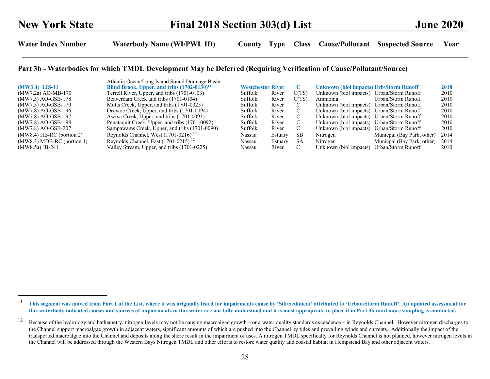|                              | Atlantic Ocean/Long Island Sound Drainage Basin         |                          |         |       |                                                |                            |      |
|------------------------------|---------------------------------------------------------|--------------------------|---------|-------|------------------------------------------------|----------------------------|------|
| $(MW3.4)$ LIS-11             | Blind Brook, Upper, and tribs (1702-0130) <sup>11</sup> | <b>Westchester River</b> |         | C     | <b>Unknown (biol impacts) Urb/Storm Runoff</b> |                            | 2018 |
| (MW7.2a) AO-MB-170           | Terrell River, Upper, and tribs (1701-0103)             | Suffolk                  | River   | C(TS) | Unknown (biol impacts) Urban/Storm Runoff      |                            | 2010 |
| (MW7.5) AO-GSB-178           | Beaverdam Creek and tribs (1701-0104)                   | Suffolk                  | River   | C(TS) | Ammonia                                        | Urban/Storm Runoff         | 2010 |
| (MW7.5) AO-GSB-179           | Motts Creek, Upper, and tribs (1701-0325)               | Suffolk                  | River   |       | Unknown (biol impacts) Urban/Storm Runoff      |                            | 2010 |
| (MW7.8) AO-GSB-196           | Orowoc Creek, Upper, and tribs (1701-0094)              | Suffolk                  | River   | C     | Unknown (biol impacts)                         | Urban/Storm Runoff         | 2010 |
| (MW7.8) AO-GSB-197           | Awixa Creek, Upper, and tribs (1701-0093)               | Suffolk                  | River   | C     | Unknown (biol impacts)                         | Urban/Storm Runoff         | 2010 |
| (MW7.8) AO-GSB-198           | Penataquit Creek, Upper, and tribs (1701-0092)          | Suffolk                  | River   | C     | Unknown (biol impacts)                         | Urban/Storm Runoff         | 2010 |
| $(MW7.8)$ AO-GSB-207         | Sampawams Creek, Upper, and tribs (1701-0090)           | Suffolk                  | River   | C     | Unknown (biol impacts)                         | Urban/Storm Runoff         | 2010 |
| $(MW8.4)$ HB-RC (portion 2)  | Reynolds Channel, West $(1701-0216)^{12}$               | Nassau                   | Estuary | SВ    | Nitrogen                                       | Municpal (Bay Park, other) | 2014 |
| $(MW8.3) MDB-RC$ (portion 1) | Reynolds Channel, East $(1701-0215)^{12}$               | Nassau                   | Estuary | -SA   | Nitrogen                                       | Municpal (Bay Park, other) | 2014 |
| $(MW8.5a)$ JB-241            | Valley Stream, Upper, and tribs (1701-0225)             | Nassau                   | River   | C     | Unknown (biol impacts)                         | Urban/Storm Runoff         | 2010 |

<sup>11</sup>  This segment was moved from Part 1 of the List, where it was originally listed for impairments cause by 'Silt/Sediment' attributed to 'Urban/Storm Runoff'. An updated assessment for this waterbody indicated causes and sources of impairments to this water are not fully understood and it is most appropriate to place it in Part 3b until more sampling is conducted.

<sup>&</sup>lt;sup>12</sup> Because of the hydrology and bathemetry, nitrogen levels may not be causing macroalgae growth – or a water quality standards exceedence – in Reynolds Channel. However nitrogen discharges to the Channel support macroalgae growth in adjacent waters, significant amounts of which are pushed into the Channel by tides and prevailing winds and currents. Additionally the impact of the transported macroalgae into the Channel and deposits along the shore result in the impairment of uses. A nitrogen TMDL specifically for Reynolds Channel is not planned, however nitrogen levels in the Channel will be addressed through the Western Bays Nitrogen TMDL and other efforts to restore water quality and coastal habitat in Hempstead Bay and other adjacent waters.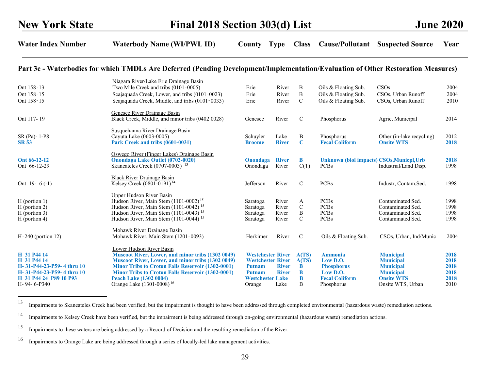## Part 3c - Waterbodies for which TMDLs Are Deferred (Pending Development/Implementation/Evaluation of Other Restoration Measures)

|                              | Niagara River/Lake Erie Drainage Basin                                           |                             |                       |               |                                                                 |                           |              |
|------------------------------|----------------------------------------------------------------------------------|-----------------------------|-----------------------|---------------|-----------------------------------------------------------------|---------------------------|--------------|
| Ont 158-13                   | Two Mile Creek and tribs (0101-0005)                                             | Erie                        | River                 | B             | Oils & Floating Sub.                                            | CSOs                      | 2004         |
| Ont 158-15                   | Scajaquada Creek, Lower, and tribs (0101-0023)                                   | Erie                        | River                 | B             | Oils & Floating Sub.                                            | CSOs, Urban Runoff        | 2004         |
| Ont 158-15                   | Scajaquada Creek, Middle, and tribs (0101-0033)                                  | Erie                        | River                 | $\mathcal{C}$ | Oils & Floating Sub.                                            | CSOs, Urban Runoff        | 2010         |
|                              | Genesee River Drainage Basin                                                     |                             |                       |               |                                                                 |                           |              |
| Ont 117-19                   | Black Creek, Middle, and minor tribs (0402 0028)                                 | Genesee                     | River                 | $\mathcal{C}$ | Phosphorus                                                      | Agric, Municipal          | 2014         |
|                              | Susquehanna River Drainage Basin                                                 |                             |                       |               |                                                                 |                           |              |
| SR (Pa)- 1-P8                | Cayuta Lake (0603-0005)                                                          | Schuyler                    | Lake                  | B             | Phosphorus                                                      | Other (in-lake recycling) | 2012         |
| <b>SR 53</b>                 | Park Creek and tribs (0601-0031)                                                 | <b>Broome</b>               | <b>River</b>          | $\mathbf C$   | <b>Fecal Coliform</b>                                           | <b>Onsite WTS</b>         | 2018         |
|                              | Oswego River (Finger Lakes) Drainage Basin                                       |                             |                       | B             |                                                                 |                           |              |
| Ont 66-12-12<br>Ont 66-12-29 | <b>Onondaga Lake Outlet (0702-0020)</b><br>Skaneateles Creek $(0707-0003)^{-13}$ | <b>Onondaga</b><br>Onondaga | <b>River</b><br>River |               | <b>Unknown (biol impacts) CSOs, Municpl, Urb</b><br><b>PCBs</b> | Industrial/Land Disp.     | 2018<br>1998 |
|                              |                                                                                  |                             |                       | C(T)          |                                                                 |                           |              |
|                              | <b>Black River Drainage Basin</b>                                                |                             |                       |               |                                                                 |                           |              |
| Ont $19-6(-1)$               | Kelsey Creek (0801-0191) <sup>14</sup>                                           | Jefferson                   | River                 | $\mathcal{C}$ | <b>PCBs</b>                                                     | Industr, Contam.Sed.      | 1998         |
|                              | Upper Hudson River Basin                                                         |                             |                       |               |                                                                 |                           |              |
| $H$ (portion 1)              | Hudson River, Main Stem (1101-0002) <sup>15</sup>                                | Saratoga                    | River                 | A             | <b>PCBs</b>                                                     | Contaminated Sed.         | 1998         |
| H (portion 2)                | Hudson River, Main Stem $(1101-0042)$ <sup>15</sup>                              | Saratoga                    | River                 | $\mathsf{C}$  | <b>PCBs</b>                                                     | Contaminated Sed.         | 1998         |
| H (portion 3)                | Hudson River, Main Stem $(1101-0043)$ <sup>15</sup>                              | Saratoga                    | River                 | B             | <b>PCBs</b>                                                     | Contaminated Sed.         | 1998         |
| H (portion 4)                | Hudson River, Main Stem (1101-0044) <sup>15</sup>                                | Saratoga                    | River                 | $\mathcal{C}$ | <b>PCBs</b>                                                     | Contaminated Sed.         | 1998         |
|                              | <b>Mohawk River Drainage Basin</b>                                               |                             |                       |               |                                                                 |                           |              |
| $H-240$ (portion 12)         | Mohawk River, Main Stem (1201-0093)                                              | Herkimer                    | River                 | $\mathcal{C}$ | Oils & Floating Sub.                                            | CSOs, Urban, Ind/Munic    | 2004         |
|                              | Lower Hudson River Basin                                                         |                             |                       |               |                                                                 |                           |              |
| H 31 P44 14                  | <b>Muscoot River, Lower, and minor tribs (1302 0049)</b>                         | <b>Westchester River</b>    |                       | A(TS)         | <b>Ammonia</b>                                                  | <b>Municipal</b>          | 2018         |
| H 31 P44 14                  | Muscoot River, Lower, and minor tribs (1302 0049)                                | <b>Westchester River</b>    |                       | A(TS)         | Low D.O.                                                        | <b>Municipal</b>          | 2018         |
| H-31-P44-23-P59-4 thru 10    | <b>Minor Tribs to Croton Falls Reservoir (1302-0001)</b>                         | <b>Putnam</b>               | <b>River</b>          | B             | <b>Phosphorus</b>                                               | <b>Municipal</b>          | 2018         |
| H-31-P44-23-P59-4 thru 10    | <b>Minor Tribs to Croton Falls Reservoir (1302-0001)</b>                         | <b>Putnam</b>               | <b>River</b>          | B             | Low D.O.                                                        | <b>Municipal</b>          | 2018         |
| H 31 P44 24 P89 10 P93       | <b>Peach Lake (1302 0004)</b>                                                    | <b>Westchester Lake</b>     |                       | B             | <b>Fecal Coliform</b>                                           | <b>Onsite WTS</b>         | 2018         |
| H-94-6-P340                  | Orange Lake (1301-0008) <sup>16</sup>                                            | Orange                      | Lake                  | B             | Phosphorus                                                      | Onsite WTS, Urban         | 2010         |
|                              |                                                                                  |                             |                       |               |                                                                 |                           |              |

<sup>&</sup>lt;sup>13</sup> Impairments to Skaneateles Creek had been verified, but the impairment is thought to have been addressed through completed environmental (hazardous waste) remediation actions.

<sup>&</sup>lt;sup>14</sup> Impairments to Kelsey Creek have been verified, but the impairment is being addressed through on-going environmental (hazardous waste) remediation actions.

<sup>&</sup>lt;sup>15</sup> Impairments to these waters are being addressed by a Record of Decision and the resulting remediation of the River.

<sup>&</sup>lt;sup>16</sup> Impairments to Orange Lake are being addressed through a series of locally-led lake management activities.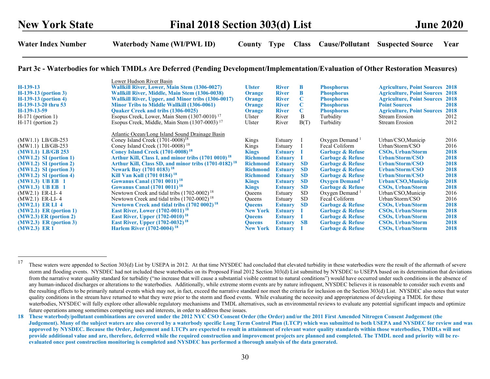#### Part 3c - Waterbodies for which TMDLs Are Deferred (Pending Development/Implementation/Evaluation of Other Restoration Measures)

| $H-139-13$<br>$H-139-13$ (portion 3)<br>$H-139-13$ (portion 4)<br>H-139-13-20 thru 53<br>H-139-13-59<br>$H-171$ (portion 1)<br>$H-171$ (portion 2)                                                                                                                                                                                                                                             | Lower Hudson River Basin<br>Wallkill River, Lower, Main Stem (1306-0027)<br>Wallkill River, Middle, Main Stem (1306-0038)<br>Wallkill River, Upper, and Minor tribs (1306-0017)<br><b>Minor Tribs to Middle Wallkill (1306-0061)</b><br><b>Ouaker Creek and tribs (1306-0025)</b><br>Esopus Creek, Lower, Main Stem $(1307-0010)^{17}$<br>Esopus Creek, Middle, Main Stem (1307-0003) <sup>17</sup>                                                                                                                                                                                                                                                                                                                                                                                                                                                                                                                    | <b>Ulster</b><br>Orange<br>Orange<br>Orange<br><b>Orange</b><br>Ulster<br>Ulster                                                                                                                                                                               | <b>River</b><br><b>River</b><br><b>River</b><br><b>River</b><br><b>River</b><br>River<br>River                                                                                                                                                                   | B<br>B<br>C<br>C<br>C<br><sub>B</sub><br>B(T)                                                                     | <b>Phosphorus</b><br><b>Phosphorus</b><br><b>Phosphorus</b><br><b>Phosphorus</b><br><b>Phosphorus</b><br>Turbidity<br>Turbidity                                                                                                                                                                                                                                                                                                                                               | <b>Agriculture, Point Sources 2018</b><br><b>Agriculture, Point Sources</b><br><b>Agriculture, Point Sources</b><br><b>Point Sources</b><br><b>Agriculture, Point Sources</b><br><b>Stream Erosion</b><br><b>Stream Erosion</b>                                                                                                                                                      | 2018<br>2018<br>2018<br>2018<br>2012<br>2012                                                                                 |
|------------------------------------------------------------------------------------------------------------------------------------------------------------------------------------------------------------------------------------------------------------------------------------------------------------------------------------------------------------------------------------------------|------------------------------------------------------------------------------------------------------------------------------------------------------------------------------------------------------------------------------------------------------------------------------------------------------------------------------------------------------------------------------------------------------------------------------------------------------------------------------------------------------------------------------------------------------------------------------------------------------------------------------------------------------------------------------------------------------------------------------------------------------------------------------------------------------------------------------------------------------------------------------------------------------------------------|----------------------------------------------------------------------------------------------------------------------------------------------------------------------------------------------------------------------------------------------------------------|------------------------------------------------------------------------------------------------------------------------------------------------------------------------------------------------------------------------------------------------------------------|-------------------------------------------------------------------------------------------------------------------|-------------------------------------------------------------------------------------------------------------------------------------------------------------------------------------------------------------------------------------------------------------------------------------------------------------------------------------------------------------------------------------------------------------------------------------------------------------------------------|--------------------------------------------------------------------------------------------------------------------------------------------------------------------------------------------------------------------------------------------------------------------------------------------------------------------------------------------------------------------------------------|------------------------------------------------------------------------------------------------------------------------------|
| $(MW1.1)$ LB/GB-253<br>$(MW1.1)$ LB/GB-253<br>$(MW1.1)$ LB/GB 253<br>$(MW1.2)$ SI (portion 1)<br>$(MW1.2)$ SI (portion 2)<br>$(MW1.2)$ SI (portion 3)<br>$(MW1.2)$ SI (portion 4)<br>(MW1.3) UB EB 1<br>$(MW1.3)$ UB EB 1<br>$(MW2.1)$ ER-LI-4<br>$(MW2.1)$ ER-LI-4<br>$(MW2.1)$ ER LI 4<br>$(MW2.1)$ ER (portion 1)<br>$(MW2.3)$ ER (portion 2)<br>$(MW2.3)$ ER (portion 3)<br>$(MW2.3)$ ER 1 | Atlantic Ocean/Long Island Sound Drainage Basin<br>Coney Island Creek $(1701-0008)^{18}$<br>Coney Island Creek $(1701-0008)^{18}$<br><b>Coney Island Creek (1701-0008)</b> <sup>18</sup><br>Arthur Kill, Class I, and minor tribs (1701 0010) <sup>18</sup><br>Arthur Kill, Class SD, and minor tribs (1701-0182) <sup>18</sup><br><b>Newark Bay (1701 0183)</b> <sup>18</sup><br>Kill Van Kull (1701 0184) <sup>18</sup><br><b>Gowanus Canal (1701 0011)</b> 18<br><b>Gowanus Canal (1701 0011)</b> <sup>18</sup><br>Newtown Creek and tidal tribs $(1702-0002)^{18}$<br>Newtown Creek and tidal tribs (1702-0002) <sup>18</sup><br><b>Newtown Creek and tidal tribs (1702 0002)</b> <sup>18</sup><br><b>East River, Lower (1702-0011)</b> <sup>18</sup><br><b>East River, Upper (1702-0010)</b> <sup>18</sup><br><b>East River, Upper (1702-0032)</b> <sup>18</sup><br><b>Harlem River (1702-0004)</b> <sup>18</sup> | Kings<br>Kings<br><b>Kings</b><br><b>Richmond</b><br><b>Richmond</b><br><b>Richmond</b><br><b>Richmond</b><br><b>Kings</b><br><b>Kings</b><br>Queens<br><b>Oueens</b><br><b>Queens</b><br><b>New York</b><br><b>Queens</b><br><b>Oueens</b><br><b>New York</b> | Estuary<br>Estuary<br><b>Estuary</b><br><b>Estuary</b><br><b>Estuary</b><br><b>Estuary</b><br><b>Estuary</b><br><b>Estuary</b><br><b>Estuary</b><br>Estuary<br>Estuary<br><b>Estuary</b><br><b>Estuary</b><br><b>Estuary</b><br><b>Estuary</b><br><b>Estuary</b> | <b>SD</b><br><b>SD</b><br><b>SD</b><br><b>SD</b><br><b>SD</b><br><b>SD</b><br><b>SD</b><br><b>SD</b><br><b>SB</b> | Oxygen Demand <sup>1</sup><br>Fecal Coliform<br><b>Garbage &amp; Refuse</b><br><b>Garbage &amp; Refuse</b><br><b>Garbage &amp; Refuse</b><br><b>Garbage &amp; Refuse</b><br><b>Garbage &amp; Refuse</b><br><b>Oxygen Demand</b> <sup>1</sup><br><b>Garbage &amp; Refuse</b><br>Oxygen Demand $1$<br>Fecal Coliform<br><b>Garbage &amp; Refuse</b><br><b>Garbage &amp; Refuse</b><br><b>Garbage &amp; Refuse</b><br><b>Garbage &amp; Refuse</b><br><b>Garbage &amp; Refuse</b> | Urban/CSO, Municip<br>Urban/Storm/CSO<br><b>CSOs, Urban/Storm</b><br>Urban/Storm/CSO<br>Urban/Storm/CSO<br>Urban/Storm/CSO<br>Urban/Storm/CSO<br>Urban/CSO, Municip<br><b>CSOs, Urban/Storm</b><br>Urban/CSO, Municip<br>Urban/Storm/CSO<br><b>CSOs, Urban/Storm</b><br><b>CSOs, Urban/Storm</b><br><b>CSOs, Urban/Storm</b><br><b>CSOs, Urban/Storm</b><br><b>CSOs, Urban/Storm</b> | 2016<br>2016<br>2018<br>2018<br>2018<br>2018<br>2018<br>2018<br>2018<br>2016<br>2016<br>2018<br>2018<br>2018<br>2018<br>2018 |

<sup>&</sup>lt;sup>17</sup> These waters were appended to Section 303(d) List by USEPA in 2012. At that time NYSDEC had concluded that elevated turbidity in these waterbodies were the result of the aftermath of severe storm and flooding events. NYSDEC had not included these waterbodies on its Proposed Final 2012 Section 303(d) List submitted by NYSDEC to USEPA based on its determination that deviations from the narrative water quality standard for turbidity ("no increase that will cause a substantial visible contrast to natural conditions") would have occurred under such conditions in the absence of any human-induced discharges or alterations to the waterbodies. Additionally, while extreme storm events are by nature infrequent, NYSDEC believes it is reasonable to consider such events and the resulting effects to be primarily natural events which may not, in fact, exceed the narrative standard nor meet the criteria for inclusion on the Section 303(d) List. NYSDEC also notes that water quality conditions in the stream have returned to what they were prior to the storm and flood events. While evaluating the necessity and appropriateness of developing a TMDL for these waterbodies, NYSDEC will fully explore other allowable regulatory mechanisms and TMDL alternatives, such as environmental reviews to evaluate any potential significant impacts and optimize future operations among sometimes competing uses and interests, in order to address these issues.

<sup>18</sup> These waterbody/pollutant combinations are covered under the 2012 NYC CSO Consent Order (the Order) and/or the 2011 First Amended Nitrogen Consent Judgement (the Judgement). Many of the subject waters are also covered by a waterbody specific Long Term Control Plan (LTCP) which was submitted to both USEPA and NYSDEC for review and was approved by NYSDEC. Because the Order, Judgement and LTCPs are expected to result in attainment of relevant water quality standards within those waterbodies, TMDLs will not provide additional value and are, therefore, deferred while the required construction and improvement projects are planned and completed. The TMDL need and priority will be reevaluated once post construction monitoring is completed and NYSDEC has performed a thorough analysis of the data generated.